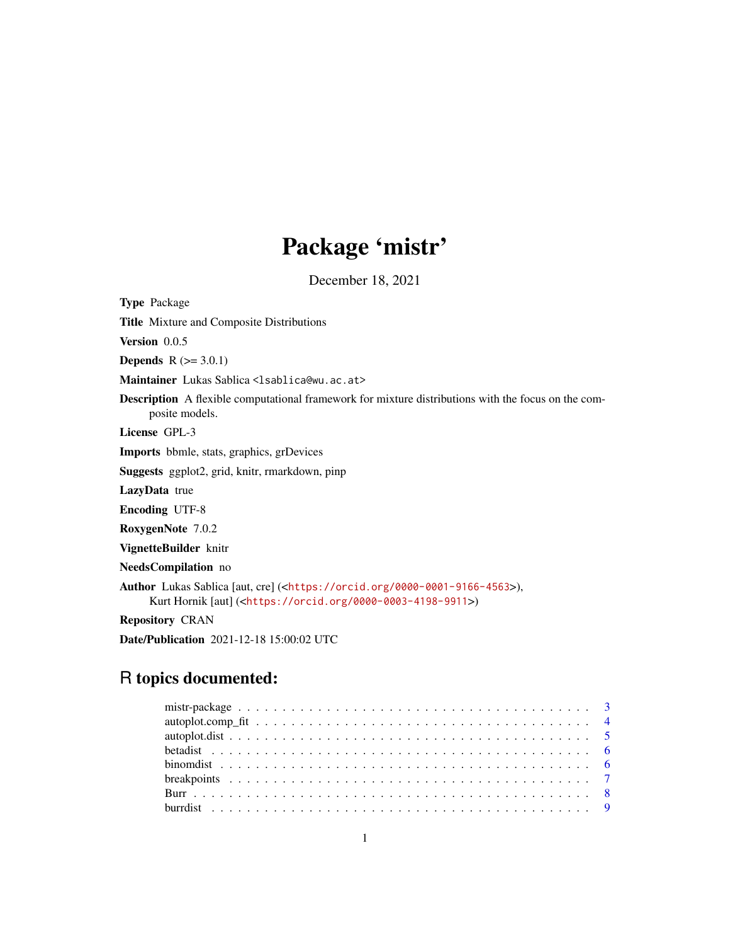# Package 'mistr'

December 18, 2021

<span id="page-0-0"></span>Type Package

Title Mixture and Composite Distributions

Version 0.0.5

**Depends**  $R (= 3.0.1)$ 

Maintainer Lukas Sablica <lsablica@wu.ac.at>

Description A flexible computational framework for mixture distributions with the focus on the composite models.

License GPL-3

Imports bbmle, stats, graphics, grDevices

Suggests ggplot2, grid, knitr, rmarkdown, pinp

LazyData true

Encoding UTF-8

RoxygenNote 7.0.2

VignetteBuilder knitr

NeedsCompilation no

Author Lukas Sablica [aut, cre] (<<https://orcid.org/0000-0001-9166-4563>>), Kurt Hornik [aut] (<<https://orcid.org/0000-0003-4198-9911>>)

Repository CRAN

Date/Publication 2021-12-18 15:00:02 UTC

## R topics documented: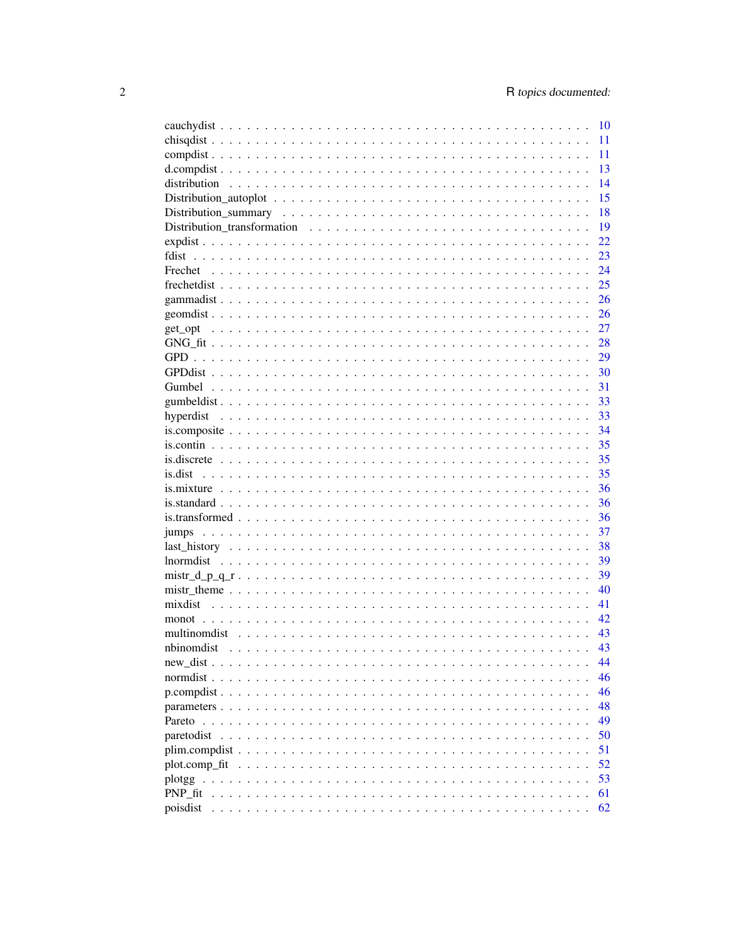|                                                                                                                                                        | 10 |
|--------------------------------------------------------------------------------------------------------------------------------------------------------|----|
|                                                                                                                                                        | 11 |
|                                                                                                                                                        | 11 |
|                                                                                                                                                        | 13 |
|                                                                                                                                                        | 14 |
|                                                                                                                                                        | 15 |
|                                                                                                                                                        | 18 |
|                                                                                                                                                        | 19 |
|                                                                                                                                                        | 22 |
| fdist                                                                                                                                                  | 23 |
|                                                                                                                                                        | 24 |
|                                                                                                                                                        | 25 |
|                                                                                                                                                        | 26 |
|                                                                                                                                                        | 26 |
|                                                                                                                                                        | 27 |
|                                                                                                                                                        | 28 |
|                                                                                                                                                        | 29 |
|                                                                                                                                                        |    |
|                                                                                                                                                        | 30 |
|                                                                                                                                                        | 31 |
|                                                                                                                                                        | 33 |
|                                                                                                                                                        | 33 |
|                                                                                                                                                        | 34 |
|                                                                                                                                                        | 35 |
|                                                                                                                                                        | 35 |
|                                                                                                                                                        | 35 |
|                                                                                                                                                        | 36 |
|                                                                                                                                                        | 36 |
|                                                                                                                                                        | 36 |
|                                                                                                                                                        | 37 |
|                                                                                                                                                        | 38 |
|                                                                                                                                                        | 39 |
|                                                                                                                                                        | 39 |
|                                                                                                                                                        | 40 |
|                                                                                                                                                        | 41 |
|                                                                                                                                                        | 42 |
|                                                                                                                                                        | 43 |
|                                                                                                                                                        | 43 |
|                                                                                                                                                        | 44 |
| normdist<br>$\mathbf{r}$<br>$\sim$<br>$\mathbf{r}$ . $\mathbf{r}$<br>$\ddot{\phantom{a}}$<br>$\mathbf{r}$ , $\mathbf{r}$ , $\mathbf{r}$ , $\mathbf{r}$ | 46 |
|                                                                                                                                                        | 46 |
|                                                                                                                                                        | 48 |
| Pareto                                                                                                                                                 | 49 |
| paretodist                                                                                                                                             | 50 |
|                                                                                                                                                        | 51 |
| plot.comp_fit                                                                                                                                          | 52 |
|                                                                                                                                                        | 53 |
|                                                                                                                                                        |    |
| PNP fit                                                                                                                                                | 61 |
| poisdist                                                                                                                                               | 62 |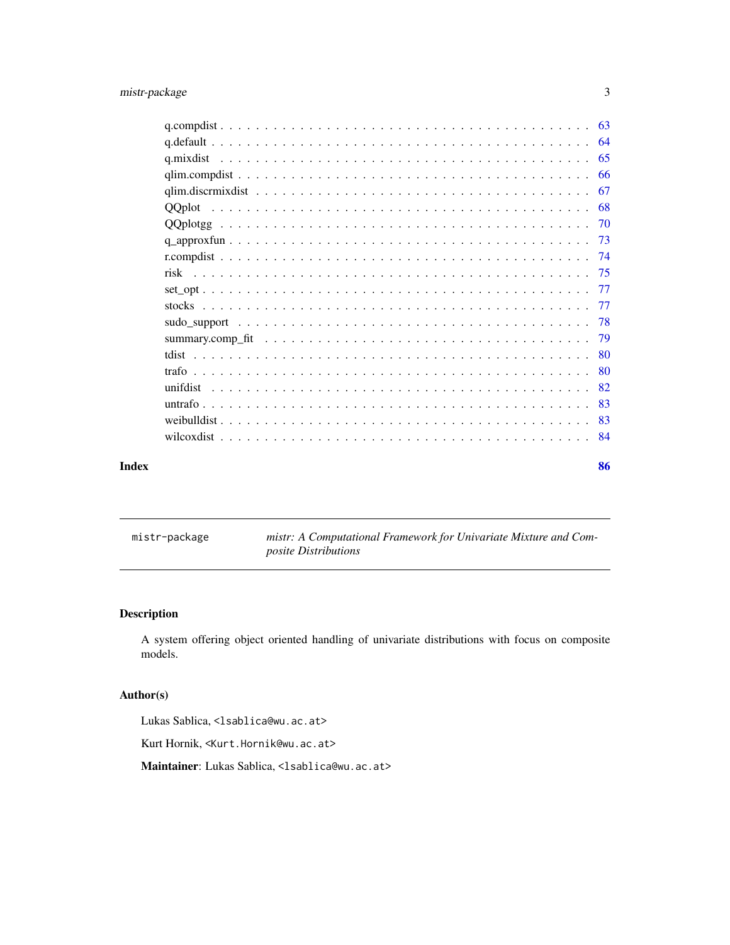<span id="page-2-0"></span>

| Index | 86 |
|-------|----|

|  | mistr–package |  |
|--|---------------|--|
|  |               |  |
|  |               |  |

mistr: A Computational Framework for Univariate Mixture and Com*posite Distributions*

## <span id="page-2-1"></span>Description

A system offering object oriented handling of univariate distributions with focus on composite models.

## Author(s)

Lukas Sablica, <lsablica@wu.ac.at>

Kurt Hornik, <Kurt.Hornik@wu.ac.at>

Maintainer: Lukas Sablica, <lsablica@wu.ac.at>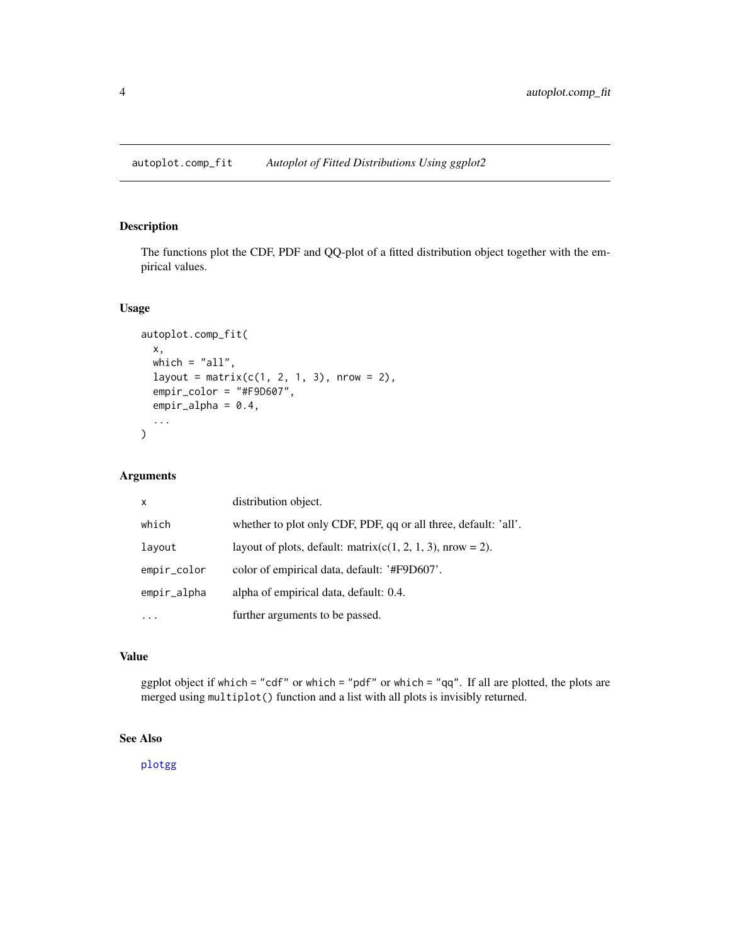<span id="page-3-0"></span>autoplot.comp\_fit *Autoplot of Fitted Distributions Using ggplot2*

## Description

The functions plot the CDF, PDF and QQ-plot of a fitted distribution object together with the empirical values.

## Usage

```
autoplot.comp_fit(
  x,
 which = "all",layout = matrix(c(1, 2, 1, 3), nrow = 2),
  empir_color = "#F9D607",
 empir_alpha = 0.4,
  ...
\overline{\phantom{a}}
```
## Arguments

| $\mathsf{x}$ | distribution object.                                            |
|--------------|-----------------------------------------------------------------|
| which        | whether to plot only CDF, PDF, qq or all three, default: 'all'. |
| layout       | layout of plots, default: matrix( $c(1, 2, 1, 3)$ , nrow = 2).  |
| empir_color  | color of empirical data, default: '#F9D607'.                    |
| empir_alpha  | alpha of empirical data, default: 0.4.                          |
|              | further arguments to be passed.                                 |

## Value

ggplot object if which = "cdf" or which = "pdf" or which = "qq". If all are plotted, the plots are merged using multiplot() function and a list with all plots is invisibly returned.

## See Also

[plotgg](#page-52-1)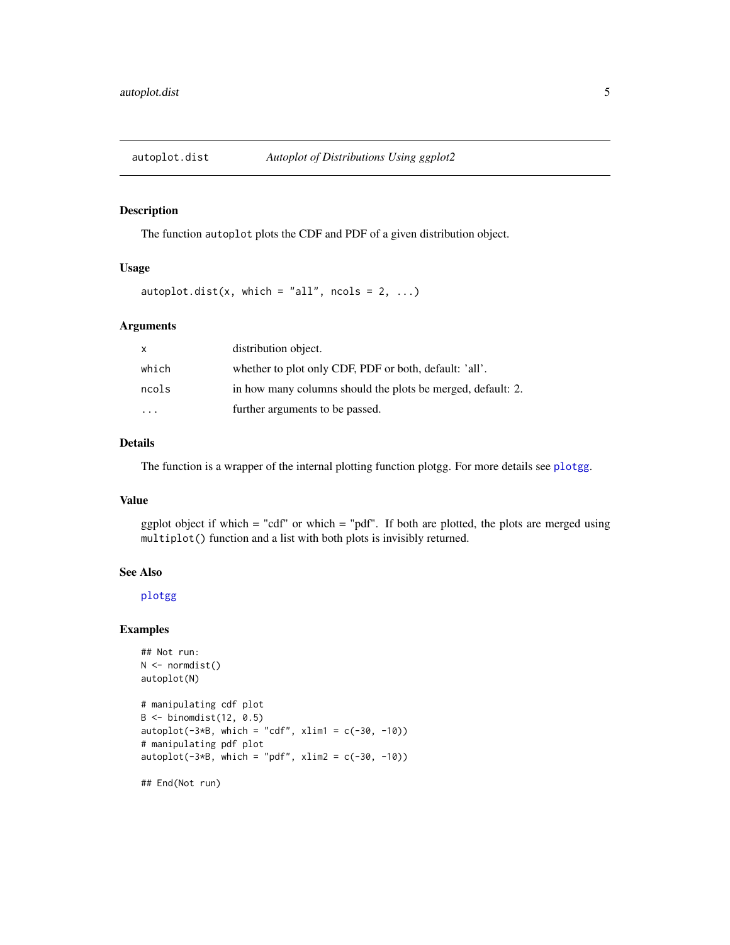<span id="page-4-0"></span>

The function autoplot plots the CDF and PDF of a given distribution object.

## Usage

autoplot.dist(x, which = "all", ncols =  $2, ...$ )

## Arguments

| x                       | distribution object.                                        |
|-------------------------|-------------------------------------------------------------|
| which                   | whether to plot only CDF, PDF or both, default: 'all'.      |
| ncols                   | in how many columns should the plots be merged, default: 2. |
| $\cdot$ $\cdot$ $\cdot$ | further arguments to be passed.                             |

## Details

The function is a wrapper of the internal plotting function plotgg. For more details see [plotgg](#page-52-1).

## Value

ggplot object if which = "cdf" or which = "pdf". If both are plotted, the plots are merged using multiplot() function and a list with both plots is invisibly returned.

#### See Also

[plotgg](#page-52-1)

## Examples

```
## Not run:
N \leftarrow normdist()
autoplot(N)
# manipulating cdf plot
B \le -\text{binomdist}(12, 0.5)autoplot(-3*B, which = "cdf", xlim1 = c(-30, -10))# manipulating pdf plot
autoplot(-3*B, which = "pdf", xlim2 = c(-30, -10))
```
## End(Not run)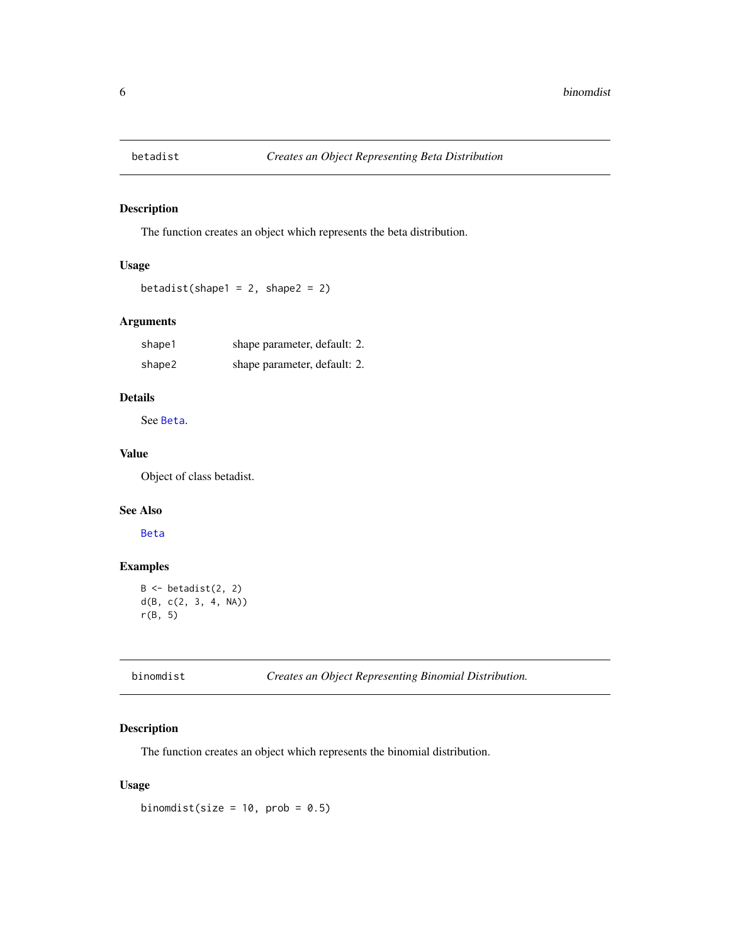<span id="page-5-0"></span>

The function creates an object which represents the beta distribution.

## Usage

betadist(shape1 =  $2$ , shape2 =  $2$ )

## Arguments

| shape1 | shape parameter, default: 2. |  |
|--------|------------------------------|--|
| shape2 | shape parameter, default: 2. |  |

## Details

See [Beta](#page-0-0).

## Value

Object of class betadist.

## See Also

[Beta](#page-0-0)

## Examples

```
B \leftarrow \text{betaist}(2, 2)d(B, c(2, 3, 4, NA))
r(B, 5)
```

|  |  |  |  | binomdist |  |
|--|--|--|--|-----------|--|
|  |  |  |  |           |  |
|  |  |  |  |           |  |
|  |  |  |  |           |  |

binomdist *Creates an Object Representing Binomial Distribution.*

## Description

The function creates an object which represents the binomial distribution.

## Usage

binomdist(size =  $10$ , prob =  $0.5$ )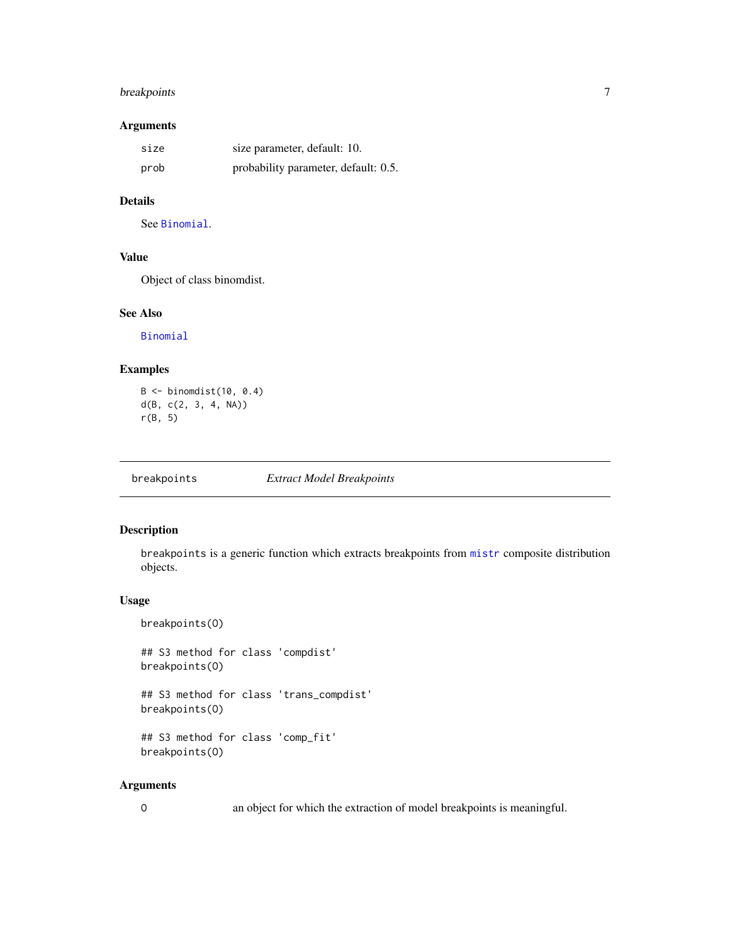## <span id="page-6-0"></span>breakpoints 7

## Arguments

| size | size parameter, default: 10.         |
|------|--------------------------------------|
| prob | probability parameter, default: 0.5. |

## Details

See [Binomial](#page-0-0).

## Value

Object of class binomdist.

## See Also

[Binomial](#page-0-0)

## Examples

```
B \le -\ binomdist(10, 0.4)d(B, c(2, 3, 4, NA))
r(B, 5)
```
breakpoints *Extract Model Breakpoints*

## Description

breakpoints is a generic function which extracts breakpoints from [mistr](#page-2-1) composite distribution objects.

### Usage

```
breakpoints(O)
```
## S3 method for class 'compdist' breakpoints(O)

## S3 method for class 'trans\_compdist' breakpoints(O)

```
## S3 method for class 'comp_fit'
breakpoints(O)
```
#### Arguments

O an object for which the extraction of model breakpoints is meaningful.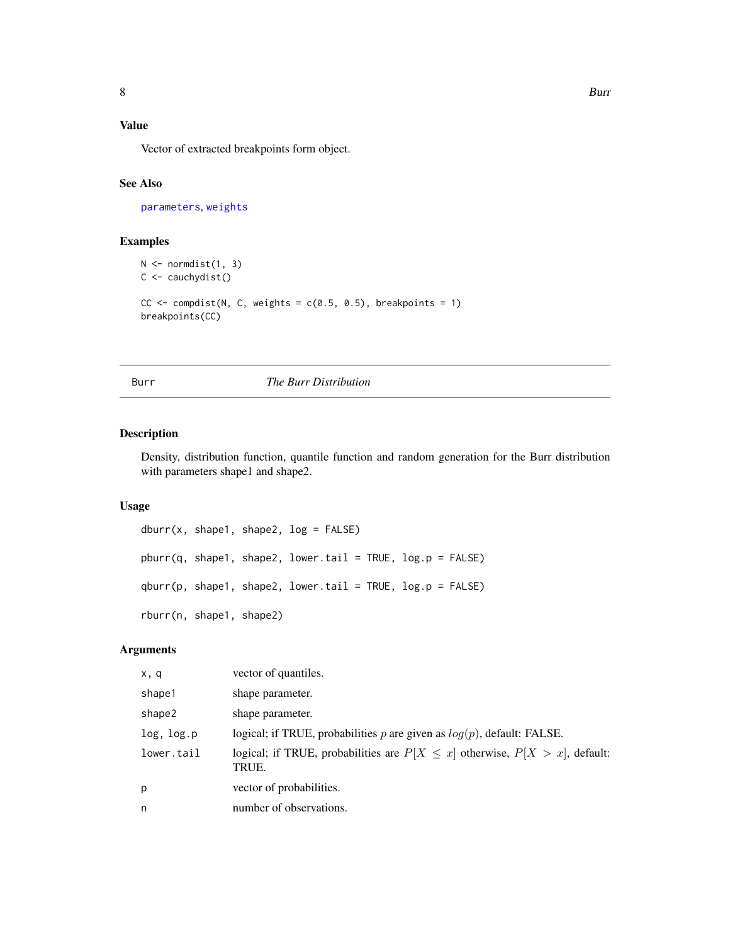## <span id="page-7-0"></span>Value

Vector of extracted breakpoints form object.

## See Also

[parameters](#page-47-1), [weights](#page-0-0)

## Examples

```
N \leftarrow normdist(1, 3)C <- cauchydist()
CC \leftarrow compdist(N, C, weights = c(0.5, 0.5), breakpoints = 1)
breakpoints(CC)
```
<span id="page-7-1"></span>Burr *The Burr Distribution*

## Description

Density, distribution function, quantile function and random generation for the Burr distribution with parameters shape1 and shape2.

## Usage

```
dburr(x, shape1, shape2, log = FALSE)
pburr(q, shape1, shape2, lower.tail = TRUE, log.p = FALSE)
qburr(p, shape1, shape2, lower.tail = TRUE, log.p = FALSE)
rburr(n, shape1, shape2)
```
## Arguments

| x, q       | vector of quantiles.                                                                        |
|------------|---------------------------------------------------------------------------------------------|
| shape1     | shape parameter.                                                                            |
| shape2     | shape parameter.                                                                            |
| log, log.p | logical; if TRUE, probabilities p are given as $log(p)$ , default: FALSE.                   |
| lower.tail | logical; if TRUE, probabilities are $P[X \leq x]$ otherwise, $P[X > x]$ , default:<br>TRUE. |
| p          | vector of probabilities.                                                                    |
| n          | number of observations.                                                                     |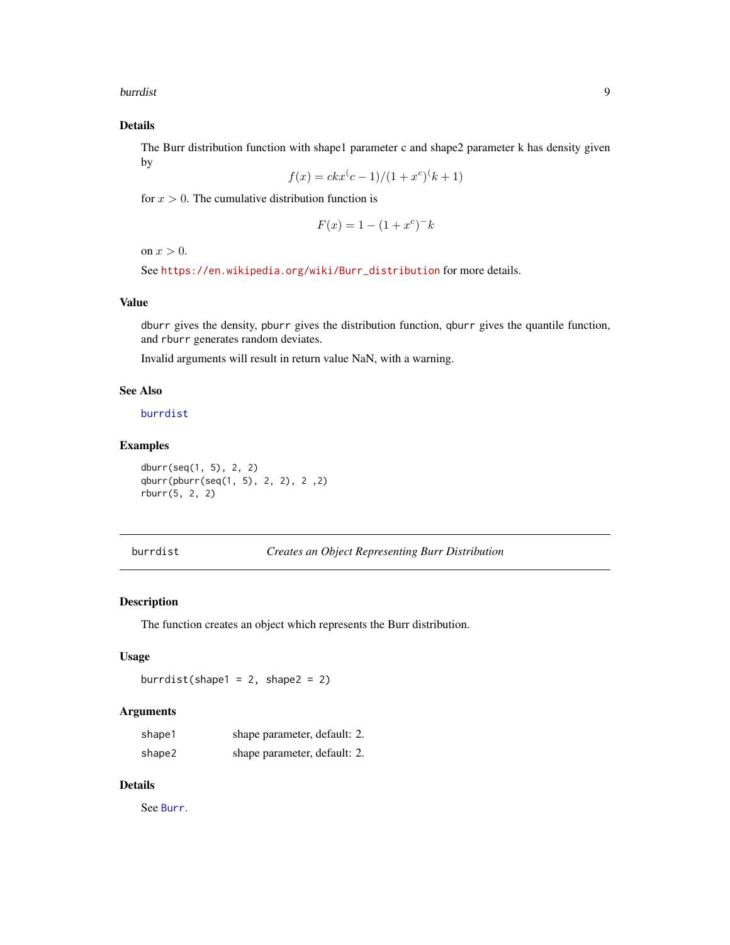<span id="page-8-0"></span>burrdist 9

## Details

The Burr distribution function with shape1 parameter c and shape2 parameter k has density given by

$$
f(x) = c k x^{c} - 1/(1 + x^{c})^{c} + 1)
$$

for  $x > 0$ . The cumulative distribution function is

$$
F(x) = 1 - (1 + x^c)^{-k}
$$

on  $x > 0$ .

See [https://en.wikipedia.org/wiki/Burr\\_distribution](https://en.wikipedia.org/wiki/Burr_distribution) for more details.

## Value

dburr gives the density, pburr gives the distribution function, qburr gives the quantile function, and rburr generates random deviates.

Invalid arguments will result in return value NaN, with a warning.

#### See Also

[burrdist](#page-8-1)

## Examples

dburr(seq(1, 5), 2, 2) qburr(pburr(seq(1, 5), 2, 2), 2 ,2) rburr(5, 2, 2)

<span id="page-8-1"></span>burrdist *Creates an Object Representing Burr Distribution*

#### Description

The function creates an object which represents the Burr distribution.

## Usage

burrdist(shape1 =  $2$ , shape2 =  $2$ )

#### Arguments

| shape1 | shape parameter, default: 2. |  |
|--------|------------------------------|--|
| shape2 | shape parameter, default: 2. |  |

## Details

See [Burr](#page-7-1).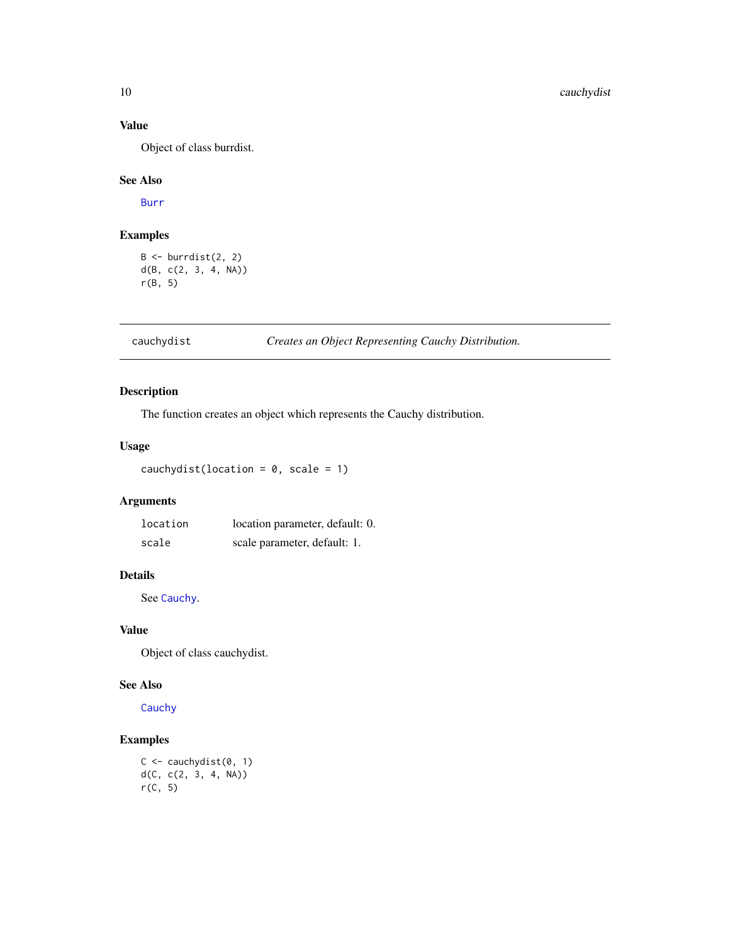## Value

Object of class burrdist.

## See Also

[Burr](#page-7-1)

## Examples

 $B \leftarrow$  burrdist $(2, 2)$ d(B, c(2, 3, 4, NA)) r(B, 5)

cauchydist *Creates an Object Representing Cauchy Distribution.*

## Description

The function creates an object which represents the Cauchy distribution.

## Usage

cauchydist(location =  $0$ , scale = 1)

## Arguments

| location | location parameter, default: 0. |
|----------|---------------------------------|
| scale    | scale parameter, default: 1.    |

## Details

See [Cauchy](#page-0-0).

## Value

Object of class cauchydist.

## See Also

[Cauchy](#page-0-0)

## Examples

```
C \leftarrow \text{cauchydist}(0, 1)d(C, c(2, 3, 4, NA))r(C, 5)
```
<span id="page-9-0"></span>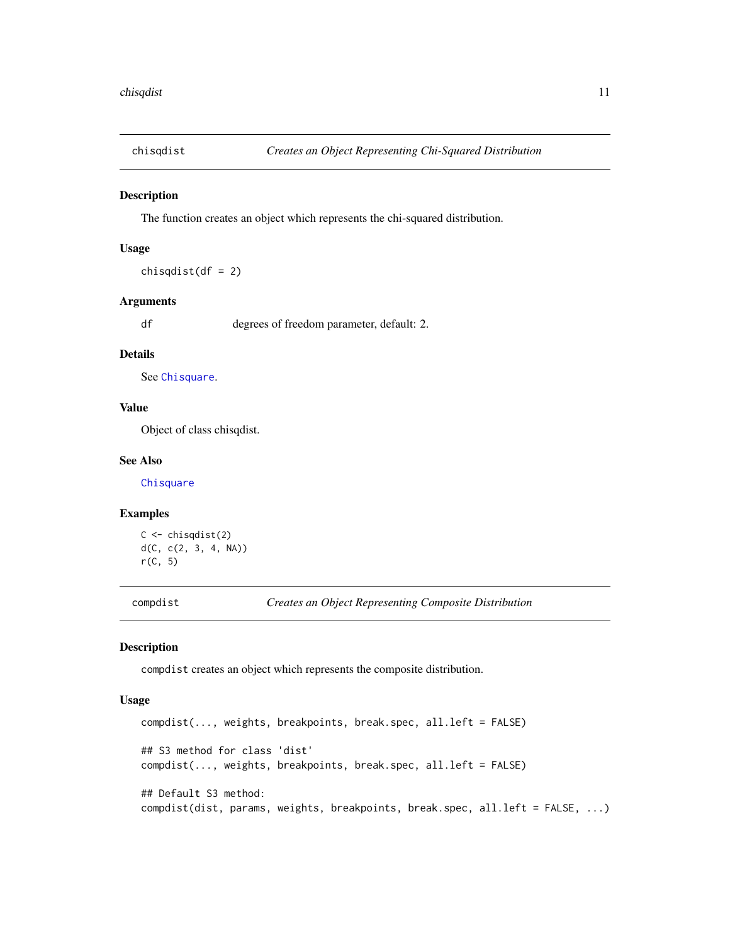<span id="page-10-0"></span>

The function creates an object which represents the chi-squared distribution.

## Usage

 $chisqdist(df = 2)$ 

## Arguments

df degrees of freedom parameter, default: 2.

#### Details

See [Chisquare](#page-0-0).

## Value

Object of class chisqdist.

## See Also

**[Chisquare](#page-0-0)** 

## Examples

```
C \leftarrow \text{chisqdist}(2)d(C, c(2, 3, 4, NA))
r(C, 5)
```
compdist *Creates an Object Representing Composite Distribution*

## Description

compdist creates an object which represents the composite distribution.

#### Usage

```
compdist(..., weights, breakpoints, break.spec, all.left = FALSE)
## S3 method for class 'dist'
compdist(..., weights, breakpoints, break.spec, all.left = FALSE)
## Default S3 method:
compdist(dist, params, weights, breakpoints, break.spec, all.left = FALSE, ...)
```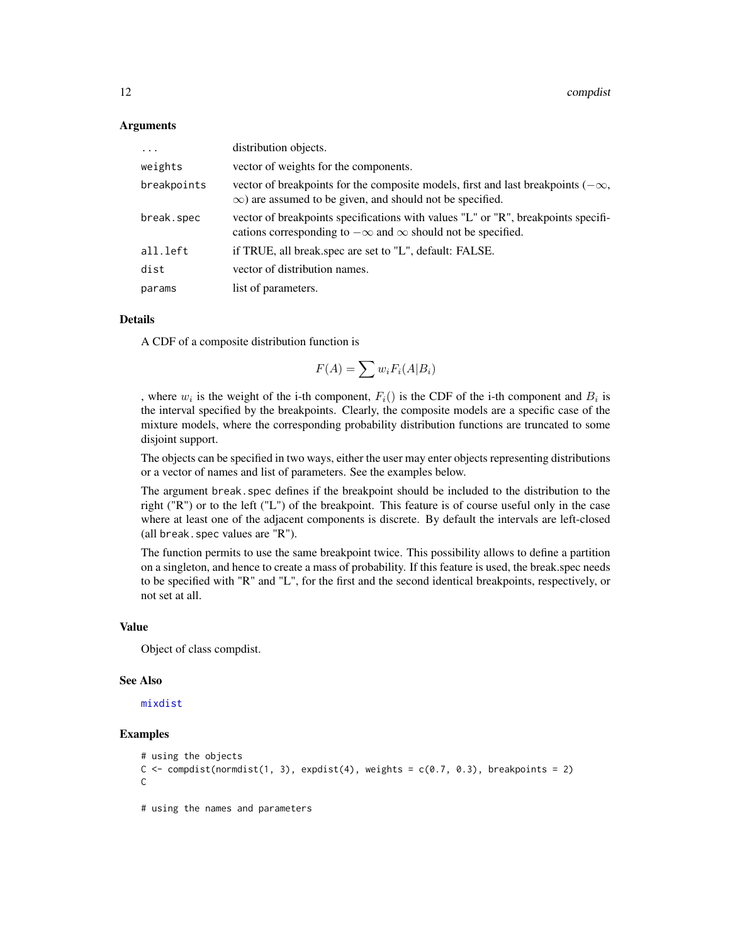#### **Arguments**

| $\ddotsc$   | distribution objects.                                                                                                                                         |
|-------------|---------------------------------------------------------------------------------------------------------------------------------------------------------------|
| weights     | vector of weights for the components.                                                                                                                         |
| breakpoints | vector of breakpoints for the composite models, first and last breakpoints $(-\infty,$<br>$\infty$ ) are assumed to be given, and should not be specified.    |
| break.spec  | vector of breakpoints specifications with values "L" or "R", breakpoints specifi-<br>cations corresponding to $-\infty$ and $\infty$ should not be specified. |
| all.left    | if TRUE, all break.spec are set to "L", default: FALSE.                                                                                                       |
| dist        | vector of distribution names.                                                                                                                                 |
| params      | list of parameters.                                                                                                                                           |

## Details

A CDF of a composite distribution function is

$$
F(A) = \sum w_i F_i(A|B_i)
$$

, where  $w_i$  is the weight of the i-th component,  $F_i()$  is the CDF of the i-th component and  $B_i$  is the interval specified by the breakpoints. Clearly, the composite models are a specific case of the mixture models, where the corresponding probability distribution functions are truncated to some disjoint support.

The objects can be specified in two ways, either the user may enter objects representing distributions or a vector of names and list of parameters. See the examples below.

The argument break.spec defines if the breakpoint should be included to the distribution to the right ("R") or to the left ("L") of the breakpoint. This feature is of course useful only in the case where at least one of the adjacent components is discrete. By default the intervals are left-closed (all break.spec values are "R").

The function permits to use the same breakpoint twice. This possibility allows to define a partition on a singleton, and hence to create a mass of probability. If this feature is used, the break.spec needs to be specified with "R" and "L", for the first and the second identical breakpoints, respectively, or not set at all.

#### Value

Object of class compdist.

#### See Also

[mixdist](#page-40-1)

## Examples

```
# using the objects
C \leq compdist(normdist(1, 3), expdist(4), weights = c(0.7, 0.3), breakpoints = 2)
C
# using the names and parameters
```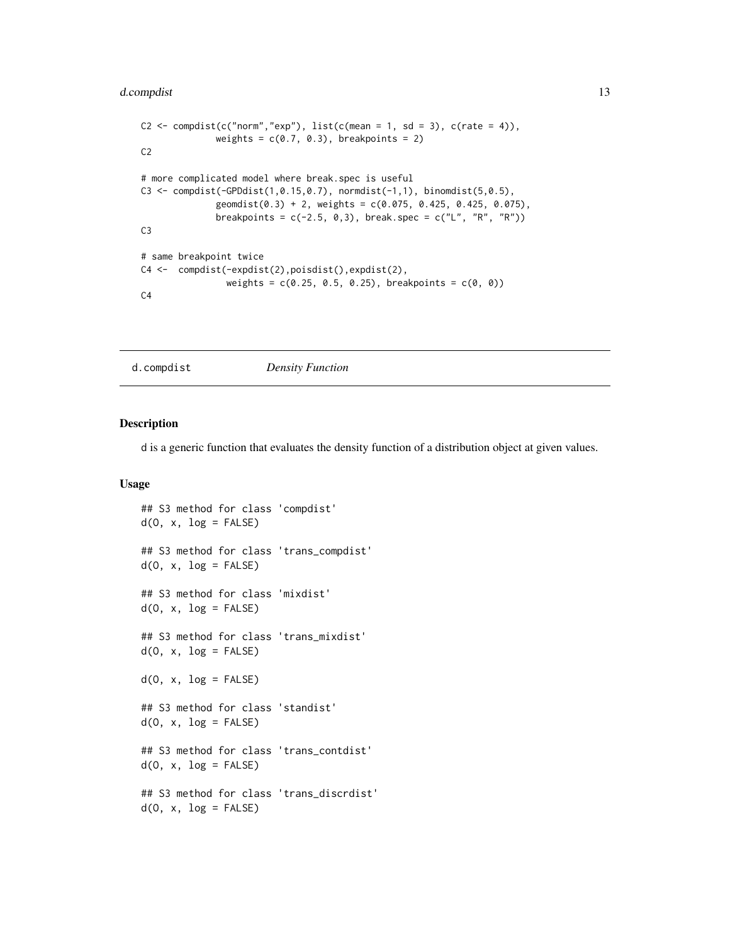## <span id="page-12-0"></span>d.compdist 13

```
C2 \leq compdist(c("norm","exp"), list(c(mean = 1, sd = 3), c(rate = 4)),
              weights = c(0.7, 0.3), breakpoints = 2)
C2
# more complicated model where break.spec is useful
C3 <- compdist(-GPDdist(1,0.15,0.7), normdist(-1,1), binomdist(5,0.5),
              geomdist(0.3) + 2, weights = c(0.075, 0.425, 0.425, 0.075),
              breakpoints = c(-2.5, 0, 3), break.spec = c("L", "R", "R"))C3
# same breakpoint twice
C4 <- compdist(-expdist(2),poisdist(),expdist(2),
                weights = c(0.25, 0.5, 0.25), breakpoints = c(0, 0))C<sub>4</sub>
```
d.compdist *Density Function*

#### Description

d is a generic function that evaluates the density function of a distribution object at given values.

#### Usage

```
## S3 method for class 'compdist'
d(0, x, \log = FALSE)
## S3 method for class 'trans_compdist'
d(0, x, \log = FALSE)
## S3 method for class 'mixdist'
d(0, x, \log = FALSE)
## S3 method for class 'trans_mixdist'
d(0, x, \log = FALSE)
d(0, x, \log = FALSE)
## S3 method for class 'standist'
d(0, x, \log = FALSE)
## S3 method for class 'trans_contdist'
d(0, x, \log = FALSE)
## S3 method for class 'trans_discrdist'
d(0, x, \log = FALSE)
```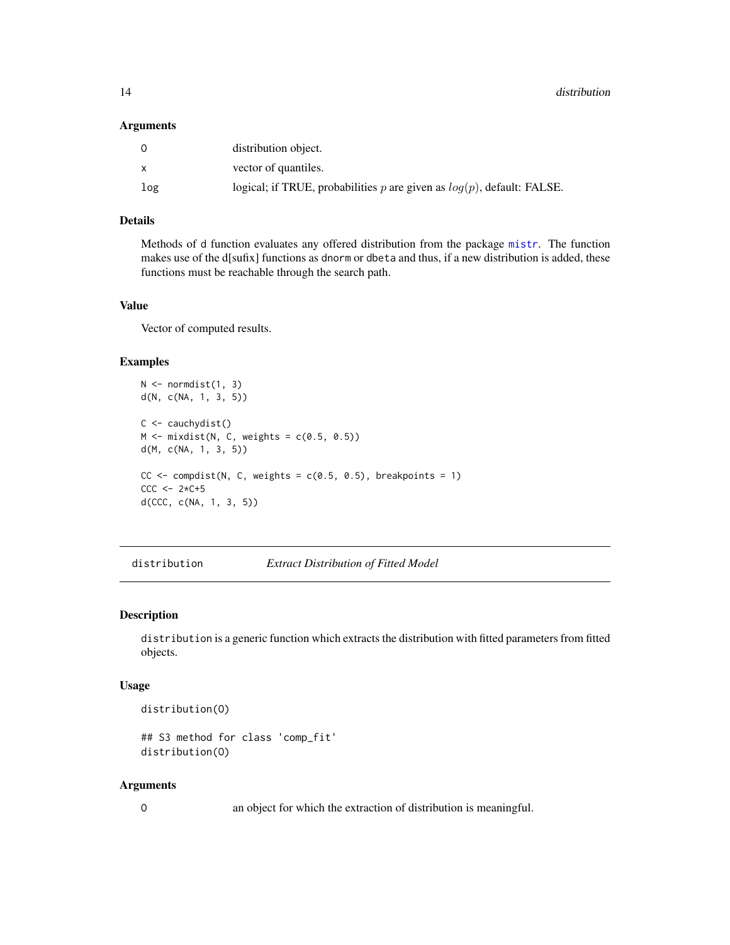#### <span id="page-13-0"></span>**Arguments**

| $\Omega$     | distribution object.                                                        |
|--------------|-----------------------------------------------------------------------------|
| $\mathsf{x}$ | vector of quantiles.                                                        |
| log          | logical; if TRUE, probabilities $p$ are given as $log(p)$ , default: FALSE. |

## Details

Methods of d function evaluates any offered distribution from the package [mistr](#page-2-1). The function makes use of the d[sufix] functions as dnorm or dbeta and thus, if a new distribution is added, these functions must be reachable through the search path.

#### Value

Vector of computed results.

## Examples

```
N \leq normdist(1, 3)d(N, c(NA, 1, 3, 5))
C \leftarrow \text{cauchydist}()M \leftarrow mixdist(N, C, weights = c(0.5, 0.5))
d(M, c(NA, 1, 3, 5))
CC \le compdist(N, C, weights = c(0.5, 0.5), breakpoints = 1)
CCC < -2*C+5d(CCC, c(NA, 1, 3, 5))
```
distribution *Extract Distribution of Fitted Model*

## Description

distribution is a generic function which extracts the distribution with fitted parameters from fitted objects.

#### Usage

distribution(O)

```
## S3 method for class 'comp_fit'
distribution(O)
```
#### Arguments

O an object for which the extraction of distribution is meaningful.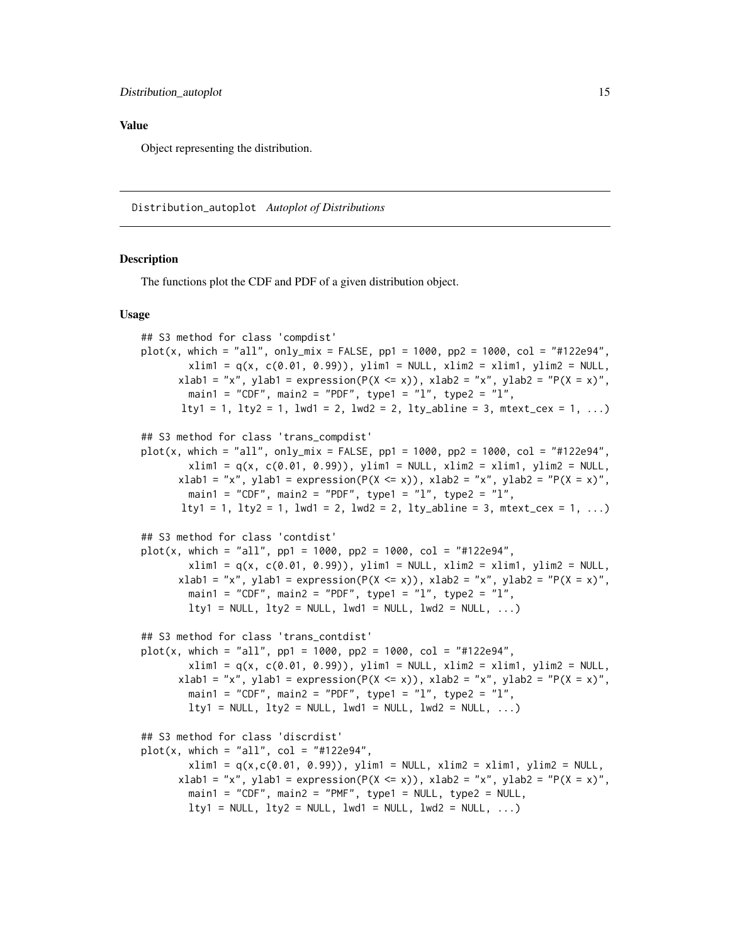#### <span id="page-14-0"></span>Value

Object representing the distribution.

Distribution\_autoplot *Autoplot of Distributions*

## Description

The functions plot the CDF and PDF of a given distribution object.

#### Usage

```
## S3 method for class 'compdist'
plot(x, which = "all", only_mix = FALSE, pp1 = 1000, pp2 = 1000, col = "#122e94",
        xlim1 = q(x, c(0.01, 0.99)), ylim1 = NULL, xlim2 = xlim1, ylim2 = NULLxlab1 = "x", ylab1 = expression(P(X <= x)), xlab2 = "x", ylab2 = "P(X = x)",
        main1 = "CDF", main2 = "PDF", type1 = "l", type2 = "l",
      lty1 = 1, lty2 = 1, lwd1 = 2, lwd2 = 2, lty_abline = 3, mtext\_cex = 1, ...)
## S3 method for class 'trans_compdist'
plot(x, which = "all", only_mix = FALSE, pp1 = 1000, pp2 = 1000, col = "#122e94",
        xlim1 = q(x, c(0.01, 0.99)), ylim1 = NULL, xlim2 = xlim1, ylim2 = NULL,
      xlab1 = "x", ylab1 = expression(P(X \le x)), xlab2 = "x", ylab2 = "P(X = x)",
        main1 = "CDF", main2 = "PDF", type1 = "1", type2 = "1",
      lty1 = 1, lty2 = 1, lwd1 = 2, lwd2 = 2, lty_abline = 3, mtext_exc = 1, ...)## S3 method for class 'contdist'
plot(x, which = "all", pp1 = 1000, pp2 = 1000, col = "#122e94",xlim1 = q(x, c(0.01, 0.99)), ylim1 = NULL, xlim2 = xlim1, ylim2 = NULLxlab1 = "x", ylab1 = expression(P(X <= x)), xlab2 = "x", ylab2 = "P(X = x)",
        main1 = "CDF", main2 = "PDF", type1 = "1", type2 = "1",
        lty1 = NULL, lty2 = NULL, lwd1 = NULL, lwd2 = NULL, ...)
## S3 method for class 'trans_contdist'
plot(x, which = "all", pp1 = 1000, pp2 = 1000, col = "#122e94",xlim1 = q(x, c(0.01, 0.99)), ylim1 = NULL, xlim2 = xlim1, ylim2 = NULL,
      xlab1 = "x", ylab1 = expression(P(X <= x)), xlab2 = "x", ylab2 = "P(X = x)",
        main1 = "CDF", main2 = "PDF", type1 = "1", type2 = "1",
        lty1 = NULL, lty2 = NULL, lwd1 = NULL, lwd2 = NULL, ...)
## S3 method for class 'discrdist'
plot(x, which = "all", col = "#122e94",xlim1 = q(x, c(0.01, 0.99)), ylim1 = NULL, xlim2 = xlim1, ylim2 = NULL,
      xlab1 = "x", ylab1 = expression(P(X <= x)), xlab2 = "x", ylab2 = "P(X = x)",
        main1 = "CDF", main2 = "PMF", type1 = NULL, type2 = NULL,lty1 = NULL, lty2 = NULL, lwd1 = NULL, lwd2 = NULL, ...)
```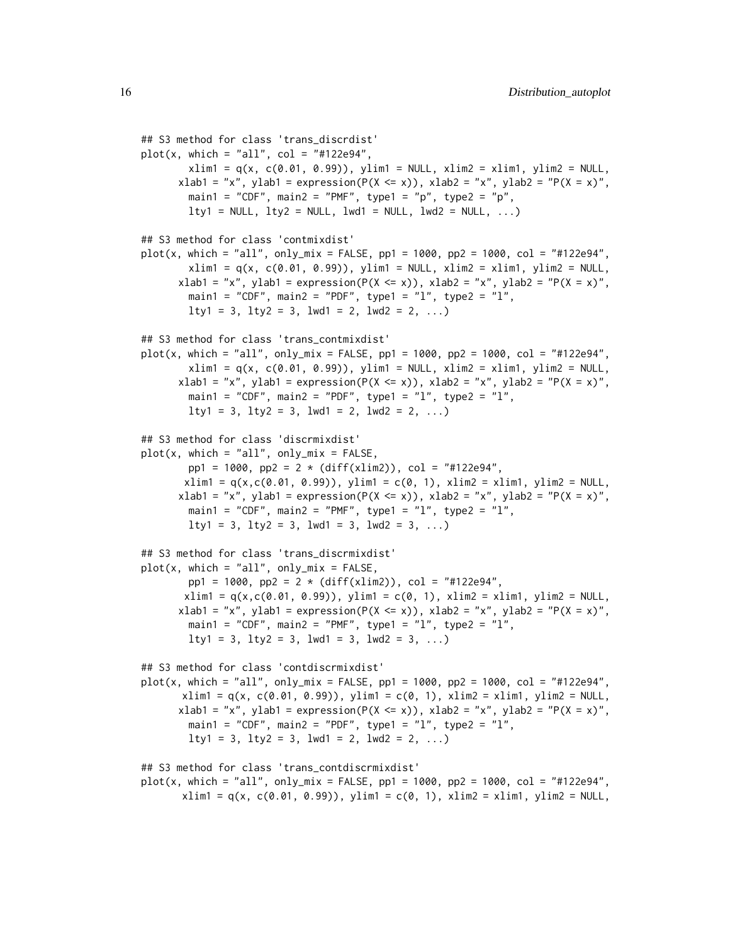```
## S3 method for class 'trans_discrdist'
plot(x, which = "all", col = "#122e94",xlim1 = q(x, c(0.01, 0.99)), ylim1 = NULL, xlim2 = xlim1, ylim2 = NULL,
      xlab1 = "x", ylab1 = expression(P(X \le x)), xlab2 = "x", ylab2 = "P(X = x)",
        main1 = "CDF", main2 = "PMF", type1 = "p", type2 = "p",
        lty1 = NULL, lty2 = NULL, lwd1 = NULL, lwd2 = NULL, ...## S3 method for class 'contmixdist'
plot(x, which = "all", only_mix = FALSE, pp1 = 1000, pp2 = 1000, col = "#122e94",
        xlim1 = q(x, c(0.01, 0.99)), ylim1 = NULL, xlim2 = xlim1, ylim2 = NULL,
      xlab1 = "x", ylab1 = expression(P(X \le x)), xlab2 = "x", ylab2 = "P(X = x)",
        main1 = "CDF", main2 = "PDF", type1 = "l", type2 = "l",
        lty1 = 3, lty2 = 3, lwd1 = 2, lwd2 = 2, ...)
## S3 method for class 'trans_contmixdist'
plot(x, which = "all", only_mix = FALSE, pp1 = 1000, pp2 = 1000, col = "#122e94",
        xlim1 = q(x, c(0.01, 0.99)), ylim1 = NULL, xlim2 = xlim1, ylim2 = NULL,
      xlab1 = "x", ylab1 = expression(P(X \le x)), xlab2 = "x", ylab2 = "P(X = x)",
        main1 = "CDF", main2 = "PDF", type1 = "l", type2 = "l",
        lty1 = 3, lty2 = 3, lwd1 = 2, lwd2 = 2, ...)
## S3 method for class 'discrmixdist'
plot(x, which = "all", only\_mix = FALSE,pp1 = 1000, pp2 = 2 * (diff(xlim2)), col = "#122e94",
       xlim1 = q(x, c(0.01, 0.99)), ylim1 = c(0, 1), xlim2 = xlim1, ylim2 = NULL,
      xlab1 = "x", ylab1 = expression(P(X \le x)), xlab2 = "x", ylab2 = "P(X = x)",
        main1 = "CDF", main2 = "PMF", type1 = "1", type2 = "1",lty1 = 3, lty2 = 3, lwd1 = 3, lwd2 = 3, ...## S3 method for class 'trans_discrmixdist'
plot(x, which = "all", only\_mix = FALSE,pp1 = 1000, pp2 = 2 * (diff(xlim2)), col = "#122e94",
       xlim1 = q(x, c(0.01, 0.99)), ylim1 = c(0, 1), xlim2 = xlim1, ylim2 = NULL,
      xlab1 = "x", ylab1 = expression(P(X \le x)), xlab2 = "x", ylab2 = "P(X = x)",
        main1 = "CDF", main2 = "PMF", type1 = "1", type2 = "1",
        lty1 = 3, lty2 = 3, lwd1 = 3, lwd2 = 3, ...)
## S3 method for class 'contdiscrmixdist'
plot(x, which = "all", only_mix = FALSE, pp1 = 1000, pp2 = 1000, col = "#122e94",
      xlim1 = q(x, c(0.01, 0.99)), ylim1 = c(0, 1), xlim2 = xlim1, ylim2 = NULL,
      xlab1 = "x", ylab1 = expression(P(X \le x)), xlab2 = "x", ylab2 = "P(X = x)",
        main1 = "CDF", main2 = "PDF", type1 = "l", type2 = "l",
        lty1 = 3, lty2 = 3, lwd1 = 2, lwd2 = 2, ...)
## S3 method for class 'trans_contdiscrmixdist'
plot(x, which = "all", only_mix = FALSE, pp1 = 1000, pp2 = 1000, col = "#122e94",
       xlim1 = q(x, c(0.01, 0.99)), ylim1 = c(0, 1), xlim2 = xlim1, ylim2 = NULL,
```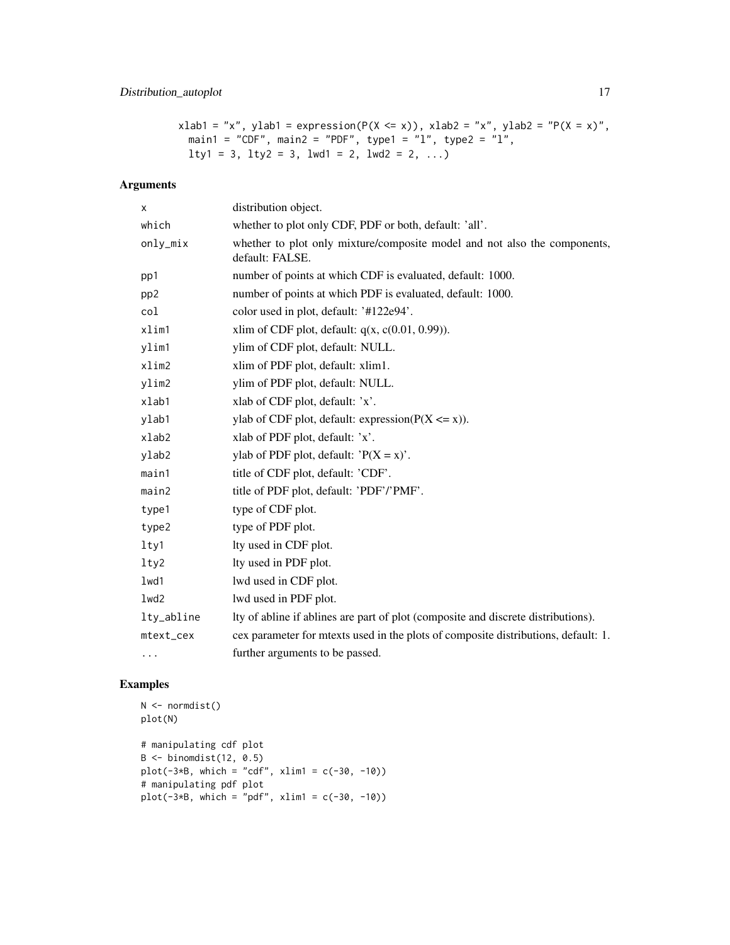## Distribution\_autoplot 17

```
xlab1 = "x", ylab1 = expression(P(X \le x)), xlab2 = "x", ylab2 = "P(X = x)",
 main1 = "CDF", main2 = "PDF", type1 = "l", type2 = "l",
 lty1 = 3, lty2 = 3, lwd1 = 2, lwd2 = 2, ...)
```
## Arguments

| х               | distribution object.                                                                         |
|-----------------|----------------------------------------------------------------------------------------------|
| which           | whether to plot only CDF, PDF or both, default: 'all'.                                       |
| only_mix        | whether to plot only mixture/composite model and not also the components,<br>default: FALSE. |
| pp1             | number of points at which CDF is evaluated, default: 1000.                                   |
| pp <sub>2</sub> | number of points at which PDF is evaluated, default: 1000.                                   |
| col             | color used in plot, default: '#122e94'.                                                      |
| xlim1           | xlim of CDF plot, default: $q(x, c(0.01, 0.99))$ .                                           |
| ylim1           | ylim of CDF plot, default: NULL.                                                             |
| xlim2           | xlim of PDF plot, default: xlim1.                                                            |
| ylim2           | ylim of PDF plot, default: NULL.                                                             |
| xlab1           | xlab of CDF plot, default: 'x'.                                                              |
| ylab1           | ylab of CDF plot, default: expression( $P(X \le x)$ ).                                       |
| $x$ lab $2$     | xlab of PDF plot, default: 'x'.                                                              |
| ylab2           | ylab of PDF plot, default: $'P(X = x)$ .                                                     |
| main1           | title of CDF plot, default: 'CDF'.                                                           |
| main2           | title of PDF plot, default: 'PDF'/'PMF'.                                                     |
| type1           | type of CDF plot.                                                                            |
| type2           | type of PDF plot.                                                                            |
| lty1            | lty used in CDF plot.                                                                        |
| lty2            | Ity used in PDF plot.                                                                        |
| 1wd1            | lwd used in CDF plot.                                                                        |
| lwd2            | lwd used in PDF plot.                                                                        |
| lty_abline      | Ity of abline if ablines are part of plot (composite and discrete distributions).            |
| mtext_cex       | cex parameter for mtexts used in the plots of composite distributions, default: 1.           |
| .               | further arguments to be passed.                                                              |

## Examples

```
N < - normdist()
plot(N)
# manipulating cdf plot
B \leftarrow binomdist(12, 0.5)plot(-3*B, which = "cdf", xlim1 = c(-30, -10))# manipulating pdf plot
plot(-3*B, which = "pdf", xlim1 = c(-30, -10))
```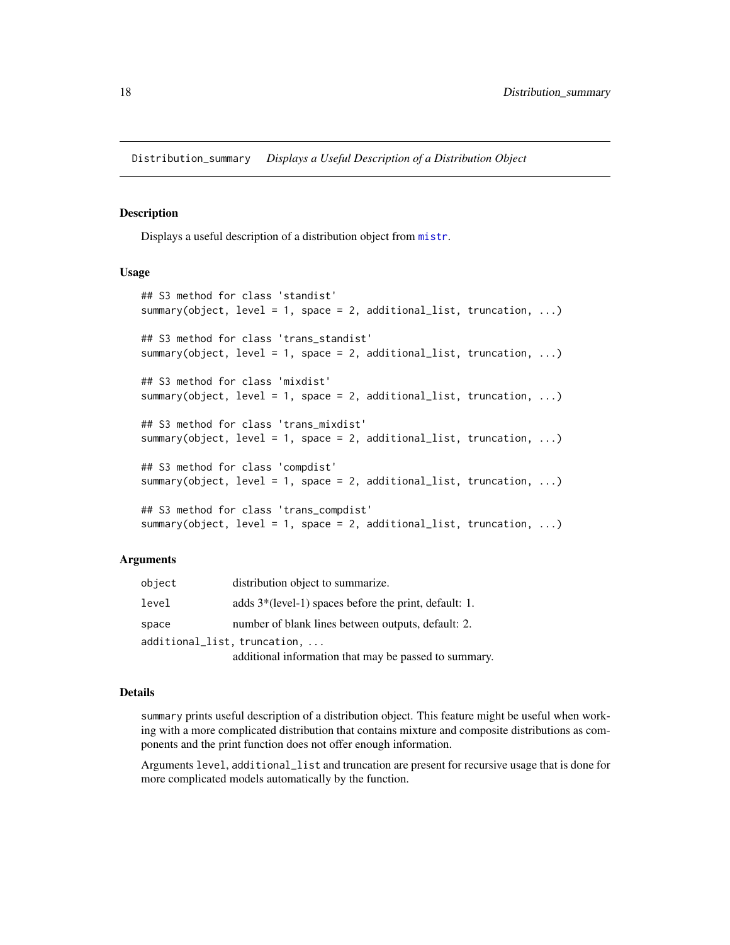<span id="page-17-0"></span>Distribution\_summary *Displays a Useful Description of a Distribution Object*

#### Description

Displays a useful description of a distribution object from [mistr](#page-2-1).

## Usage

```
## S3 method for class 'standist'
summary(object, level = 1, space = 2, additional_list, truncation, ...)
## S3 method for class 'trans_standist'
summary(object, level = 1, space = 2, additional_list, truncation, ...)
## S3 method for class 'mixdist'
summary(object, level = 1, space = 2, additional_list, truncation, ...)
## S3 method for class 'trans_mixdist'
summary(object, level = 1, space = 2, additional_list, truncation, ...)
## S3 method for class 'compdist'
summary(object, level = 1, space = 2, additional_list, truncation, ...)
## S3 method for class 'trans_compdist'
summary(object, level = 1, space = 2, additional_list, truncation, ...)
```
## Arguments

| object | distribution object to summarize.                       |
|--------|---------------------------------------------------------|
| level  | adds $3*(level-1)$ spaces before the print, default: 1. |
| space  | number of blank lines between outputs, default: 2.      |
|        | additional_list, truncation,                            |
|        | additional information that may be passed to summary.   |

## Details

summary prints useful description of a distribution object. This feature might be useful when working with a more complicated distribution that contains mixture and composite distributions as components and the print function does not offer enough information.

Arguments level, additional\_list and truncation are present for recursive usage that is done for more complicated models automatically by the function.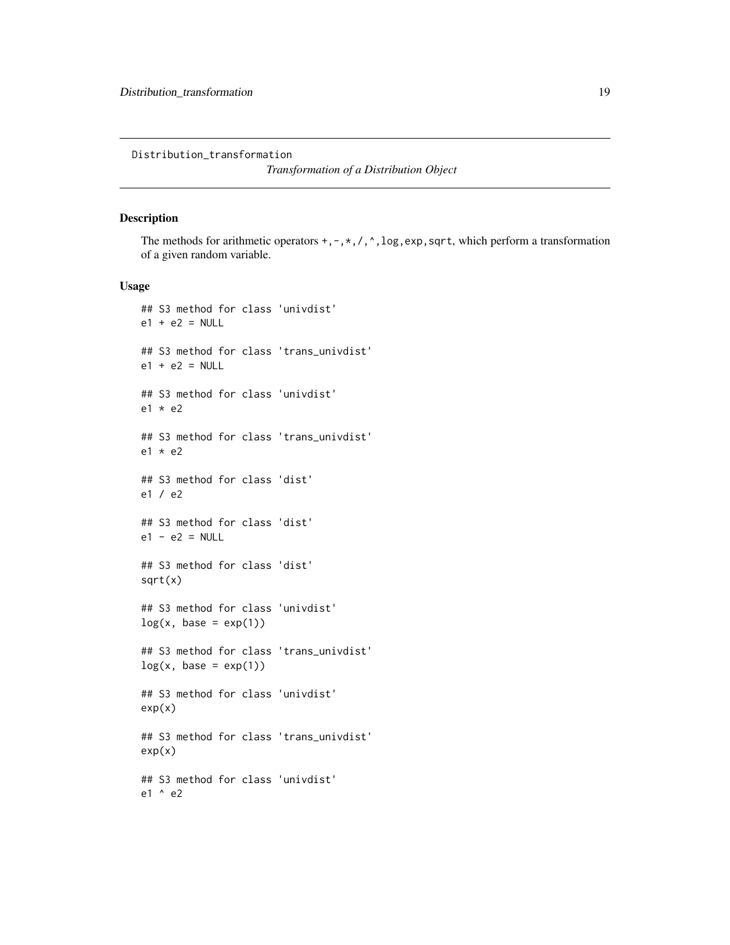<span id="page-18-0"></span>Distribution\_transformation

*Transformation of a Distribution Object*

## Description

The methods for arithmetic operators  $+, -, *, /, ^$ , log, exp, sqrt, which perform a transformation of a given random variable.

#### Usage

```
## S3 method for class 'univdist'
e1 + e2 = NULL## S3 method for class 'trans_univdist'
e1 + e2 = NULL## S3 method for class 'univdist'
e1 * e2
## S3 method for class 'trans_univdist'
e1 * e2
## S3 method for class 'dist'
e1 / e2
## S3 method for class 'dist'
e1 - e2 = NULL## S3 method for class 'dist'
sqrt(x)
## S3 method for class 'univdist'
log(x, base = exp(1))## S3 method for class 'trans_univdist'
log(x, base = exp(1))## S3 method for class 'univdist'
exp(x)
## S3 method for class 'trans_univdist'
exp(x)## S3 method for class 'univdist'
e1 ^ e2
```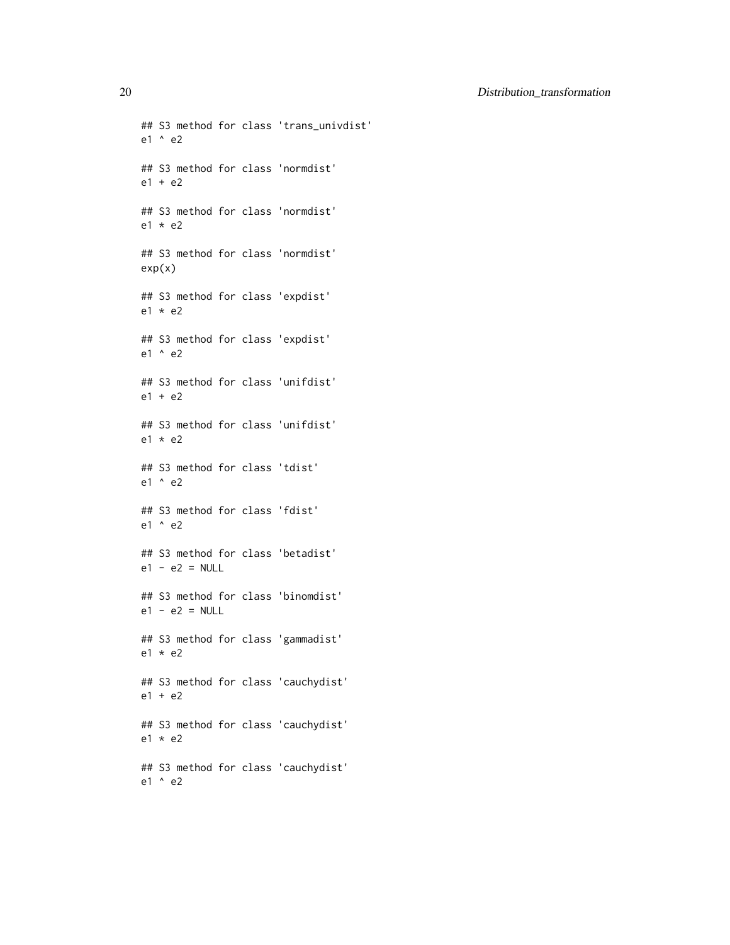## S3 method for class 'trans\_univdist' e1 ^ e2 ## S3 method for class 'normdist' e1 + e2 ## S3 method for class 'normdist' e1 \* e2 ## S3 method for class 'normdist' exp(x) ## S3 method for class 'expdist' e1 \* e2 ## S3 method for class 'expdist' e1 ^ e2 ## S3 method for class 'unifdist'  $e1 + e2$ ## S3 method for class 'unifdist'  $e1 * e2$ ## S3 method for class 'tdist' e1 ^ e2 ## S3 method for class 'fdist' e1 ^ e2 ## S3 method for class 'betadist'  $e1 - e2 = NULL$ ## S3 method for class 'binomdist'  $e1 - e2 = NULL$ ## S3 method for class 'gammadist' e1 \* e2 ## S3 method for class 'cauchydist' e1 + e2 ## S3 method for class 'cauchydist' e1 \* e2 ## S3 method for class 'cauchydist' e1 ^ e2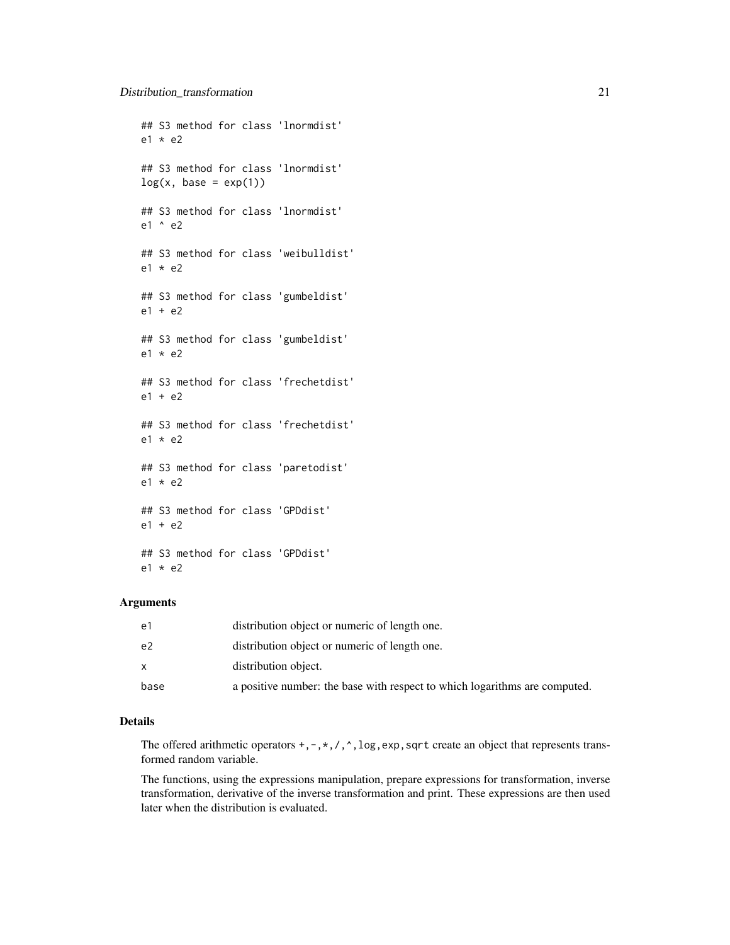```
## S3 method for class 'lnormdist'
e1 * e2
## S3 method for class 'lnormdist'
log(x, base = exp(1))## S3 method for class 'lnormdist'
e1 ^ e2
## S3 method for class 'weibulldist'
e1 * e2## S3 method for class 'gumbeldist'
e1 + e2
## S3 method for class 'gumbeldist'
e1 * e2
## S3 method for class 'frechetdist'
e1 + e2## S3 method for class 'frechetdist'
e1 * e2
## S3 method for class 'paretodist'
e1 * e2
## S3 method for class 'GPDdist'
e1 + e2
## S3 method for class 'GPDdist'
e1 * e2
```
## Arguments

| e1   | distribution object or numeric of length one.                              |
|------|----------------------------------------------------------------------------|
| e2   | distribution object or numeric of length one.                              |
|      | distribution object.                                                       |
| base | a positive number: the base with respect to which logarithms are computed. |

## Details

The offered arithmetic operators  $+, -, *, /, \land$ , log, exp, sqrt create an object that represents transformed random variable.

The functions, using the expressions manipulation, prepare expressions for transformation, inverse transformation, derivative of the inverse transformation and print. These expressions are then used later when the distribution is evaluated.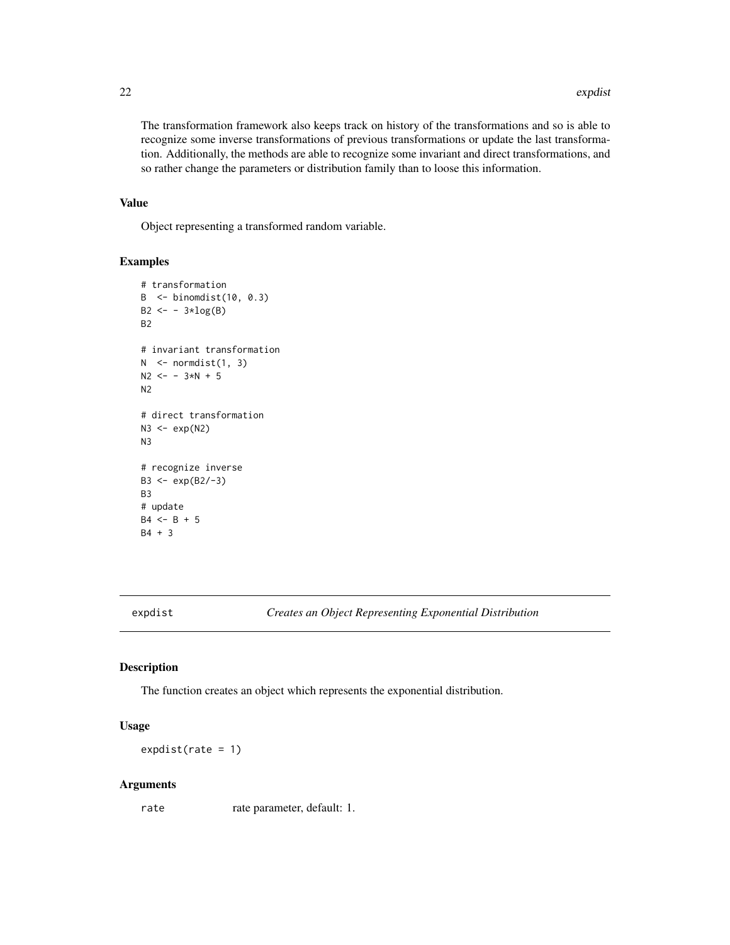The transformation framework also keeps track on history of the transformations and so is able to recognize some inverse transformations of previous transformations or update the last transformation. Additionally, the methods are able to recognize some invariant and direct transformations, and so rather change the parameters or distribution family than to loose this information.

## Value

Object representing a transformed random variable.

## Examples

```
# transformation
B <- binomdist(10, 0.3)
B2 \leftarrow -3 \star log(B)B2
# invariant transformation
N < - normdist(1, 3)
N2 <- - 3*N + 5N2
# direct transformation
N3 \leftarrow \exp(N2)N3
# recognize inverse
B3 <- exp(B2/-3)
B3
# update
B4 \le -B + 5B4 + 3
```
expdist *Creates an Object Representing Exponential Distribution*

#### Description

The function creates an object which represents the exponential distribution.

## Usage

 $expdist(rate = 1)$ 

#### Arguments

rate rate parameter, default: 1.

<span id="page-21-0"></span>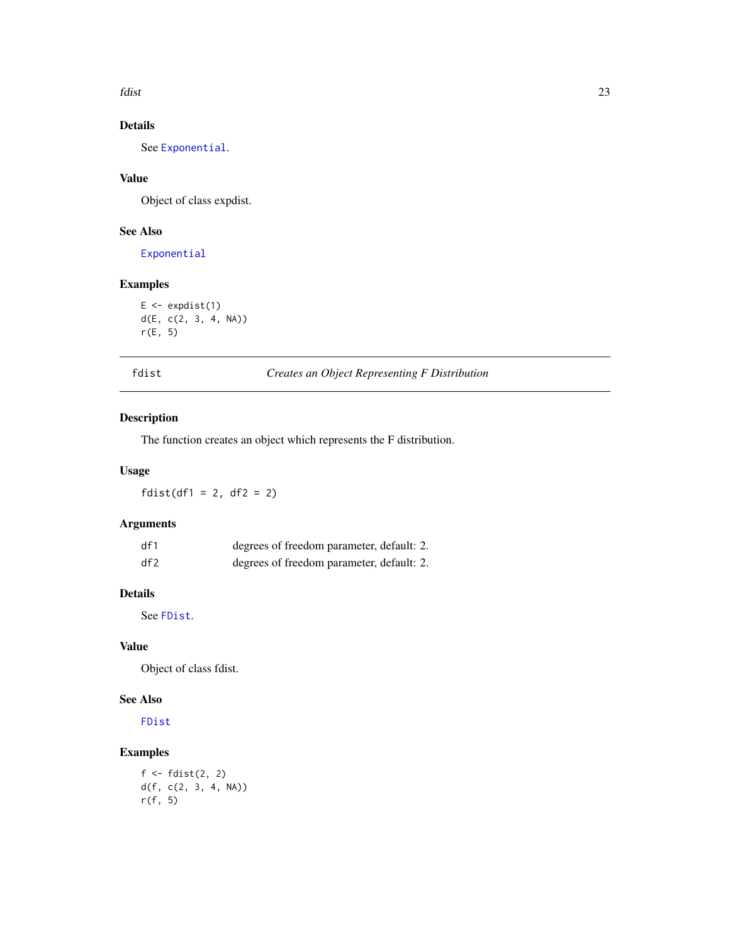<span id="page-22-0"></span>fdist 23

## Details

See [Exponential](#page-0-0).

## Value

Object of class expdist.

## See Also

[Exponential](#page-0-0)

## Examples

 $E \leftarrow \text{expdist}(1)$ d(E, c(2, 3, 4, NA)) r(E, 5)

fdist *Creates an Object Representing F Distribution*

## Description

The function creates an object which represents the F distribution.

## Usage

 $fdist(df1 = 2, df2 = 2)$ 

## Arguments

| df1 | degrees of freedom parameter, default: 2. |
|-----|-------------------------------------------|
| df2 | degrees of freedom parameter, default: 2. |

## Details

See [FDist](#page-0-0).

## Value

Object of class fdist.

## See Also

[FDist](#page-0-0)

## Examples

```
f \leftarrow \text{fdist}(2, 2)d(f, c(2, 3, 4, NA))
r(f, 5)
```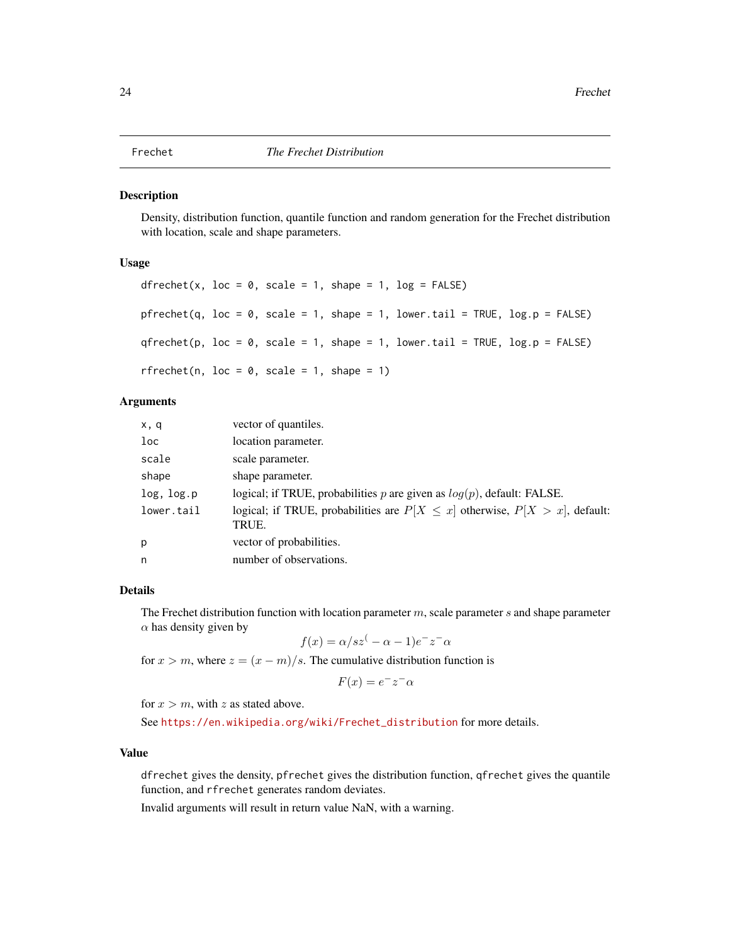<span id="page-23-1"></span><span id="page-23-0"></span>Density, distribution function, quantile function and random generation for the Frechet distribution with location, scale and shape parameters.

## Usage

```
dfrechet(x, loc = 0, scale = 1, shape = 1, log = FALSE)
pfrechet(q, loc = 0, scale = 1, shape = 1, lower.tail = TRUE, log.p = FALSE)
qfrechet(p, loc = 0, scale = 1, shape = 1, lowertail = TRUE, log.p = FALSE)rfrechet(n, loc = 0, scale = 1, shape = 1)
```
#### Arguments

| x, q            | vector of quantiles.                                                                        |
|-----------------|---------------------------------------------------------------------------------------------|
| 1 <sub>oc</sub> | location parameter.                                                                         |
| scale           | scale parameter.                                                                            |
| shape           | shape parameter.                                                                            |
| log, log.p      | logical; if TRUE, probabilities p are given as $log(p)$ , default: FALSE.                   |
| lower.tail      | logical; if TRUE, probabilities are $P[X \leq x]$ otherwise, $P[X > x]$ , default:<br>TRUE. |
| p               | vector of probabilities.                                                                    |
| n               | number of observations.                                                                     |

## Details

The Frechet distribution function with location parameter  $m$ , scale parameter  $s$  and shape parameter  $\alpha$  has density given by

$$
f(x) = \alpha/sz^{\left(-\alpha - 1\right)}e^{-z^{-}\alpha}
$$

for  $x > m$ , where  $z = (x - m)/s$ . The cumulative distribution function is

$$
F(x) = e^{-}z^{-} \alpha
$$

for  $x > m$ , with z as stated above.

See [https://en.wikipedia.org/wiki/Frechet\\_distribution](https://en.wikipedia.org/wiki/Frechet_distribution) for more details.

#### Value

dfrechet gives the density, pfrechet gives the distribution function, qfrechet gives the quantile function, and rfrechet generates random deviates.

Invalid arguments will result in return value NaN, with a warning.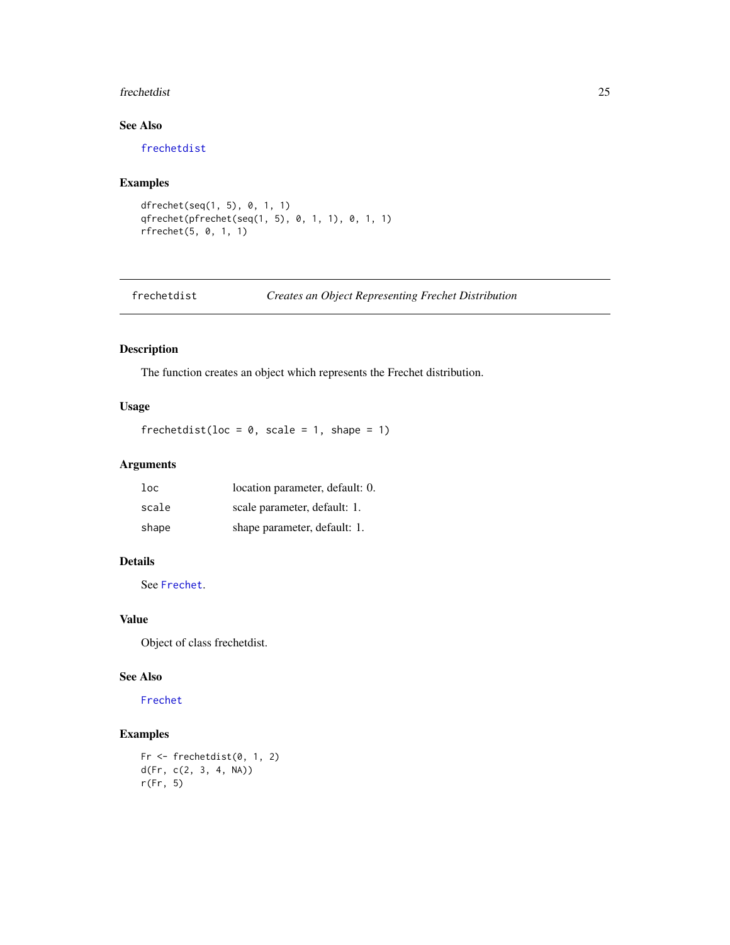#### <span id="page-24-0"></span>frechetdist 25

## See Also

[frechetdist](#page-24-1)

## Examples

```
dfrechet(seq(1, 5), 0, 1, 1)
qfrechet(pfrechet(seq(1, 5), 0, 1, 1), 0, 1, 1)
rfrechet(5, 0, 1, 1)
```
## <span id="page-24-1"></span>frechetdist *Creates an Object Representing Frechet Distribution*

## Description

The function creates an object which represents the Frechet distribution.

## Usage

frechetdist(loc =  $0$ , scale = 1, shape = 1)

## Arguments

| 1oc   | location parameter, default: 0. |
|-------|---------------------------------|
| scale | scale parameter, default: 1.    |
| shape | shape parameter, default: 1.    |

## Details

See [Frechet](#page-23-1).

## Value

Object of class frechetdist.

## See Also

[Frechet](#page-23-1)

## Examples

```
Fr <- frechetdist(0, 1, 2)d(Fr, c(2, 3, 4, NA))
r(Fr, 5)
```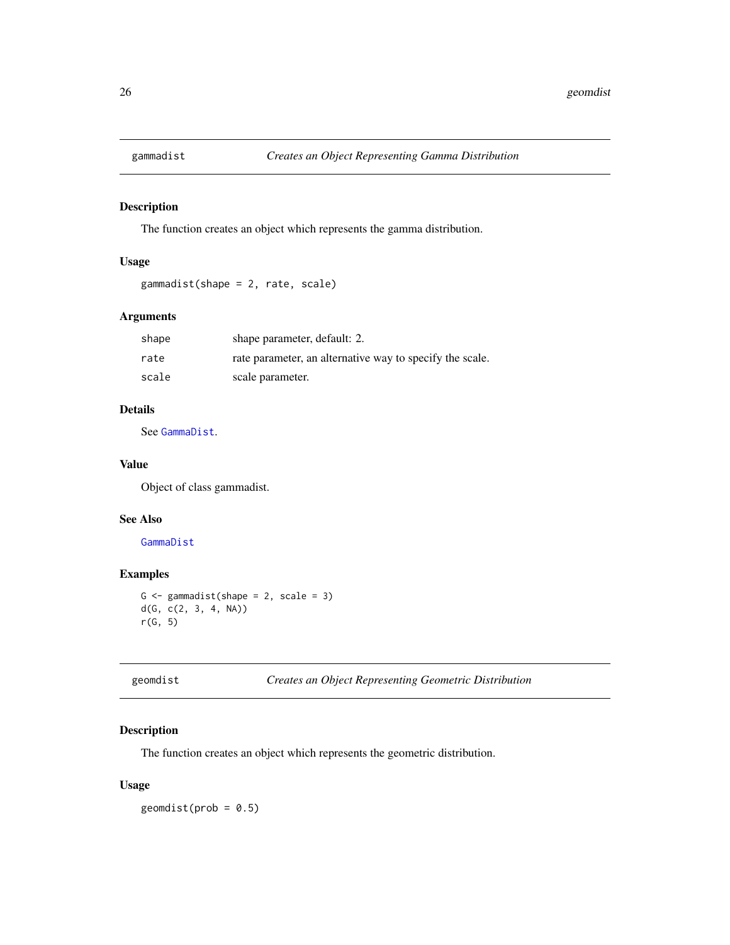<span id="page-25-0"></span>

The function creates an object which represents the gamma distribution.

## Usage

gammadist(shape = 2, rate, scale)

## Arguments

| shape | shape parameter, default: 2.                             |
|-------|----------------------------------------------------------|
| rate  | rate parameter, an alternative way to specify the scale. |
| scale | scale parameter.                                         |

## Details

See [GammaDist](#page-0-0).

## Value

Object of class gammadist.

#### See Also

[GammaDist](#page-0-0)

## Examples

```
G \leftarrow gammadist(shape = 2, scale = 3)
d(G, c(2, 3, 4, NA))
r(G, 5)
```
geomdist *Creates an Object Representing Geometric Distribution*

## Description

The function creates an object which represents the geometric distribution.

## Usage

 $geomdist(prob = 0.5)$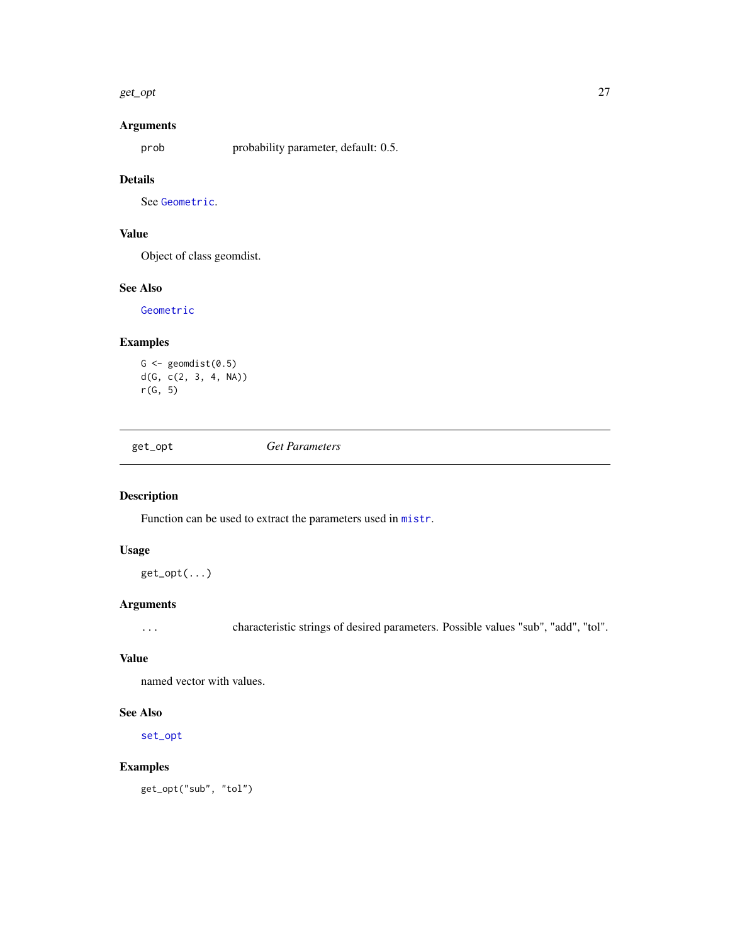#### <span id="page-26-0"></span>get\_opt 27

## Arguments

prob probability parameter, default: 0.5.

## Details

See [Geometric](#page-0-0).

## Value

Object of class geomdist.

## See Also

[Geometric](#page-0-0)

## Examples

```
G \leftarrow geomdist(0.5)d(G, c(2, 3, 4, NA))r(G, 5)
```
get\_opt *Get Parameters*

## Description

Function can be used to extract the parameters used in [mistr](#page-2-1).

## Usage

get\_opt(...)

## Arguments

... characteristic strings of desired parameters. Possible values "sub", "add", "tol".

## Value

named vector with values.

#### See Also

[set\\_opt](#page-76-1)

## Examples

get\_opt("sub", "tol")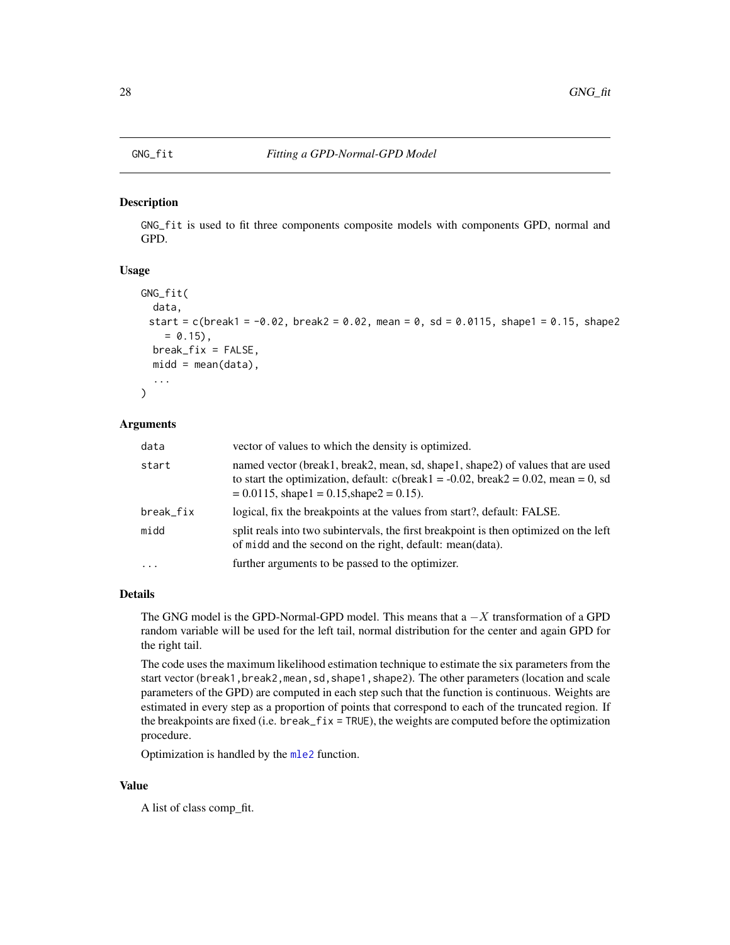<span id="page-27-0"></span>GNG\_fit is used to fit three components composite models with components GPD, normal and GPD.

#### Usage

```
GNG_fit(
  data,
 start = c(break1 = -0.02, break2 = 0.02, mean = 0, sd = 0.0115, shape1 = 0.15, shape2
    = 0.15,
 break_fix = FALSE,
 mid = mean(data),
  ...
)
```
#### Arguments

| data      | vector of values to which the density is optimized.                                                                                                                                                                   |
|-----------|-----------------------------------------------------------------------------------------------------------------------------------------------------------------------------------------------------------------------|
| start     | named vector (break1, break2, mean, sd, shape1, shape2) of values that are used<br>to start the optimization, default: $c(break1 = -0.02, break2 = 0.02, mean = 0, sd$<br>$= 0.0115$ , shape1 = 0.15, shape2 = 0.15). |
| break_fix | logical, fix the breakpoints at the values from start?, default: FALSE.                                                                                                                                               |
| midd      | split reals into two subintervals, the first breakpoint is then optimized on the left<br>of midd and the second on the right, default: mean(data).                                                                    |
| $\ddotsc$ | further arguments to be passed to the optimizer.                                                                                                                                                                      |

#### Details

The GNG model is the GPD-Normal-GPD model. This means that  $a - X$  transformation of a GPD random variable will be used for the left tail, normal distribution for the center and again GPD for the right tail.

The code uses the maximum likelihood estimation technique to estimate the six parameters from the start vector (break1, break2, mean, sd, shape1, shape2). The other parameters (location and scale parameters of the GPD) are computed in each step such that the function is continuous. Weights are estimated in every step as a proportion of points that correspond to each of the truncated region. If the breakpoints are fixed (i.e. break\_fix = TRUE), the weights are computed before the optimization procedure.

Optimization is handled by the [mle2](#page-0-0) function.

#### Value

A list of class comp\_fit.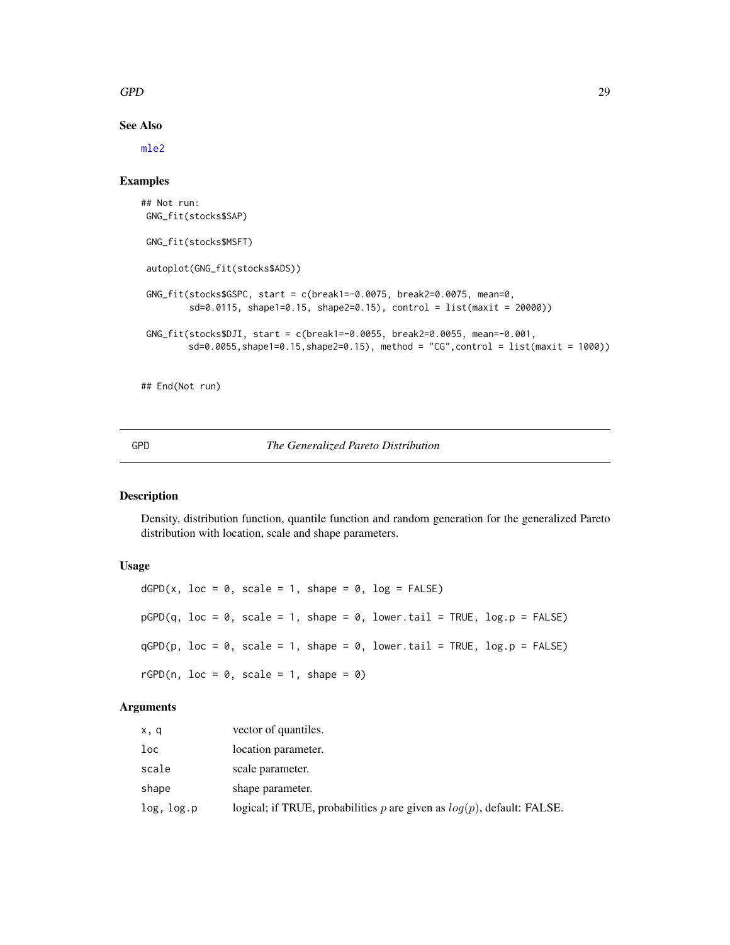## <span id="page-28-0"></span> $GPD$  29

## See Also

[mle2](#page-0-0)

## Examples

```
## Not run:
GNG_fit(stocks$SAP)
GNG_fit(stocks$MSFT)
autoplot(GNG_fit(stocks$ADS))
GNG_fit(stocks$GSPC, start = c(break1=-0.0075, break2=0.0075, mean=0,
         sd=0.0115, shape1=0.15, shape2=0.15), control = list(maxit = 20000))
GNG_fit(stocks$DJI, start = c(break1=-0.0055, break2=0.0055, mean=-0.001,
         sd=0.0055, shape1=0.15, shape2=0.15), method = "CG", control = list(maxit = 1000))
```
## End(Not run)

## <span id="page-28-1"></span>GPD *The Generalized Pareto Distribution*

## Description

Density, distribution function, quantile function and random generation for the generalized Pareto distribution with location, scale and shape parameters.

## Usage

```
dGPD(x, loc = 0, scale = 1, shape = 0, log = FALSE)pGPD(q, loc = 0, scale = 1, shape = 0, lowertail = TRUE, <math>log.p = FALSE)qGPD(p, loc = 0, scale = 1, shape = 0, lowertail = TRUE, <math>log.p = FALSE)rGPD(n, loc = 0, scale = 1, shape = 0)
```
## Arguments

| x, q       | vector of quantiles.                                                      |
|------------|---------------------------------------------------------------------------|
| loc        | location parameter.                                                       |
| scale      | scale parameter.                                                          |
| shape      | shape parameter.                                                          |
| log, log.p | logical; if TRUE, probabilities p are given as $log(p)$ , default: FALSE. |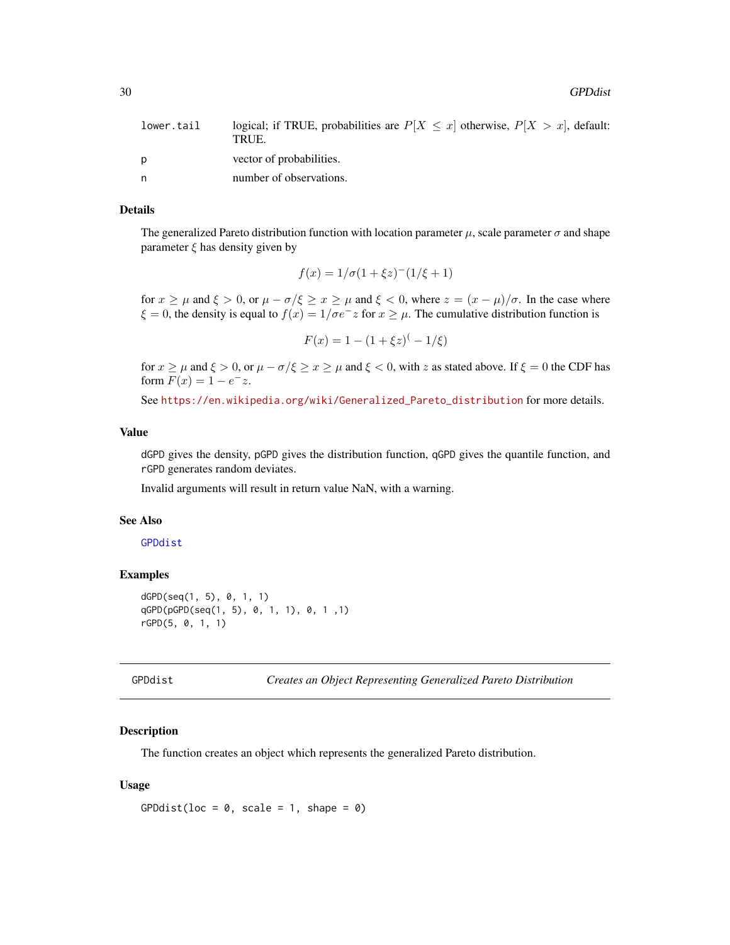<span id="page-29-0"></span>30 GPDdist

| lower.tail | logical; if TRUE, probabilities are $P[X \leq x]$ otherwise, $P[X > x]$ , default:<br>TRUE. |
|------------|---------------------------------------------------------------------------------------------|
| D          | vector of probabilities.                                                                    |
| n          | number of observations.                                                                     |

## Details

The generalized Pareto distribution function with location parameter  $\mu$ , scale parameter  $\sigma$  and shape parameter  $\xi$  has density given by

$$
f(x) = 1/\sigma(1 + \xi z)^{-1/(\xi + 1)
$$

for  $x \ge \mu$  and  $\xi > 0$ , or  $\mu - \sigma/\xi \ge x \ge \mu$  and  $\xi < 0$ , where  $z = (x - \mu)/\sigma$ . In the case where  $\xi = 0$ , the density is equal to  $f(x) = 1/\sigma e^{-x}$  for  $x \ge \mu$ . The cumulative distribution function is

$$
F(x) = 1 - (1 + \xi z)^{-1} - 1/\xi
$$

for  $x \ge \mu$  and  $\xi > 0$ , or  $\mu - \sigma/\xi \ge x \ge \mu$  and  $\xi < 0$ , with z as stated above. If  $\xi = 0$  the CDF has form  $F(x) = 1 - e^{-x}$ .

See [https://en.wikipedia.org/wiki/Generalized\\_Pareto\\_distribution](https://en.wikipedia.org/wiki/Generalized_Pareto_distribution) for more details.

## Value

dGPD gives the density, pGPD gives the distribution function, qGPD gives the quantile function, and rGPD generates random deviates.

Invalid arguments will result in return value NaN, with a warning.

#### See Also

#### [GPDdist](#page-29-1)

## Examples

```
dGPD(seq(1, 5), 0, 1, 1)
qGPD(pGPD(seq(1, 5), 0, 1, 1), 0, 1 ,1)
rGPD(5, 0, 1, 1)
```

```
GPDdist Creates an Object Representing Generalized Pareto Distribution
```
#### Description

The function creates an object which represents the generalized Pareto distribution.

#### Usage

GPDdist(loc =  $0$ , scale = 1, shape =  $0$ )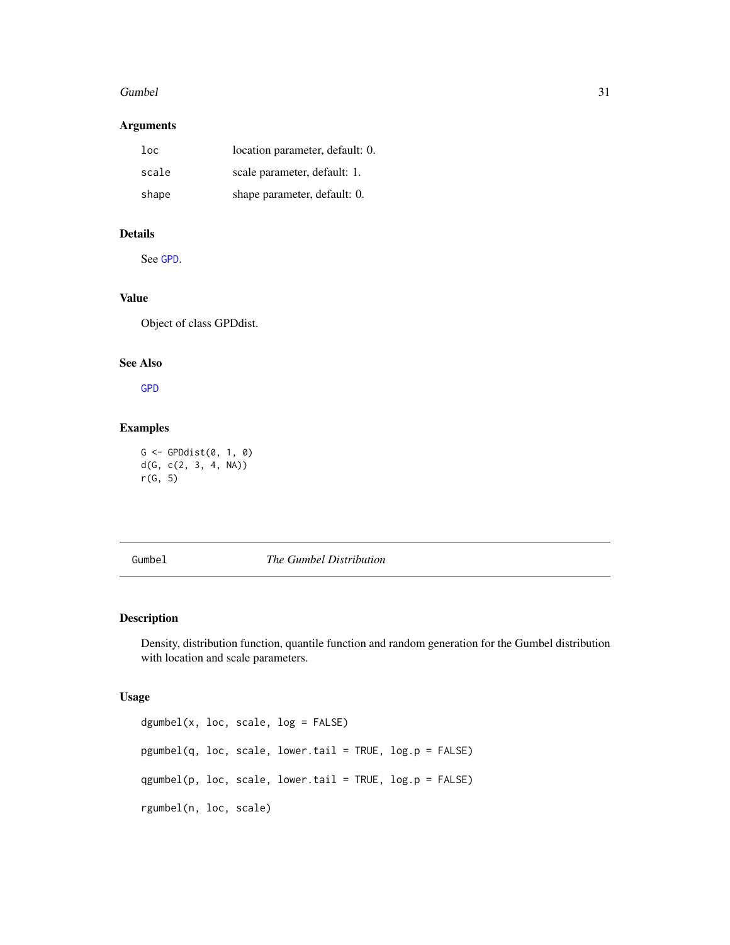#### <span id="page-30-0"></span>Gumbel 31

## Arguments

| $1$ oc | location parameter, default: 0. |
|--------|---------------------------------|
| scale  | scale parameter, default: 1.    |
| shape  | shape parameter, default: 0.    |

## Details

See [GPD](#page-28-1).

## Value

Object of class GPDdist.

## See Also

[GPD](#page-28-1)

## Examples

G <- GPDdist(0, 1, 0) d(G, c(2, 3, 4, NA)) r(G, 5)

## <span id="page-30-1"></span>Gumbel *The Gumbel Distribution*

## Description

Density, distribution function, quantile function and random generation for the Gumbel distribution with location and scale parameters.

#### Usage

```
dgumbel(x, loc, scale, log = FALSE)
pgumbel(q, loc, scale, lower.tail = TRUE, log.p = FALSE)
qgumbel(p, loc, scale, lower.tail = TRUE, log.p = FALSE)
rgumbel(n, loc, scale)
```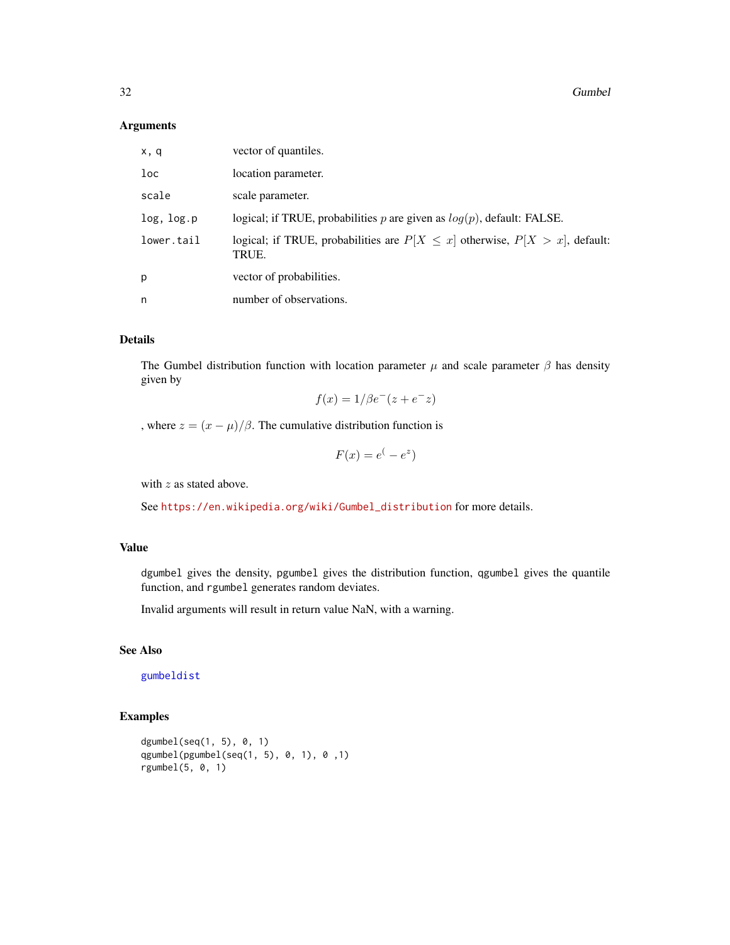#### Arguments

| x, q       | vector of quantiles.                                                                        |
|------------|---------------------------------------------------------------------------------------------|
| loc        | location parameter.                                                                         |
| scale      | scale parameter.                                                                            |
| log, log.p | logical; if TRUE, probabilities p are given as $log(p)$ , default: FALSE.                   |
| lower.tail | logical; if TRUE, probabilities are $P[X \leq x]$ otherwise, $P[X > x]$ , default:<br>TRUE. |
| p          | vector of probabilities.                                                                    |
| n          | number of observations.                                                                     |

## Details

The Gumbel distribution function with location parameter  $\mu$  and scale parameter  $\beta$  has density given by

$$
f(x) = 1/\beta e^-(z + e^- z)
$$

, where  $z = (x - \mu)/\beta$ . The cumulative distribution function is

$$
F(x) = e^(-e^z)
$$

with z as stated above.

See [https://en.wikipedia.org/wiki/Gumbel\\_distribution](https://en.wikipedia.org/wiki/Gumbel_distribution) for more details.

## Value

dgumbel gives the density, pgumbel gives the distribution function, qgumbel gives the quantile function, and rgumbel generates random deviates.

Invalid arguments will result in return value NaN, with a warning.

## See Also

[gumbeldist](#page-32-1)

## Examples

```
dgumbel(seq(1, 5), 0, 1)qgumbel(pgumbel(seq(1, 5), 0, 1), 0 ,1)
rgumbel(5, 0, 1)
```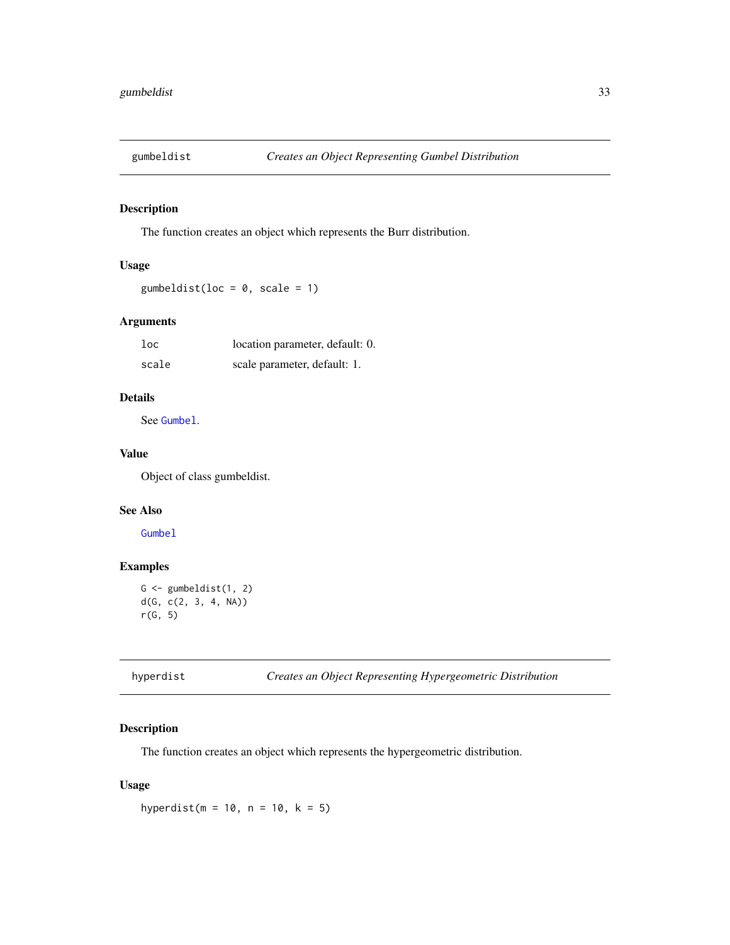<span id="page-32-1"></span><span id="page-32-0"></span>

The function creates an object which represents the Burr distribution.

## Usage

gumbeldist(loc =  $0$ , scale = 1)

## Arguments

| 1oc   | location parameter, default: 0. |
|-------|---------------------------------|
| scale | scale parameter, default: 1.    |

## Details

See [Gumbel](#page-30-1).

## Value

Object of class gumbeldist.

## See Also

[Gumbel](#page-30-1)

## Examples

```
G \leftarrow gumbeldist(1, 2)
d(G, c(2, 3, 4, NA))
r(G, 5)
```
hyperdist *Creates an Object Representing Hypergeometric Distribution*

#### Description

The function creates an object which represents the hypergeometric distribution.

## Usage

hyperdist( $m = 10$ ,  $n = 10$ ,  $k = 5$ )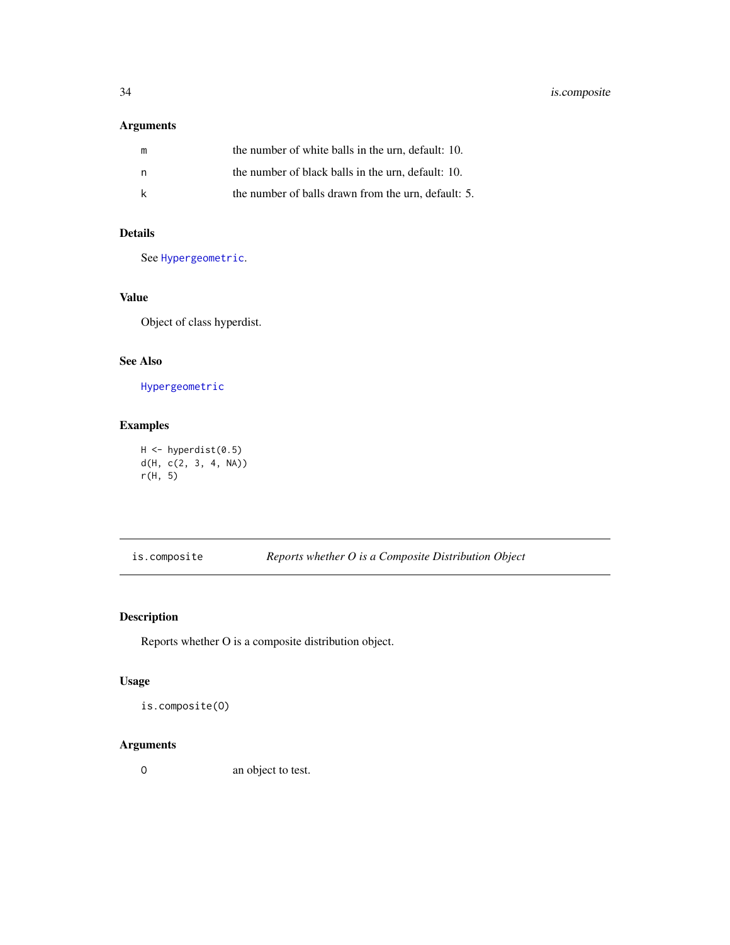## <span id="page-33-0"></span>Arguments

| m | the number of white balls in the urn, default: 10.  |
|---|-----------------------------------------------------|
| n | the number of black balls in the urn, default: 10.  |
|   | the number of balls drawn from the urn, default: 5. |

## Details

See [Hypergeometric](#page-0-0).

## Value

Object of class hyperdist.

## See Also

[Hypergeometric](#page-0-0)

## Examples

H <- hyperdist(0.5) d(H, c(2, 3, 4, NA)) r(H, 5)

is.composite *Reports whether O is a Composite Distribution Object*

## Description

Reports whether O is a composite distribution object.

## Usage

is.composite(O)

## Arguments

O an object to test.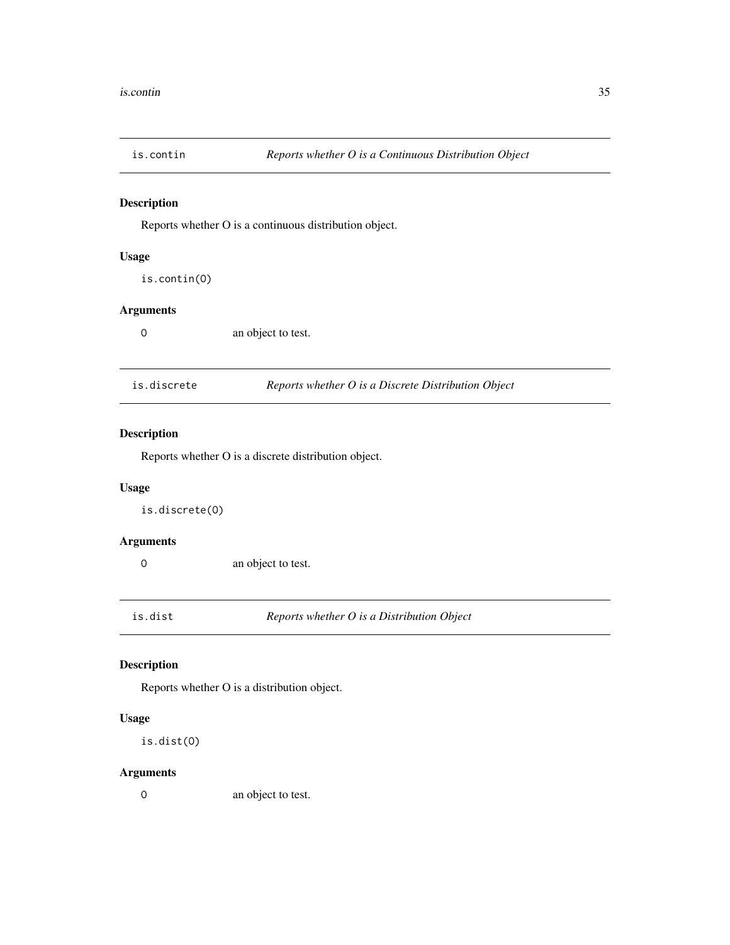<span id="page-34-0"></span>

Reports whether O is a continuous distribution object.

## Usage

is.contin(O)

## Arguments

O an object to test.

| is.discrete | Reports whether O is a Discrete Distribution Object |
|-------------|-----------------------------------------------------|
|-------------|-----------------------------------------------------|

## Description

Reports whether O is a discrete distribution object.

## Usage

is.discrete(O)

## Arguments

O an object to test.

is.dist *Reports whether O is a Distribution Object*

## Description

Reports whether O is a distribution object.

## Usage

is.dist(O)

## Arguments

O an object to test.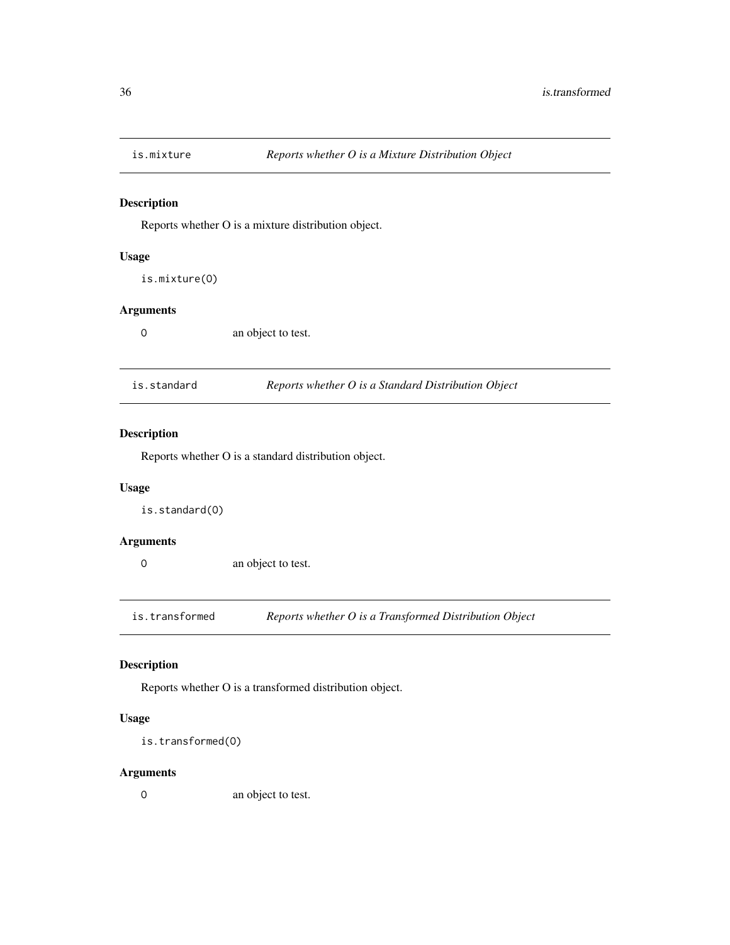<span id="page-35-0"></span>

Reports whether O is a mixture distribution object.

## Usage

is.mixture(O)

## Arguments

O an object to test.

| is.standard | Reports whether O is a Standard Distribution Object |
|-------------|-----------------------------------------------------|
|-------------|-----------------------------------------------------|

## Description

Reports whether O is a standard distribution object.

## Usage

is.standard(O)

## Arguments

O an object to test.

is.transformed *Reports whether O is a Transformed Distribution Object*

## Description

Reports whether O is a transformed distribution object.

## Usage

```
is.transformed(O)
```
## Arguments

O an object to test.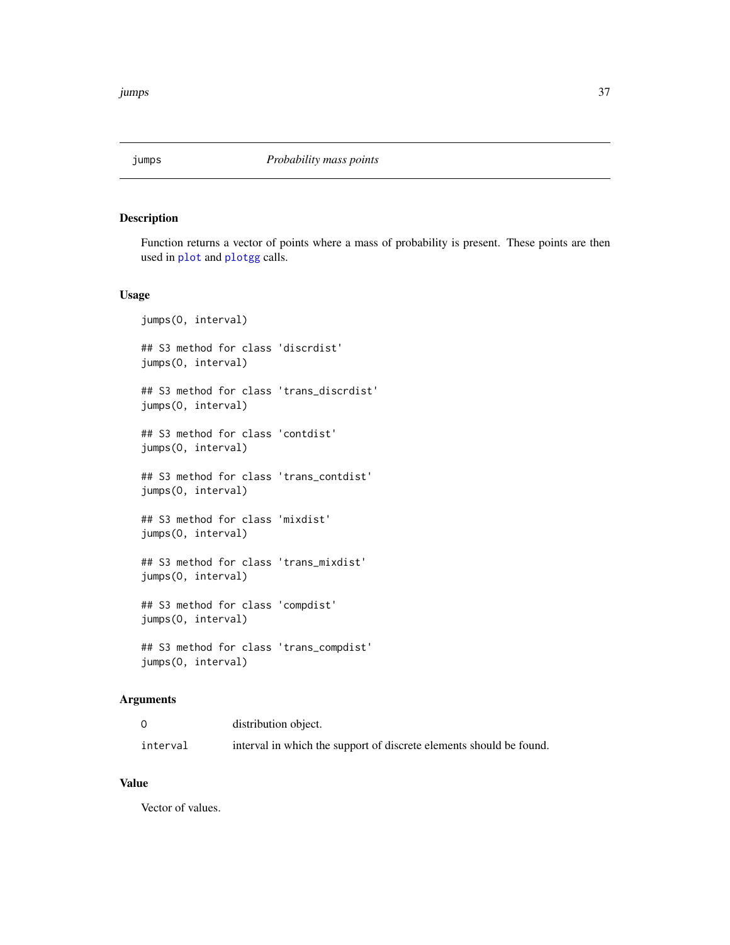Function returns a vector of points where a mass of probability is present. These points are then used in [plot](#page-0-0) and [plotgg](#page-52-0) calls.

### Usage

```
jumps(O, interval)
## S3 method for class 'discrdist'
jumps(O, interval)
## S3 method for class 'trans_discrdist'
jumps(O, interval)
## S3 method for class 'contdist'
jumps(O, interval)
## S3 method for class 'trans_contdist'
jumps(O, interval)
## S3 method for class 'mixdist'
jumps(O, interval)
## S3 method for class 'trans_mixdist'
jumps(O, interval)
## S3 method for class 'compdist'
jumps(O, interval)
## S3 method for class 'trans_compdist'
jumps(O, interval)
```
# Arguments

|          | distribution object.                                                |
|----------|---------------------------------------------------------------------|
| interval | interval in which the support of discrete elements should be found. |

#### Value

Vector of values.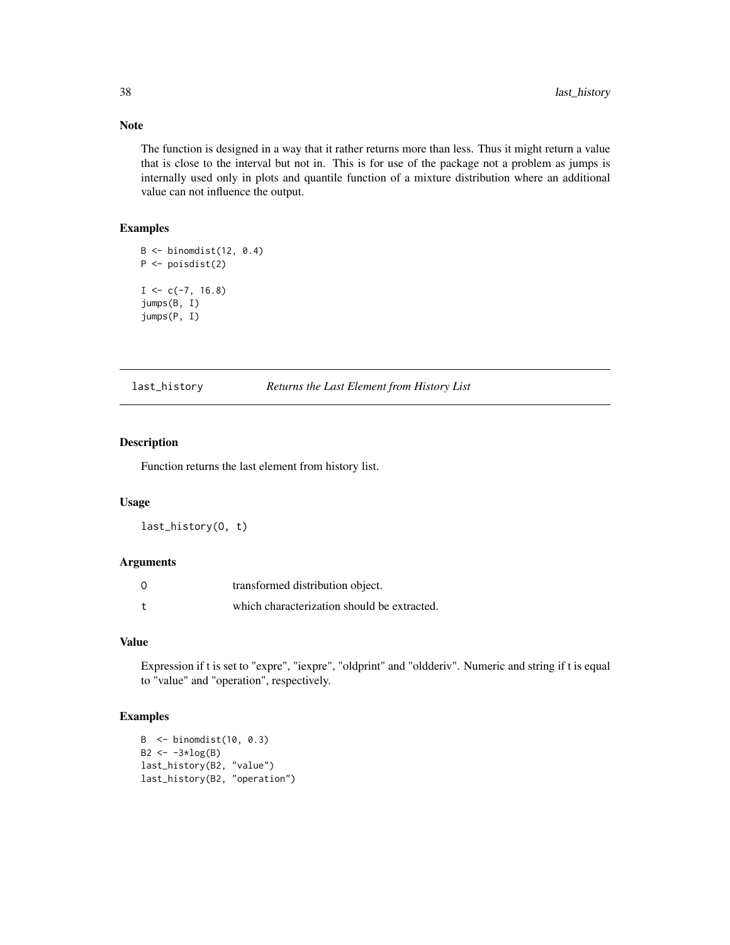The function is designed in a way that it rather returns more than less. Thus it might return a value that is close to the interval but not in. This is for use of the package not a problem as jumps is internally used only in plots and quantile function of a mixture distribution where an additional value can not influence the output.

#### Examples

```
B \leftarrow binomdist(12, 0.4)P \leftarrow \text{poisdist}(2)I \leftarrow c(-7, 16.8)jumps(B, I)
jumps(P, I)
```
last\_history *Returns the Last Element from History List*

### Description

Function returns the last element from history list.

### Usage

last\_history(O, t)

## Arguments

| $\Omega$ | transformed distribution object.            |
|----------|---------------------------------------------|
|          | which characterization should be extracted. |

# Value

Expression if t is set to "expre", "iexpre", "oldprint" and "oldderiv". Numeric and string if t is equal to "value" and "operation", respectively.

# Examples

```
B <- binomdist(10, 0.3)
B2 \le -3 \times log(B)last_history(B2, "value")
last_history(B2, "operation")
```
# Note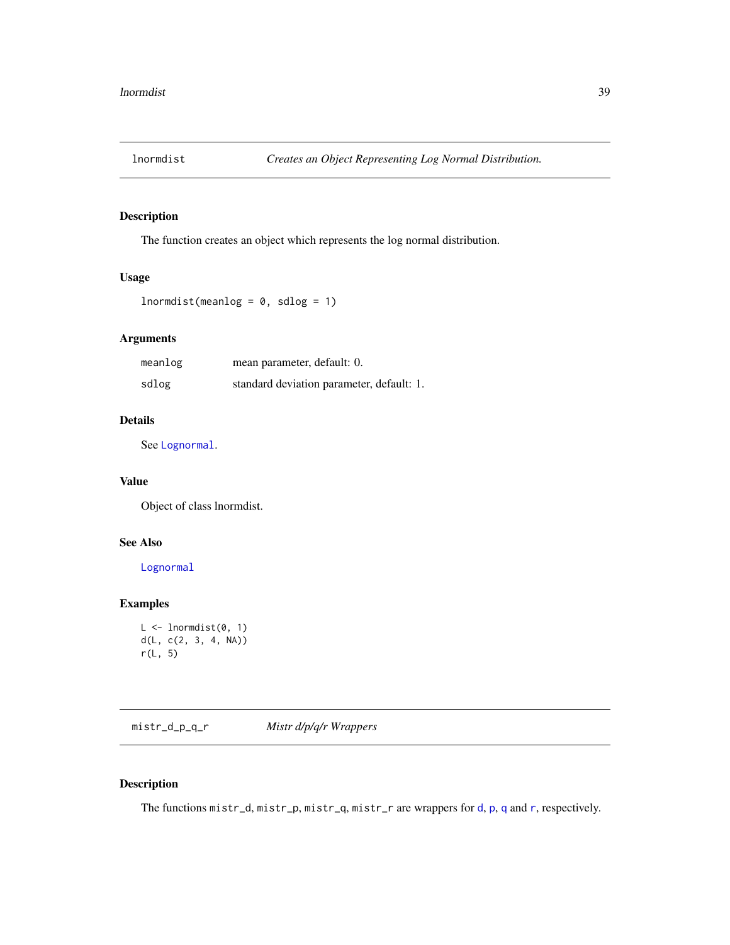The function creates an object which represents the log normal distribution.

### Usage

```
lnormalist(meanlog = 0, sdlog = 1)
```
# Arguments

| meanlog | mean parameter, default: 0.               |
|---------|-------------------------------------------|
| sdlog   | standard deviation parameter, default: 1. |

# Details

See [Lognormal](#page-0-0).

### Value

Object of class lnormdist.

# See Also

[Lognormal](#page-0-0)

# Examples

```
L \leftarrow lnormdist(0, 1)d(L, c(2, 3, 4, NA))
r(L, 5)
```
mistr\_d\_p\_q\_r *Mistr d/p/q/r Wrappers*

# Description

The functions mistr\_[d](#page-12-0), mistr\_[p](#page-45-0), mistr\_[q](#page-62-0), mist[r](#page-73-0)\_r are wrappers for d, p, q and r, respectively.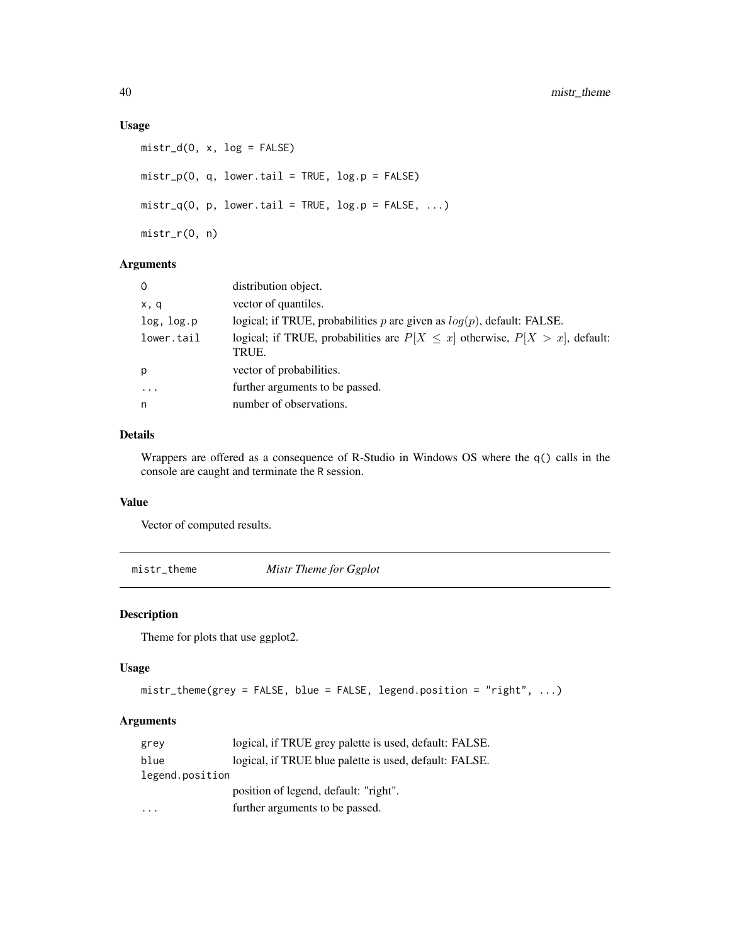### Usage

```
mistr_d(0, x, log = FALSE)mistr_p(O, q, lower.tail = TRUE, log.p = FALSE)
mistr_q(0, p, lower.tail = TRUE, log.p = FALSE, ...)mistr_r(O, n)
```
# Arguments

| $\mathbf{0}$ | distribution object.                                                                        |
|--------------|---------------------------------------------------------------------------------------------|
| x, q         | vector of quantiles.                                                                        |
| log, log.p   | logical; if TRUE, probabilities p are given as $log(p)$ , default: FALSE.                   |
| lower.tail   | logical; if TRUE, probabilities are $P[X \leq x]$ otherwise, $P[X > x]$ , default:<br>TRUE. |
| p            | vector of probabilities.                                                                    |
| $\cdot$      | further arguments to be passed.                                                             |
| n            | number of observations.                                                                     |

## Details

Wrappers are offered as a consequence of R-Studio in Windows OS where the q() calls in the console are caught and terminate the R session.

## Value

Vector of computed results.

mistr\_theme *Mistr Theme for Ggplot*

# Description

Theme for plots that use ggplot2.

# Usage

```
mistr_theme(grey = FALSE, blue = FALSE, legend.position = "right", ...)
```
# Arguments

| grey            | logical, if TRUE grey palette is used, default: FALSE. |
|-----------------|--------------------------------------------------------|
| blue            | logical, if TRUE blue palette is used, default: FALSE. |
| legend.position |                                                        |
|                 | position of legend, default: "right".                  |
|                 | further arguments to be passed.                        |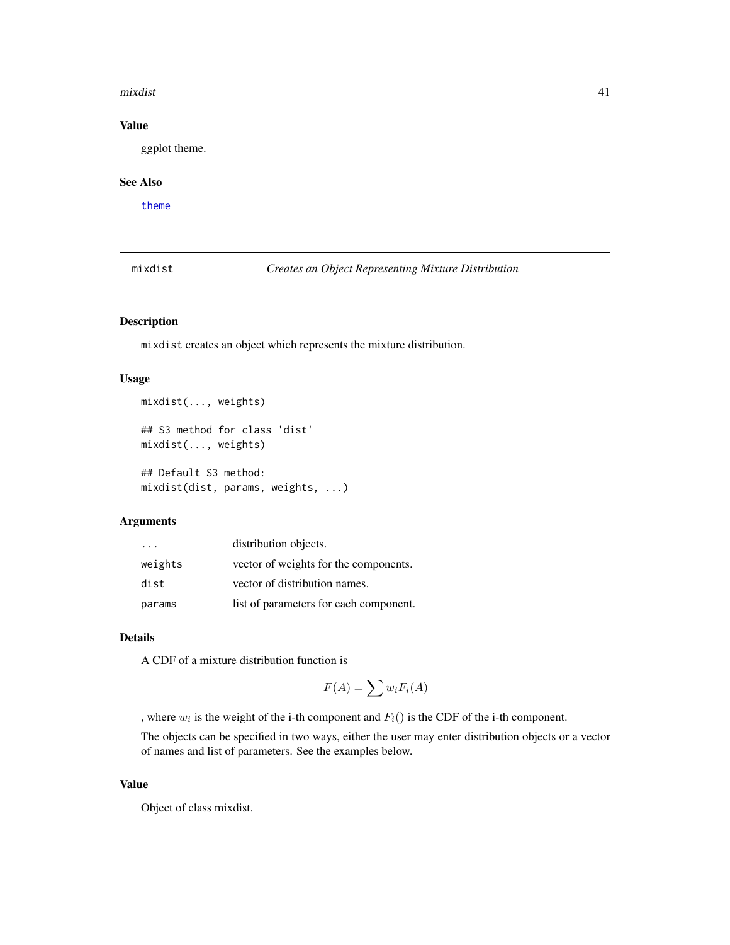#### mixdist 41

### Value

ggplot theme.

#### See Also

[theme](#page-0-0)

mixdist *Creates an Object Representing Mixture Distribution*

# Description

mixdist creates an object which represents the mixture distribution.

#### Usage

```
mixdist(..., weights)
```

```
## S3 method for class 'dist'
mixdist(..., weights)
```
## Default S3 method: mixdist(dist, params, weights, ...)

### Arguments

| $\cdot$ $\cdot$ $\cdot$ | distribution objects.                  |
|-------------------------|----------------------------------------|
| weights                 | vector of weights for the components.  |
| dist                    | vector of distribution names.          |
| params                  | list of parameters for each component. |

# Details

A CDF of a mixture distribution function is

$$
F(A) = \sum w_i F_i(A)
$$

, where  $w_i$  is the weight of the i-th component and  $F_i()$  is the CDF of the i-th component.

The objects can be specified in two ways, either the user may enter distribution objects or a vector of names and list of parameters. See the examples below.

#### Value

Object of class mixdist.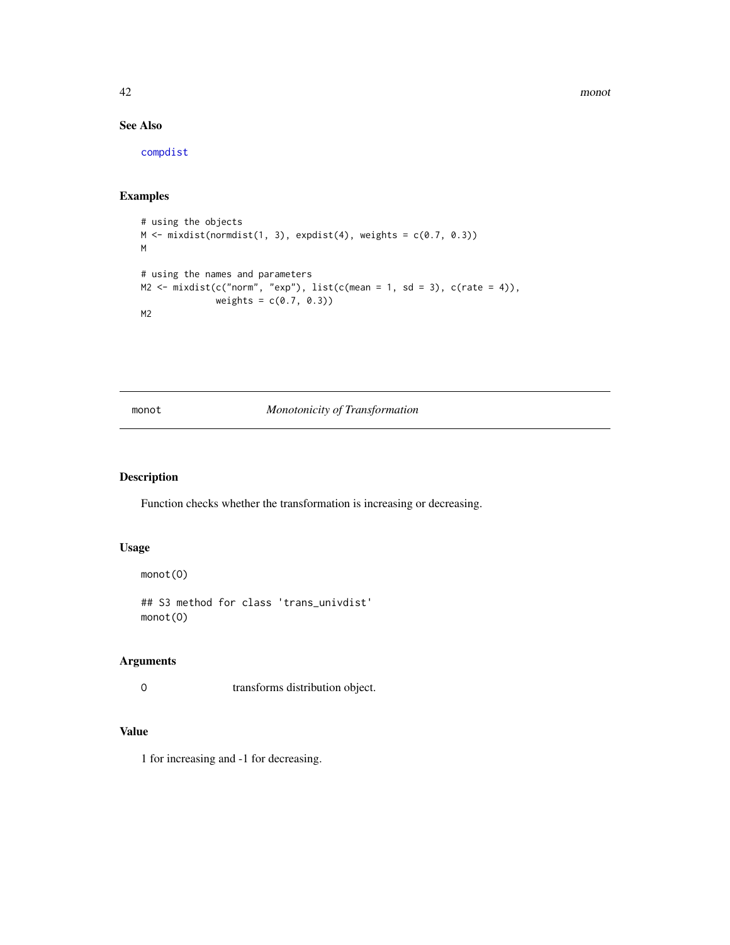42 monot

# See Also

[compdist](#page-10-0)

# Examples

```
# using the objects
M \leftarrow \text{mixdist}(\text{normalist}(1, 3), \text{expdist}(4), \text{weights} = c(0.7, 0.3))M
# using the names and parameters
M2 \leq -\text{mixedist}(c("norm", "exp"), list(c(mean = 1, sd = 3), c(rate = 4)),weights = c(0.7, 0.3)M2
```
monot *Monotonicity of Transformation*

# Description

Function checks whether the transformation is increasing or decreasing.

#### Usage

```
monot(O)
```

```
## S3 method for class 'trans_univdist'
monot(O)
```
## Arguments

O transforms distribution object.

# Value

1 for increasing and -1 for decreasing.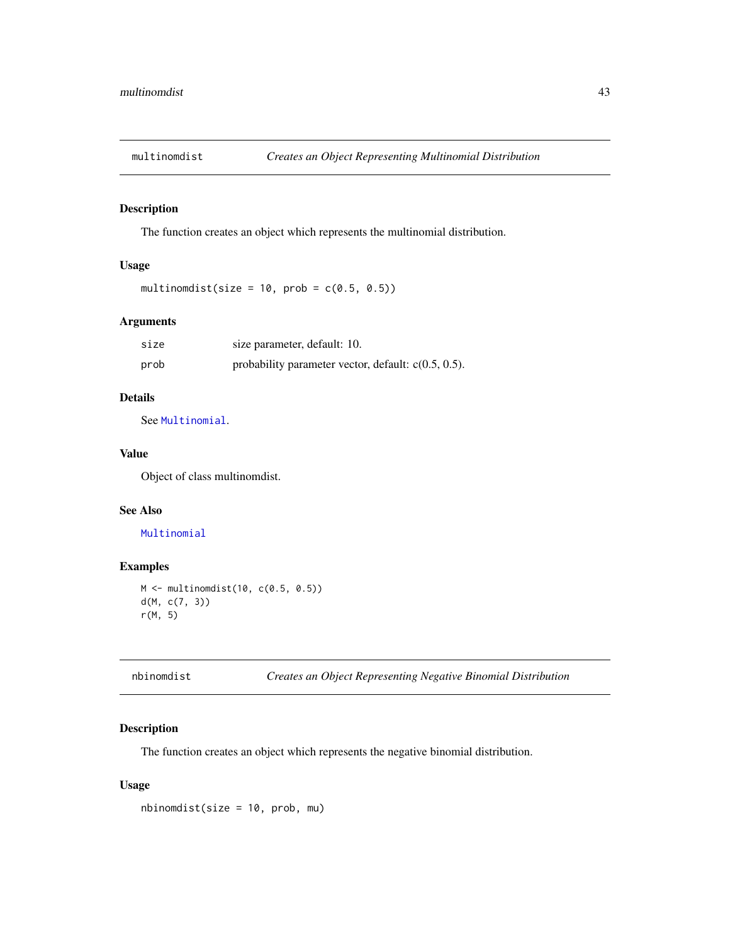The function creates an object which represents the multinomial distribution.

### Usage

multinomdist(size =  $10$ , prob =  $c(0.5, 0.5)$ )

# Arguments

| size | size parameter, default: 10.                           |
|------|--------------------------------------------------------|
| prob | probability parameter vector, default: $c(0.5, 0.5)$ . |

# Details

See [Multinomial](#page-0-0).

### Value

Object of class multinomdist.

### See Also

### [Multinomial](#page-0-0)

# Examples

```
M <- multinomdist(10, c(0.5, 0.5))
d(M, c(7, 3))
r(M, 5)
```

|  |  |  |  |  | Creates an Object Representing Negative Binomial Distribution |
|--|--|--|--|--|---------------------------------------------------------------|
|--|--|--|--|--|---------------------------------------------------------------|

### Description

nbinomdist *Creates an Object Representing Negative Binomial Distribution*

The function creates an object which represents the negative binomial distribution.

# Usage

nbinomdist(size = 10, prob, mu)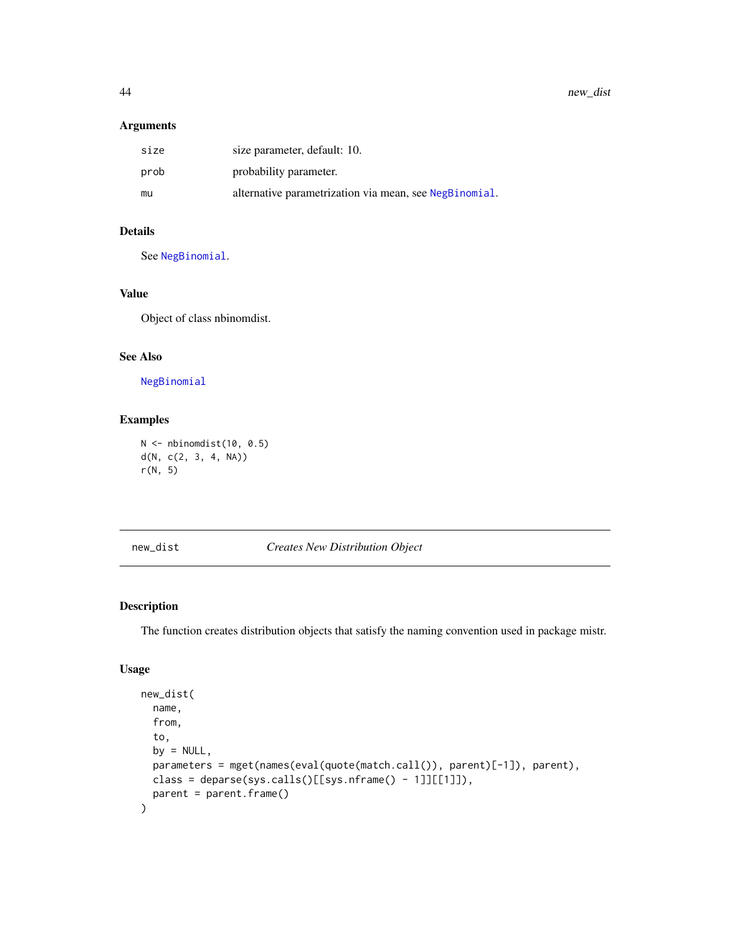44 new\_dist new\_dist new\_dist new\_dist new\_dist new\_dist new\_dist new\_dist new\_dist new\_dist new\_dist new\_dist new\_dist new\_dist new\_dist new\_dist new\_dist new\_dist new\_dist new\_dist new  $\frac{1}{2}$  new  $\frac{1}{2}$  new  $\frac{1}{2$ 

### Arguments

| size | size parameter, default: 10.                           |
|------|--------------------------------------------------------|
| prob | probability parameter.                                 |
| mu   | alternative parametrization via mean, see NegBinomial. |

# Details

See [NegBinomial](#page-0-0).

# Value

Object of class nbinomdist.

### See Also

[NegBinomial](#page-0-0)

# Examples

```
N <- nbinomdist(10, 0.5)
d(N, c(2, 3, 4, NA))
r(N, 5)
```
new\_dist *Creates New Distribution Object*

# Description

The function creates distribution objects that satisfy the naming convention used in package mistr.

# Usage

```
new_dist(
  name,
  from,
  to,
 by = NULL,
 parameters = mget(names(eval(quote(match.call()), parent)[-1]), parent),
 class = deparse(sys.calls()[[sys.nframe() - 1]][[1]]),
 parent = parent.frame()
\mathcal{E}
```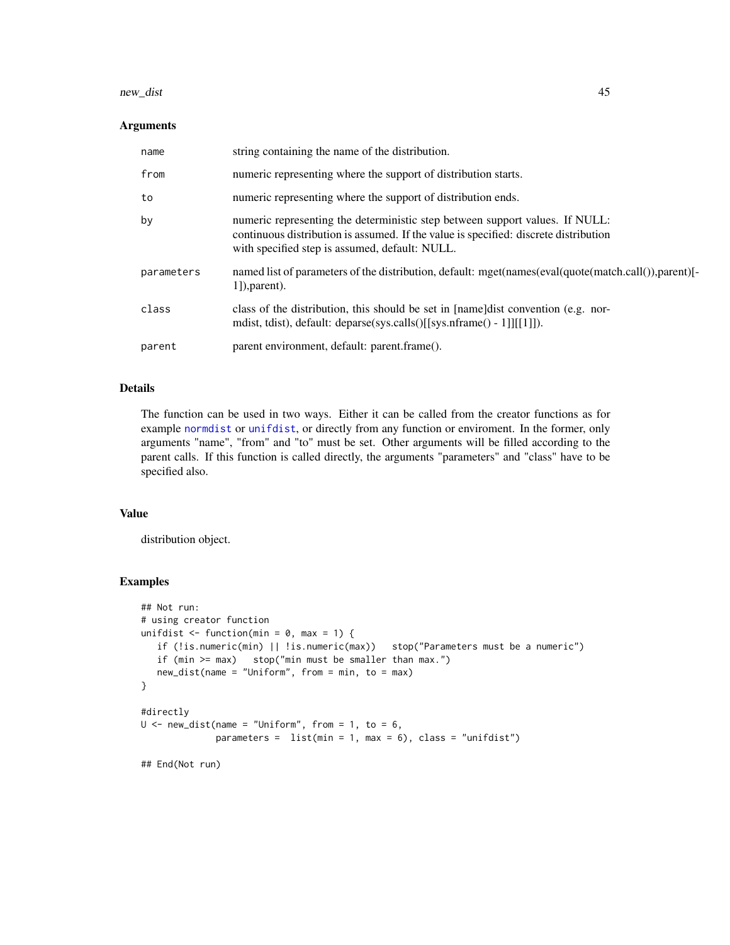#### new\_dist 45

## Arguments

| name       | string containing the name of the distribution.                                                                                                                                                                        |
|------------|------------------------------------------------------------------------------------------------------------------------------------------------------------------------------------------------------------------------|
| from       | numeric representing where the support of distribution starts.                                                                                                                                                         |
| to         | numeric representing where the support of distribution ends.                                                                                                                                                           |
| by         | numeric representing the deterministic step between support values. If NULL:<br>continuous distribution is assumed. If the value is specified: discrete distribution<br>with specified step is assumed, default: NULL. |
| parameters | named list of parameters of the distribution, default: mget(names(eval(quote(match.call()),parent)[-<br>$1$ ]), parent).                                                                                               |
| class      | class of the distribution, this should be set in [name]dist convention (e.g. nor-<br>mdist, tdist), default: deparse(sys.calls()[[sys.nframe() - 1]][[1]]).                                                            |
| parent     | parent environment, default: parent.frame().                                                                                                                                                                           |

# Details

The function can be used in two ways. Either it can be called from the creator functions as for example [normdist](#page-45-1) or [unifdist](#page-81-0), or directly from any function or enviroment. In the former, only arguments "name", "from" and "to" must be set. Other arguments will be filled according to the parent calls. If this function is called directly, the arguments "parameters" and "class" have to be specified also.

### Value

distribution object.

#### Examples

```
## Not run:
# using creator function
unifdist \le function(min = 0, max = 1) {
   if (!is.numeric(min) || !is.numeric(max)) stop("Parameters must be a numeric")
   if (min >= max) stop("min must be smaller than max.")
  new_dist(name = "Uniform", from = min, to = max)
}
#directly
U \leq - new_dist(name = "Uniform", from = 1, to = 6,
             parameters = list(min = 1, max = 6), class = "unifdist")## End(Not run)
```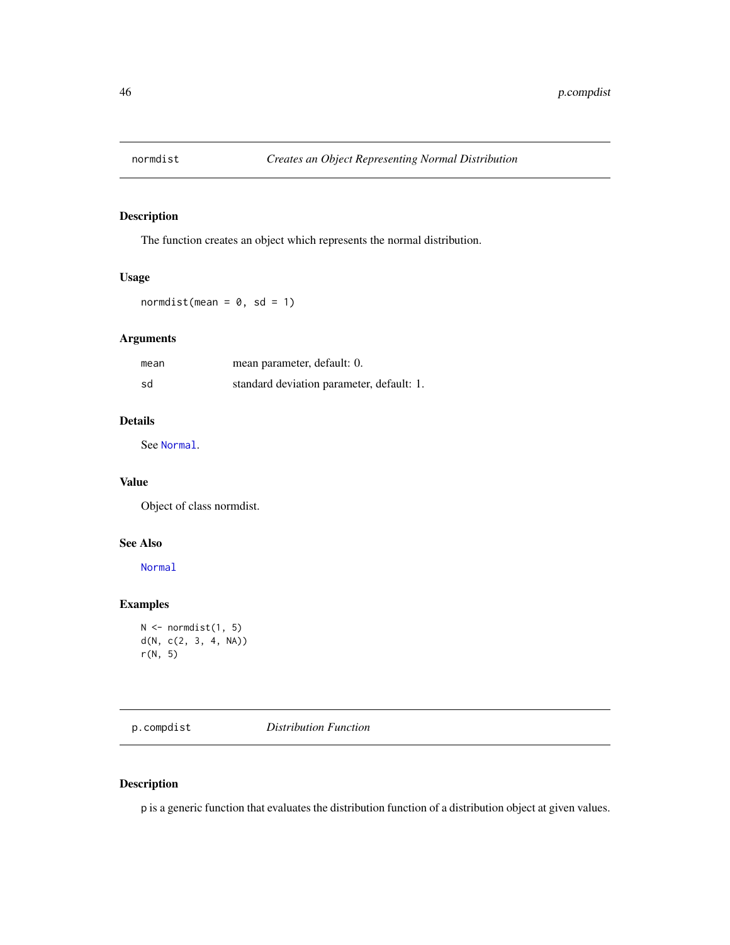<span id="page-45-1"></span>

The function creates an object which represents the normal distribution.

# Usage

 $normalist(mean = 0, sd = 1)$ 

# Arguments

| mean | mean parameter, default: 0.               |
|------|-------------------------------------------|
| sd   | standard deviation parameter, default: 1. |

# Details

See [Normal](#page-0-0).

# Value

Object of class normdist.

# See Also

[Normal](#page-0-0)

# Examples

```
N \leftarrow normdist(1, 5)d(N, c(2, 3, 4, NA))
r(N, 5)
```
p.compdist *Distribution Function*

# <span id="page-45-0"></span>Description

p is a generic function that evaluates the distribution function of a distribution object at given values.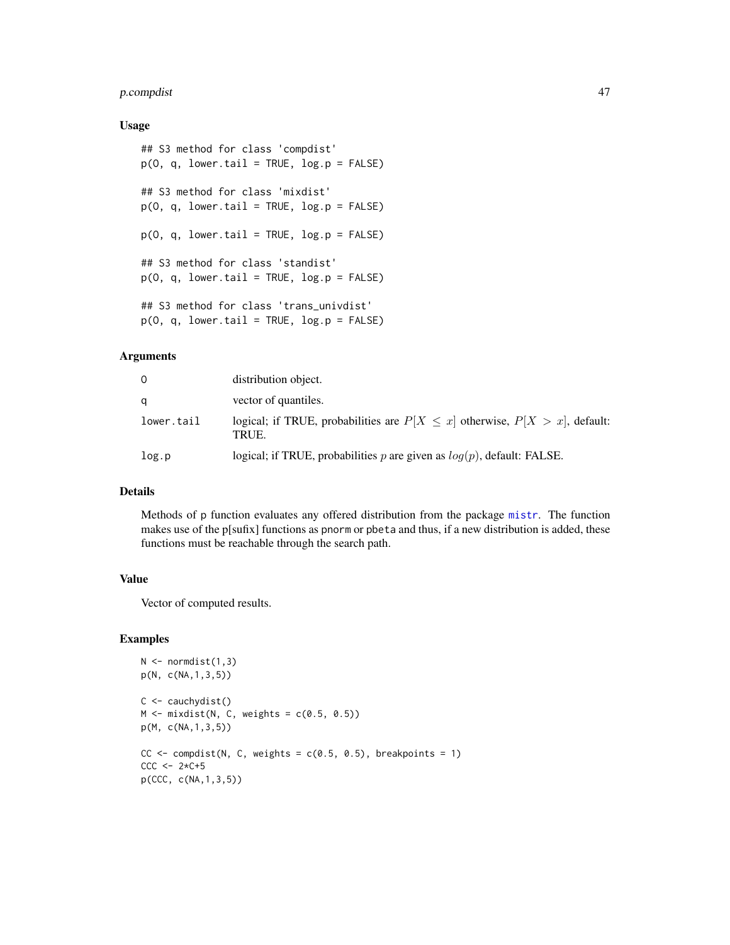# p.compdist 47

#### Usage

```
## S3 method for class 'compdist'
p(0, q, lower.tail = TRUE, log.p = FALSE)## S3 method for class 'mixdist'
p(0, q, lower.tail = TRUE, log.p = FALSE)p(0, q, lower.tail = TRUE, log.p = FALSE)## S3 method for class 'standist'
p(0, q, lower.tail = TRUE, log.p = FALSE)## S3 method for class 'trans_univdist'
p(0, q, lower.tail = TRUE, log.p = FALSE)
```
#### Arguments

| $\Omega$   | distribution object.                                                                        |
|------------|---------------------------------------------------------------------------------------------|
| q          | vector of quantiles.                                                                        |
| lower.tail | logical; if TRUE, probabilities are $P[X \leq x]$ otherwise, $P[X > x]$ , default:<br>TRUE. |
| log.p      | logical; if TRUE, probabilities p are given as $log(p)$ , default: FALSE.                   |

### Details

Methods of p function evaluates any offered distribution from the package [mistr](#page-2-0). The function makes use of the p[sufix] functions as pnorm or pbeta and thus, if a new distribution is added, these functions must be reachable through the search path.

#### Value

Vector of computed results.

#### Examples

```
N < - normdist(1,3)p(N, c(NA,1,3,5))
C \leftarrow \text{cauchydist}()M \leftarrow mixdist(N, C, weights = c(0.5, 0.5))
p(M, c(NA,1,3,5))
CC \leftarrow compdist(N, C, weights = c(0.5, 0.5), breakpoints = 1)
CCC \le -2*C+5p(CCC, c(NA,1,3,5))
```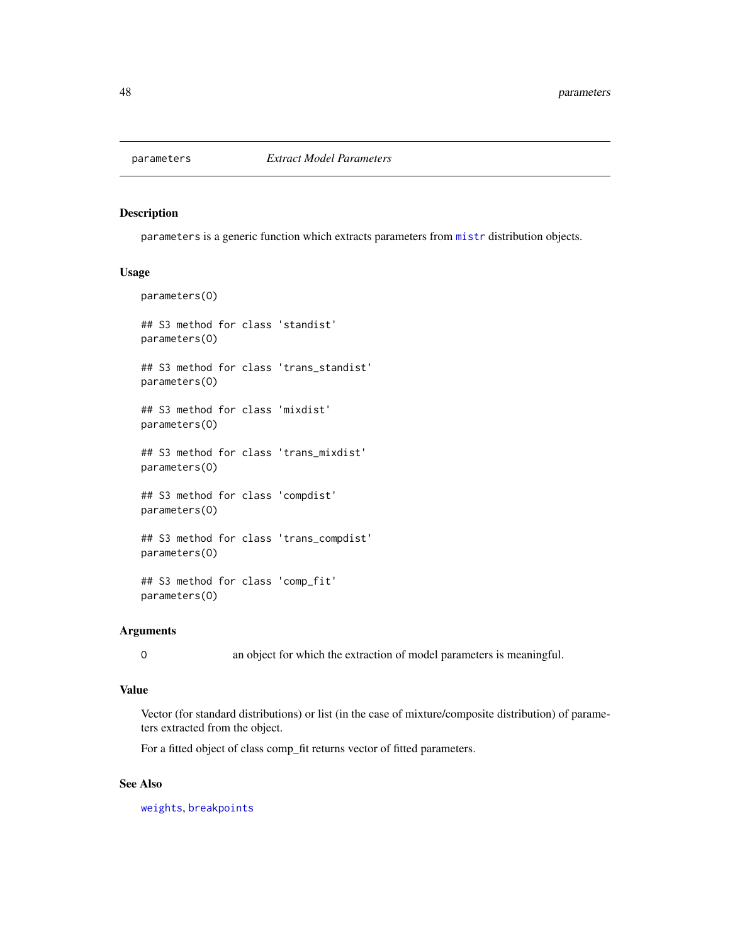parameters is a generic function which extracts parameters from [mistr](#page-2-0) distribution objects.

#### Usage

```
parameters(O)
## S3 method for class 'standist'
parameters(O)
## S3 method for class 'trans_standist'
parameters(O)
## S3 method for class 'mixdist'
parameters(O)
## S3 method for class 'trans_mixdist'
parameters(O)
## S3 method for class 'compdist'
parameters(O)
## S3 method for class 'trans_compdist'
parameters(O)
## S3 method for class 'comp_fit'
parameters(O)
```
# Arguments

O an object for which the extraction of model parameters is meaningful.

#### Value

Vector (for standard distributions) or list (in the case of mixture/composite distribution) of parameters extracted from the object.

For a fitted object of class comp\_fit returns vector of fitted parameters.

### See Also

[weights](#page-0-0), [breakpoints](#page-6-0)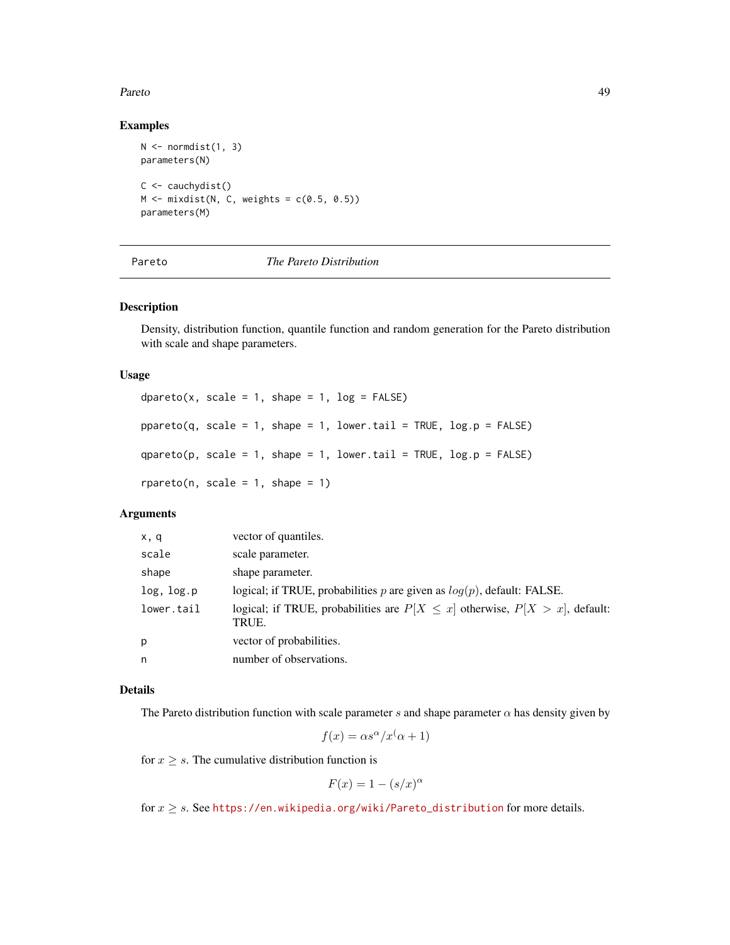#### Pareto and the contract of the contract of the contract of the contract of the contract of the contract of the contract of the contract of the contract of the contract of the contract of the contract of the contract of the

#### Examples

```
N \leftarrow normdist(1, 3)parameters(N)
C \leftarrow \text{cauchydist}()M \leq - mixdist(N, C, weights = c(0.5, 0.5))
parameters(M)
```
### <span id="page-48-0"></span>Pareto *The Pareto Distribution*

#### Description

Density, distribution function, quantile function and random generation for the Pareto distribution with scale and shape parameters.

#### Usage

```
dpareto(x, scale = 1, shape = 1, log = FALSE)
ppareto(q, scale = 1, shape = 1, lowertail = TRUE, <math>log.p = FALSE)
qparto(p, scale = 1, shape = 1, lower.tail = TRUE, log.p = FALSE)rpareto(n, scale = 1, shape = 1)
```
# Arguments

| x, q       | vector of quantiles.                                                                        |
|------------|---------------------------------------------------------------------------------------------|
| scale      | scale parameter.                                                                            |
| shape      | shape parameter.                                                                            |
| log, log.p | logical; if TRUE, probabilities p are given as $log(p)$ , default: FALSE.                   |
| lower.tail | logical; if TRUE, probabilities are $P[X \leq x]$ otherwise, $P[X > x]$ , default:<br>TRUE. |
| p          | vector of probabilities.                                                                    |
| n          | number of observations.                                                                     |

### Details

The Pareto distribution function with scale parameter s and shape parameter  $\alpha$  has density given by

$$
f(x) = \alpha s^{\alpha}/x^{\left(\alpha + 1\right)}
$$

for  $x \geq s$ . The cumulative distribution function is

$$
F(x) = 1 - (s/x)^{\alpha}
$$

for  $x \geq s$ . See [https://en.wikipedia.org/wiki/Pareto\\_distribution](https://en.wikipedia.org/wiki/Pareto_distribution) for more details.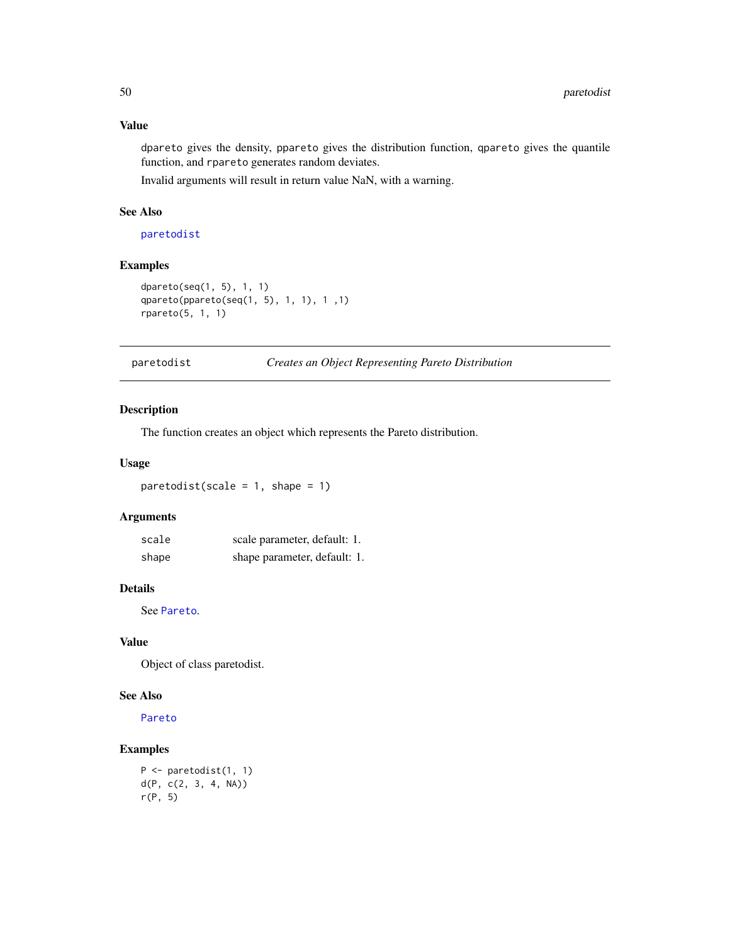# Value

dpareto gives the density, ppareto gives the distribution function, qpareto gives the quantile function, and rpareto generates random deviates.

Invalid arguments will result in return value NaN, with a warning.

# See Also

[paretodist](#page-49-0)

# Examples

```
dpareto(seq(1, 5), 1, 1)
qpareto(ppareto(seq(1, 5), 1, 1), 1 ,1)
rpareto(5, 1, 1)
```
<span id="page-49-0"></span>paretodist *Creates an Object Representing Pareto Distribution*

#### Description

The function creates an object which represents the Pareto distribution.

#### Usage

 $partodist(scale = 1, shape = 1)$ 

# Arguments

| scale | scale parameter, default: 1. |
|-------|------------------------------|
| shape | shape parameter, default: 1. |

## Details

See [Pareto](#page-48-0).

# Value

Object of class paretodist.

## See Also

[Pareto](#page-48-0)

# Examples

```
P <- paretodist(1, 1)
d(P, c(2, 3, 4, NA))
r(P, 5)
```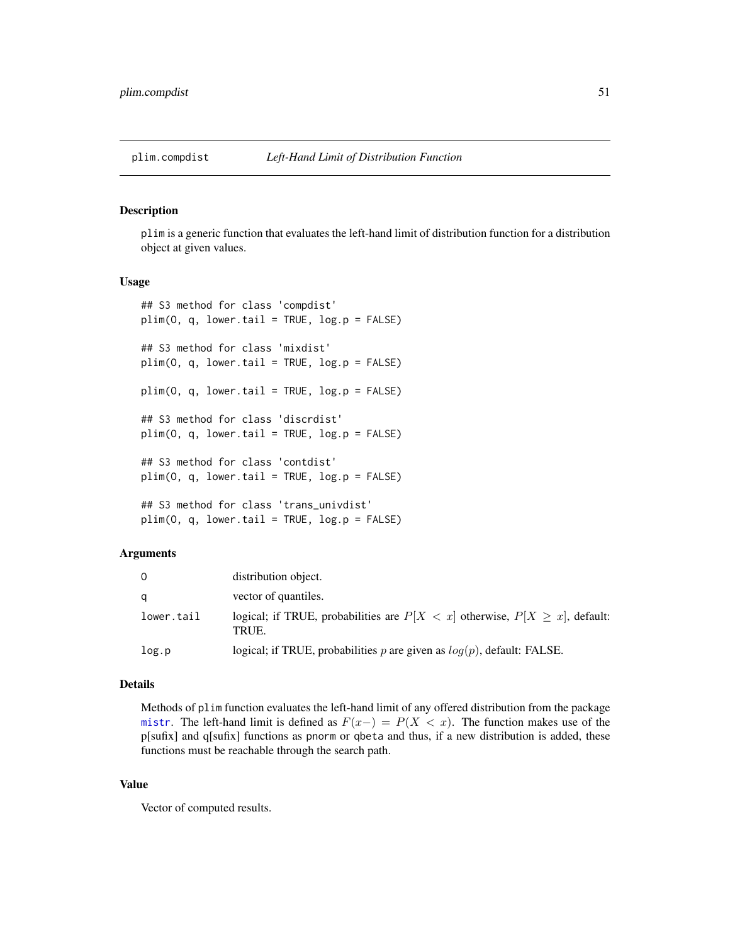plim is a generic function that evaluates the left-hand limit of distribution function for a distribution object at given values.

#### Usage

```
## S3 method for class 'compdist'
plim(0, q, lower.tail = TRUE, log.p = FALSE)## S3 method for class 'mixdist'
plim(0, q, lower.tail = TRUE, log.p = FALSE)plim(O, q, lower.tail = TRUE, log.p = FALSE)
## S3 method for class 'discrdist'
plim(0, q, lower.tail = TRUE, log.p = FALSE)## S3 method for class 'contdist'
plim(0, q, lower.tail = TRUE, log.p = FALSE)## S3 method for class 'trans_univdist'
plim(0, q, lower.tail = TRUE, log.p = FALSE)
```
#### Arguments

| 0          | distribution object.                                                                         |
|------------|----------------------------------------------------------------------------------------------|
| a          | vector of quantiles.                                                                         |
| lower.tail | logical; if TRUE, probabilities are $P[X \lt x]$ otherwise, $P[X \ge x]$ , default:<br>TRUE. |
| log.p      | logical; if TRUE, probabilities $p$ are given as $log(p)$ , default: FALSE.                  |

#### Details

Methods of plim function evaluates the left-hand limit of any offered distribution from the package [mistr](#page-2-0). The left-hand limit is defined as  $F(x-) = P(X < x)$ . The function makes use of the p[sufix] and q[sufix] functions as pnorm or qbeta and thus, if a new distribution is added, these functions must be reachable through the search path.

#### Value

Vector of computed results.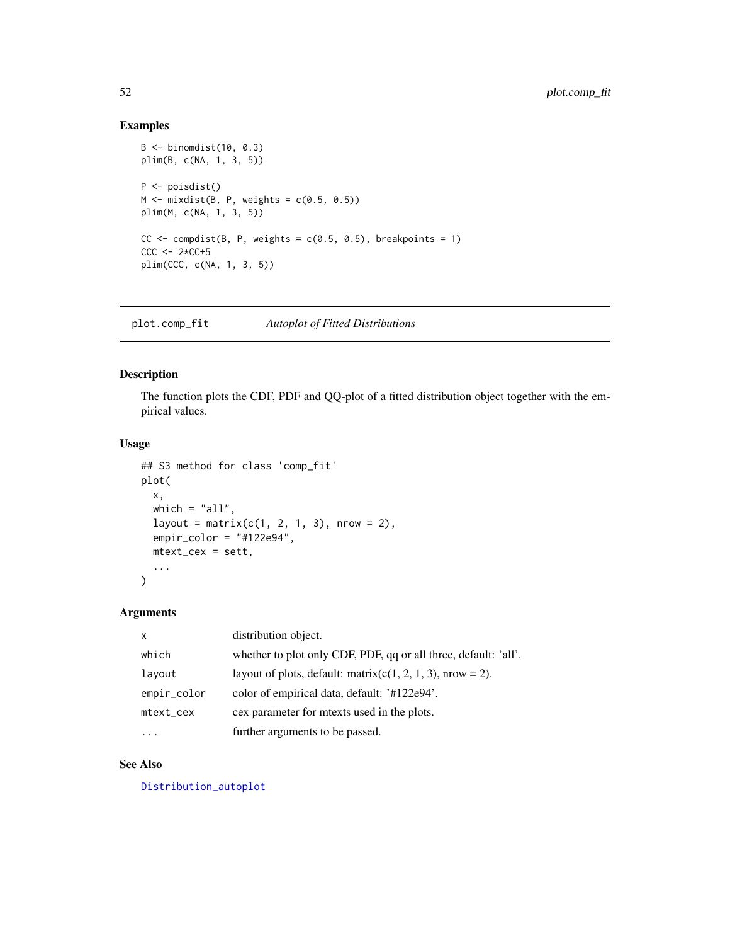# Examples

```
B \le -\ binomdist(10, 0.3)plim(B, c(NA, 1, 3, 5))
P <- poisdist()
M \leftarrow mixdist(B, P, weights = c(0.5, 0.5))
plim(M, c(NA, 1, 3, 5))
CC \leftarrow compdist(B, P, weights = c(0.5, 0.5), breakpoints = 1)
CCC < -2*CC+5plim(CCC, c(NA, 1, 3, 5))
```
plot.comp\_fit *Autoplot of Fitted Distributions*

# Description

The function plots the CDF, PDF and QQ-plot of a fitted distribution object together with the empirical values.

#### Usage

```
## S3 method for class 'comp_fit'
plot(
 x,
 which = "all",layout = matrix(c(1, 2, 1, 3), nrow = 2),
 empir_color = "#122e94",
 mtext_cex = sett,
  ...
)
```
### Arguments

| $\mathsf{x}$ | distribution object.                                            |
|--------------|-----------------------------------------------------------------|
| which        | whether to plot only CDF, PDF, qq or all three, default: 'all'. |
| layout       | layout of plots, default: matrix( $c(1, 2, 1, 3)$ , nrow = 2).  |
| empir_color  | color of empirical data, default: '#122e94'.                    |
| mtext_cex    | cex parameter for meets used in the plots.                      |
|              | further arguments to be passed.                                 |

# See Also

[Distribution\\_autoplot](#page-14-0)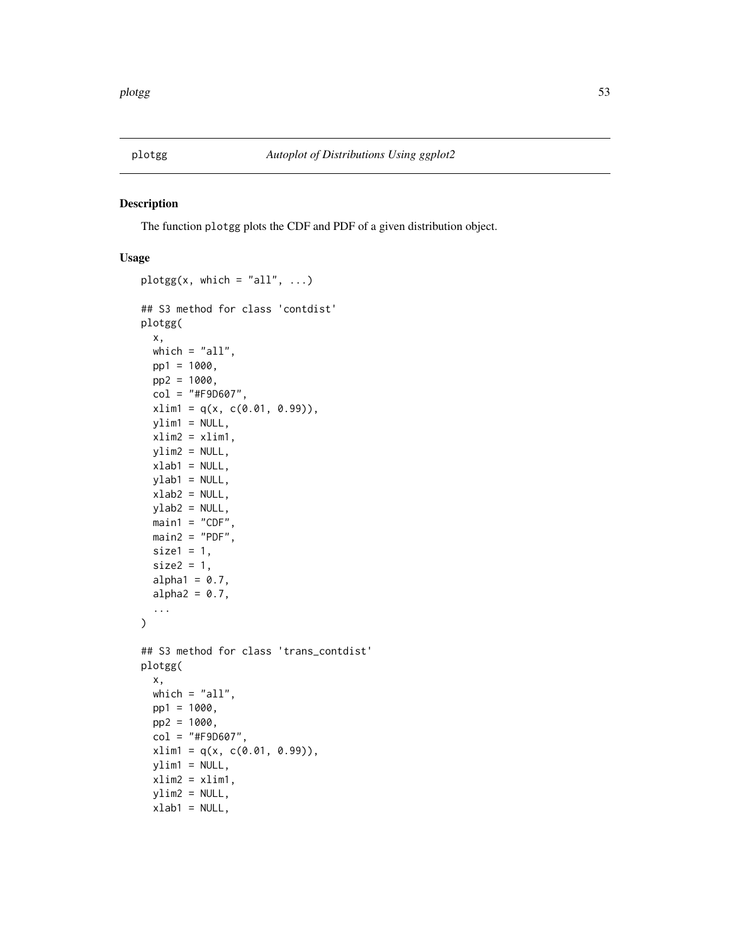<span id="page-52-0"></span>

The function plotgg plots the CDF and PDF of a given distribution object.

### Usage

```
plotgg(x, which = "all", \ldots)
## S3 method for class 'contdist'
plotgg(
  x,
 which = "all",pp1 = 1000,
 pp2 = 1000,
 col = "#F9D607",xlim1 = q(x, c(0.01, 0.99)),ylim1 = NULL,
  xlim2 = xlim1,
 ylim2 = NULL,
  xlab1 = NULL,ylab1 = NULL,
 xlab2 = NULL,
 ylab2 = NULL,
 main1 = "CDF"main2 = "PDF",size1 = 1,size2 = 1,
  alpha1 = 0.7,
  alpha2 = 0.7,
  ...
\mathcal{L}## S3 method for class 'trans_contdist'
plotgg(
  x,
 which = "all",pp1 = 1000,
 pp2 = 1000,
  col = "#F9D607".xlim1 = q(x, c(0.01, 0.99)),ylim1 = NULL,xlim2 = xlim1,ylim2 = NULL,
  xlab1 = NULL,
```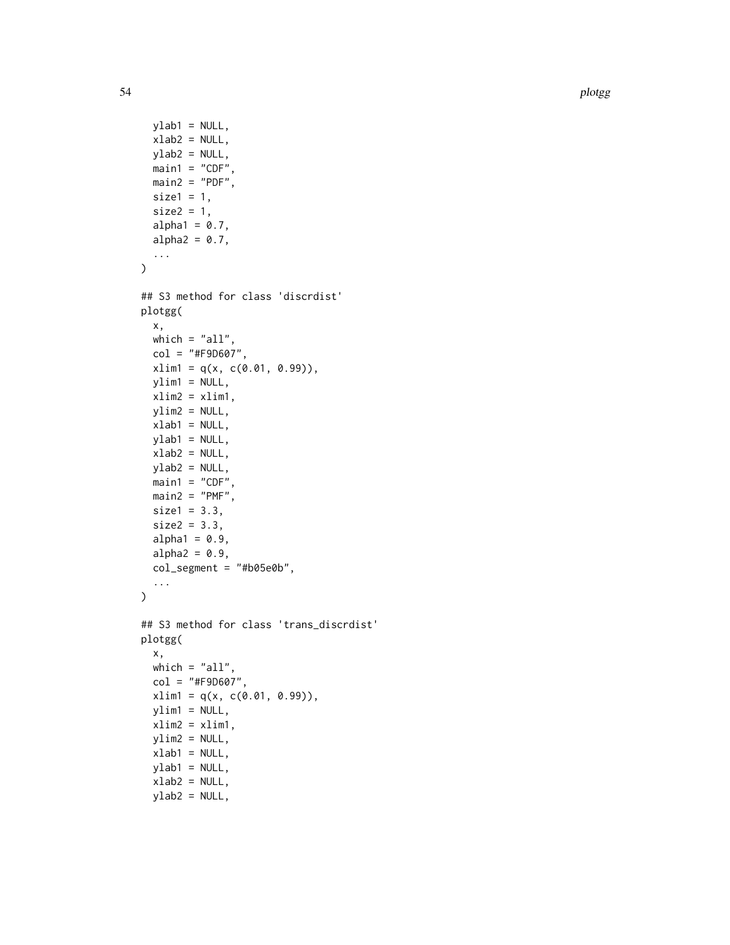```
ylab1 = NULL,
 xlab2 = NULL,
 vlab2 = NULL,
 main1 = "CDF",main2 = "PDF",size1 = 1,size2 = 1,
 alpha1 = 0.7,
 alpha2 = 0.7,
  ...
)
## S3 method for class 'discrdist'
plotgg(
 x,
 which = "all",col = "#F9D607",xlim1 = q(x, c(0.01, 0.99)),ylim1 = NULL,xlim2 = xlim1,
 ylim2 = NULL,
 xlab1 = NULL,
 ylab1 = NULL,
 xlab2 = NULL,
 ylab2 = NULL,
 main1 = "CDF",main2 = "PMF",size1 = 3.3,size2 = 3.3,alpha1 = 0.9,
 alpha2 = 0.9,
 col_segment = "#b05e0b",
  ...
\lambda## S3 method for class 'trans_discrdist'
plotgg(
 x,
 which = "all",col = "#F9D607",
 xlim1 = q(x, c(0.01, 0.99)),ylim1 = NULL,
 xlim2 = xlim1,ylim2 = NULL,
 xlab1 = NULL,ylab1 = NULL,
 xlab2 = NULL,
 ylab2 = NULL,
```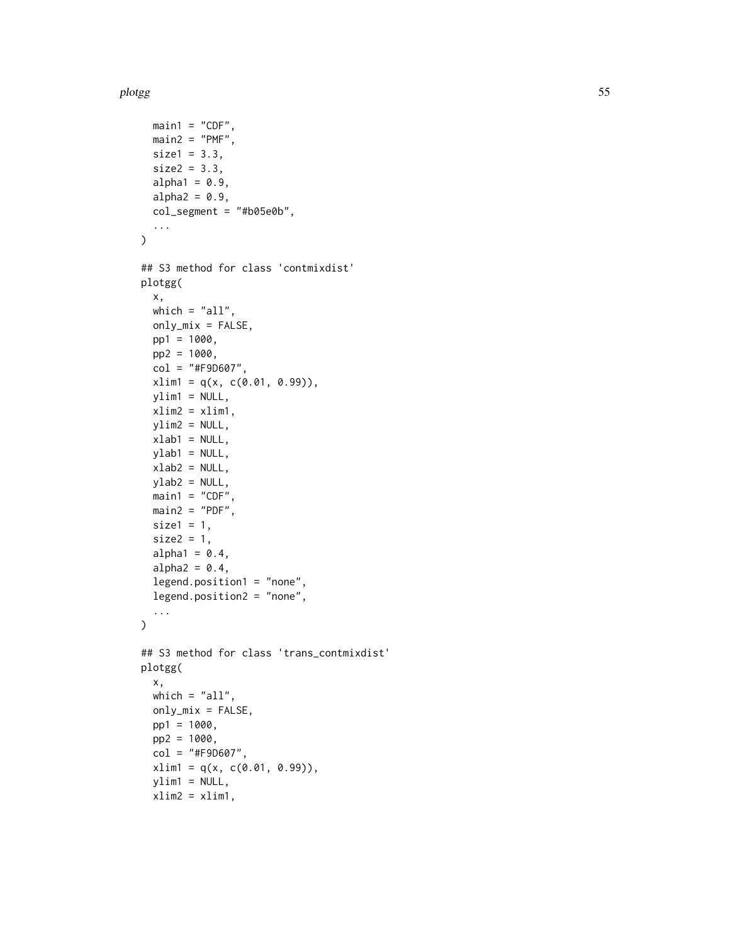```
main1 = "CDF",main2 = "PMF",size1 = 3.3,
 size2 = 3.3,
  alpha1 = 0.9,
  alpha2 = 0.9,
  col_segment = "#b05e0b",
  ...
)
## S3 method for class 'contmixdist'
plotgg(
 x,
 which = "all",only_mix = FALSE,
 pp1 = 1000,
 pp2 = 1000,
 col = "#F9D607",xlim1 = q(x, c(0.01, 0.99)),ylim1 = NULL,xlim2 = xlim1,ylim2 = NULL,xlab1 = NULL,
 ylab1 = NULL,
 xlab2 = NULL,
 ylab2 = NULL,
 main1 = "CDF",main2 = "PDF",size1 = 1,size2 = 1,
  alpha1 = 0.4,
  alpha2 = 0.4,
  legend.position1 = "none",
  legend.position2 = "none",
  ...
\mathcal{L}## S3 method for class 'trans_contmixdist'
plotgg(
 x,
 which = "all",only_mix = FALSE,
 pp1 = 1000,
 pp2 = 1000,
  col = "#F9D607",xlim1 = q(x, c(0.01, 0.99)),ylim1 = NULL,xlim2 = xlim1,
```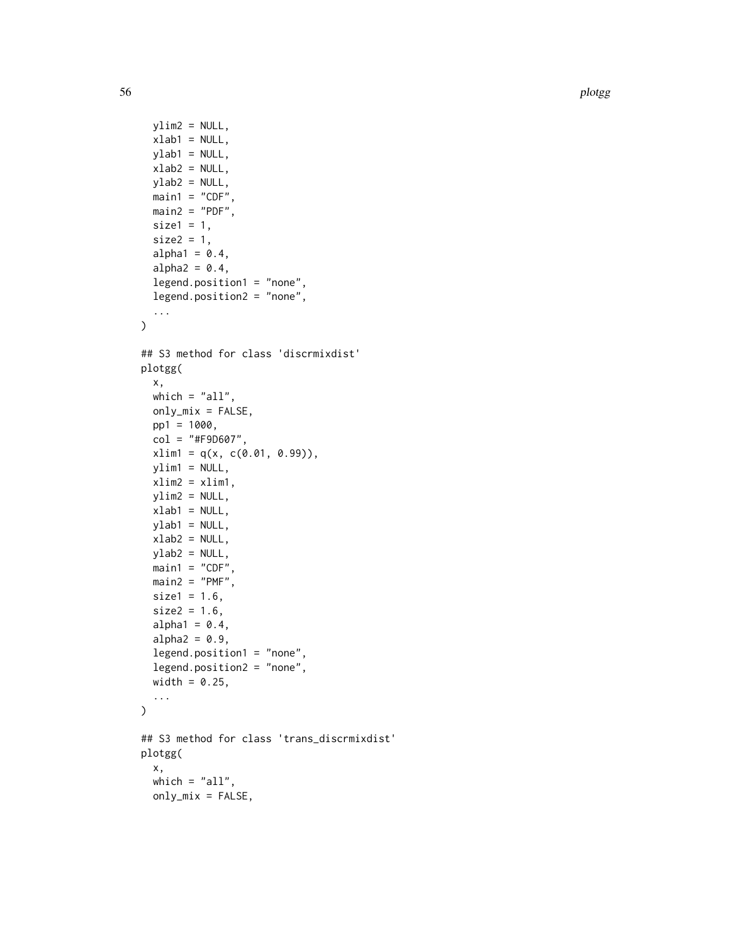```
ylim2 = NULL,
 xlab1 = NULL,
 vlab1 = NULL,
 xlab2 = NULL,
 ylab2 = NULL,
 main1 = "CDF",main2 = "PDF",size1 = 1,size2 = 1,
  alpha1 = 0.4,
  alpha2 = 0.4,
  legend.position1 = "none",
  legend.position2 = "none",
  ...
\mathcal{L}## S3 method for class 'discrmixdist'
plotgg(
  x,
 which = "all",
 only\_mix = FALSE,pp1 = 1000,
  col = "#F9D607",
  xlim1 = q(x, c(0.01, 0.99)),ylim1 = NULL,xlim2 = xlim1,
 ylim2 = NULL,
 xlab1 = NULL,
 ylab1 = NULL,
 xlab2 = NULL,
 ylab2 = NULL,
 main1 = "CDF",main2 = "PMF",size1 = 1.6,
  size2 = 1.6,
  alpha1 = 0.4,
  alpha2 = 0.9,
  legend.position1 = "none",
  legend.position2 = "none",
 width = 0.25,
  ...
\mathcal{L}## S3 method for class 'trans_discrmixdist'
plotgg(
  x,
 which = "all",only\_mix = FALSE,
```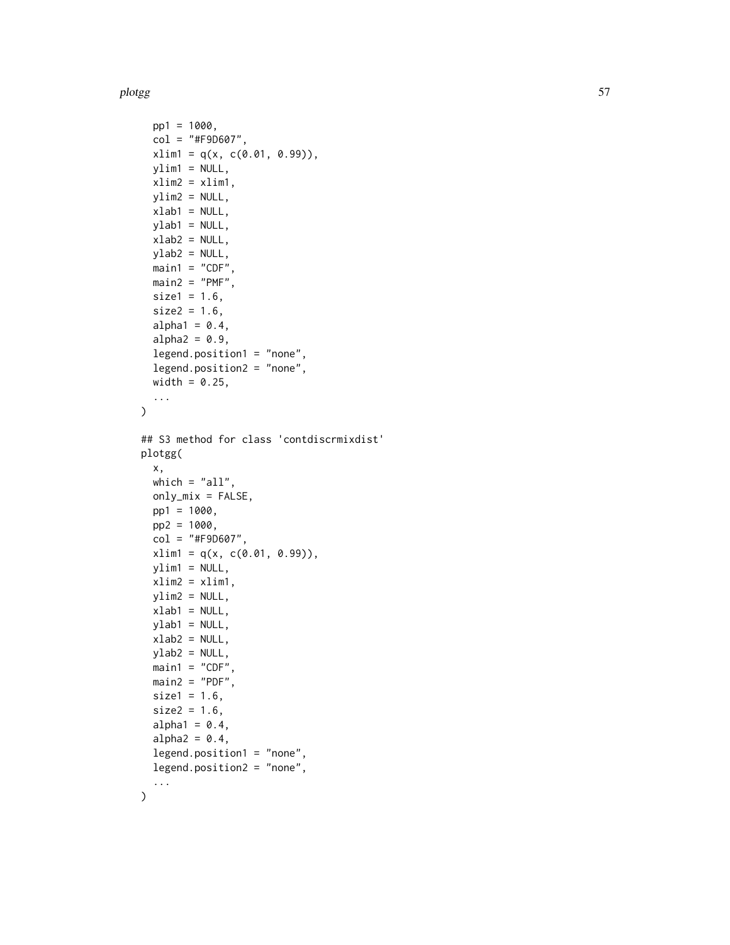```
pp1 = 1000,
  col = "#F9D607",xlim1 = q(x, c(0.01, 0.99)),ylim1 = NULL,xlim2 = xlim1,ylim2 = NULL,
  xlab1 = NULL,
 ylab1 = NULL,
 xlab2 = NULL,
 ylab2 = NULL,
 main1 = "CDF",main2 = "PMF",size1 = 1.6,
  size2 = 1.6,
  alpha1 = 0.4,
  alpha2 = 0.9,
  legend.position1 = "none",
  legend.position2 = "none",
 width = 0.25,
  ...
\mathcal{L}## S3 method for class 'contdiscrmixdist'
plotgg(
  x,
  which = "all",only_mix = FALSE,
 pp1 = 1000,
 pp2 = 1000,
  col = "#F9D607",xlim1 = q(x, c(0.01, 0.99)),ylim1 = NULL,xlim2 = xlim1,
 ylim2 = NULL,
 xlab1 = NULL,
 ylab1 = NULL,
  xlab2 = NULL,
 ylab2 = NULL,
 main1 = "CDF",main2 = "PDF",size1 = 1.6,
  size2 = 1.6,
  alpha1 = 0.4,
  alpha2 = 0.4,
  legend.position1 = "none",
  legend.position2 = "none",
  ...
\mathcal{L}
```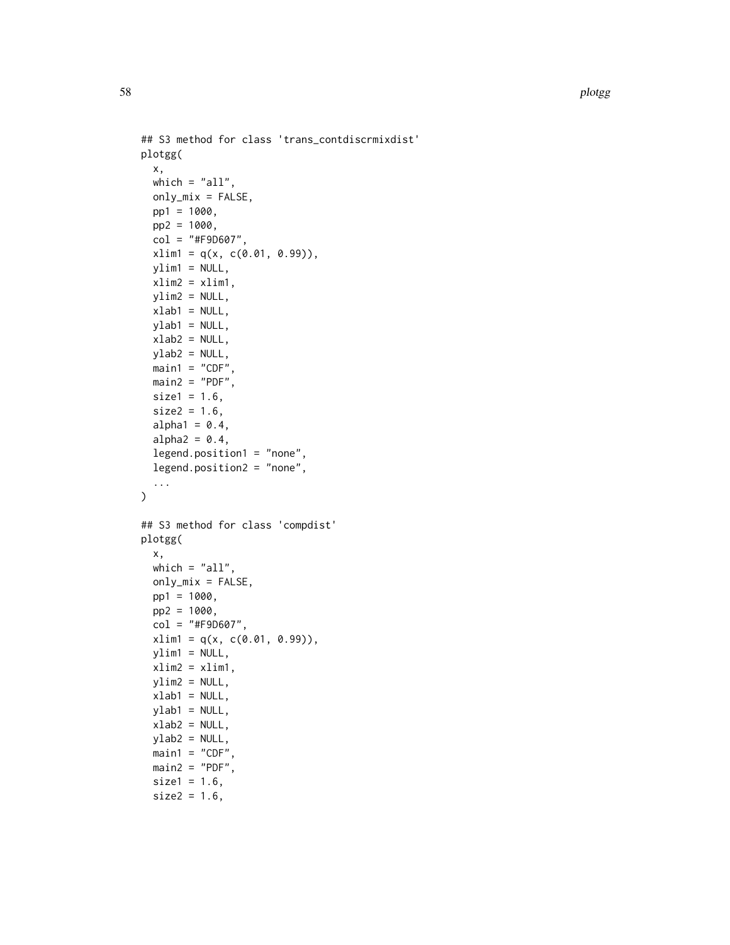```
## S3 method for class 'trans_contdiscrmixdist'
plotgg(
  x,
 which = "all",only_mix = FALSE,
 pp1 = 1000,
 pp2 = 1000,
  col = "#F9D607",
 xlim1 = q(x, c(0.01, 0.99)),ylim1 = NULL,
 xlim2 = xlim1,ylim2 = NULL,
  xlab1 = NULL,
 ylab1 = NULL,
  xlab2 = NULL,
 ylab2 = NULL,
 main1 = "CDF",main2 = "PDF",size1 = 1.6,
  size2 = 1.6,
  alpha1 = 0.4,
  alpha2 = 0.4,
  legend.position1 = "none",
  legend.position2 = "none",
  ...
\mathcal{L}## S3 method for class 'compdist'
plotgg(
  x,
 which = "all",only\_mix = FALSE,pp1 = 1000,
 pp2 = 1000,
  col = "#F9D607",xlim1 = q(x, c(0.01, 0.99)),ylim1 = NULL,xlim2 = xlim1,ylim2 = NULL,
 xlab1 = NULL,
 ylab1 = NULL,
 xlab2 = NULL,
 ylab2 = NULL,
 main1 = "CDF",main2 = "PDF",size1 = 1.6,
  size2 = 1.6,
```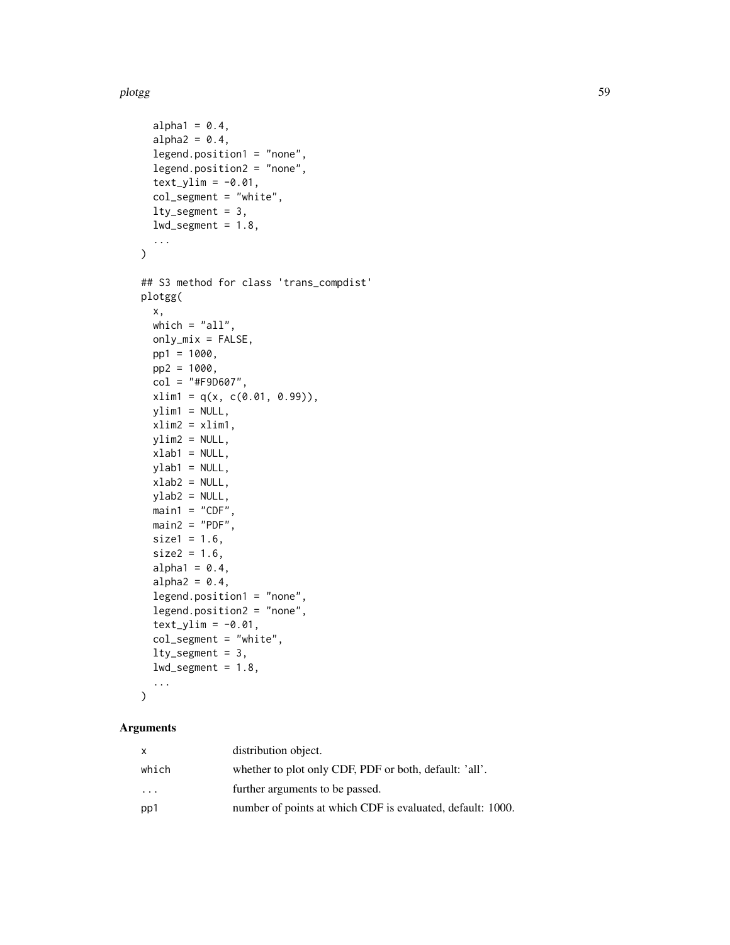```
alpha1 = 0.4,
  alpha2 = 0.4,
  legend.position1 = "none",
  legend.position2 = "none",
  text_ylim = -0.01,
  col_segment = "white",
  lty_segment = 3,
  lwd\_segment = 1.8,...
)
## S3 method for class 'trans_compdist'
plotgg(
 x,
 which = "all",only\_mix = FALSE,pp1 = 1000,
 pp2 = 1000,
  col = "#F9D607",xlim1 = q(x, c(0.01, 0.99)),ylim1 = NULL,
  xlim2 = xlim1,
 ylim2 = NULL,
  xlab1 = NULL,
 ylab1 = NULL,
 xlab2 = NULL,
 ylab2 = NULL,
 main1 = "CDF",main2 = "PDF",size1 = 1.6,
  size2 = 1.6,
  alpha1 = 0.4,
  alpha2 = 0.4,
  legend.position1 = "none",
  legend.position2 = "none",
  text_ylim = -0.01,
  col_segment = "white",
  lty_segment = 3,
  lwd\_segment = 1.8,
  ...
\mathcal{L}
```
# Arguments

| x         | distribution object.                                       |
|-----------|------------------------------------------------------------|
| which     | whether to plot only CDF, PDF or both, default: 'all'.     |
| $\ddotsc$ | further arguments to be passed.                            |
| pp1       | number of points at which CDF is evaluated, default: 1000. |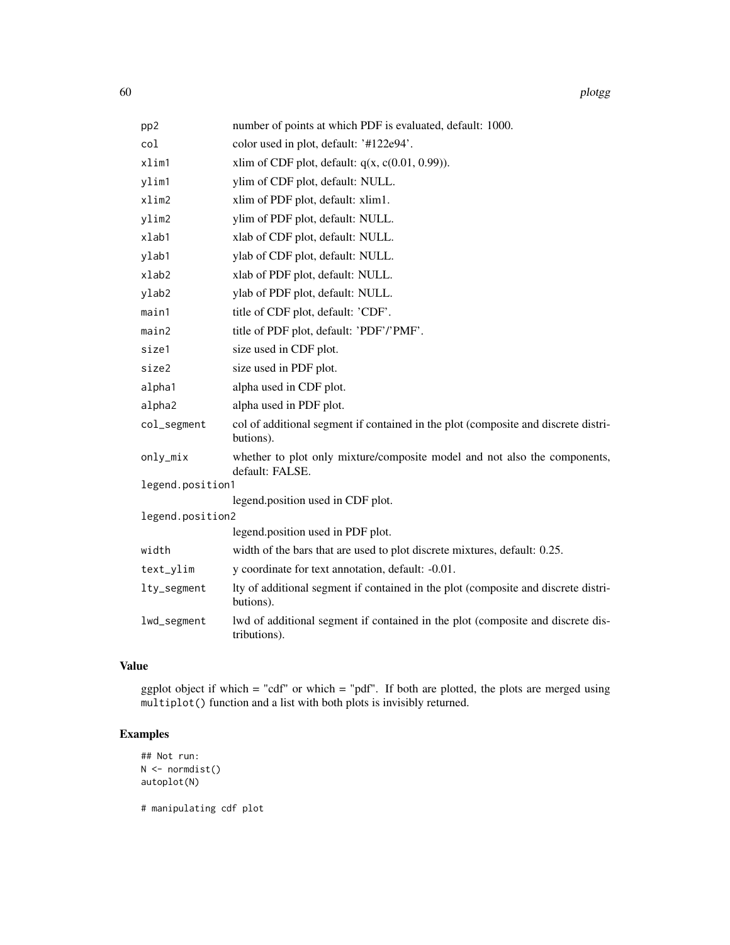| pp2              | number of points at which PDF is evaluated, default: 1000.                                      |
|------------------|-------------------------------------------------------------------------------------------------|
| col              | color used in plot, default: '#122e94'.                                                         |
| xlim1            | xlim of CDF plot, default: $q(x, c(0.01, 0.99))$ .                                              |
| ylim1            | ylim of CDF plot, default: NULL.                                                                |
| xlim2            | xlim of PDF plot, default: xlim1.                                                               |
| ylim2            | ylim of PDF plot, default: NULL.                                                                |
| xlab1            | xlab of CDF plot, default: NULL.                                                                |
| ylab1            | ylab of CDF plot, default: NULL.                                                                |
| $x$ lab $2$      | xlab of PDF plot, default: NULL.                                                                |
| ylab2            | ylab of PDF plot, default: NULL.                                                                |
| main1            | title of CDF plot, default: 'CDF'.                                                              |
| main2            | title of PDF plot, default: 'PDF'/'PMF'.                                                        |
| size1            | size used in CDF plot.                                                                          |
| size2            | size used in PDF plot.                                                                          |
| alpha1           | alpha used in CDF plot.                                                                         |
| alpha2           | alpha used in PDF plot.                                                                         |
| col_segment      | col of additional segment if contained in the plot (composite and discrete distri-<br>butions). |
| only_mix         | whether to plot only mixture/composite model and not also the components,<br>default: FALSE.    |
| legend.position1 |                                                                                                 |
|                  | legend.position used in CDF plot.                                                               |
| legend.position2 | legend.position used in PDF plot.                                                               |
| width            | width of the bars that are used to plot discrete mixtures, default: 0.25.                       |
|                  |                                                                                                 |
| text_ylim        | y coordinate for text annotation, default: -0.01.                                               |
| lty_segment      | Ity of additional segment if contained in the plot (composite and discrete distri-<br>butions). |
| lwd_segment      | lwd of additional segment if contained in the plot (composite and discrete dis-<br>tributions). |

# Value

ggplot object if which  $=$  "cdf" or which  $=$  "pdf". If both are plotted, the plots are merged using multiplot() function and a list with both plots is invisibly returned.

# Examples

```
## Not run:
N <- normdist()
autoplot(N)
```
# manipulating cdf plot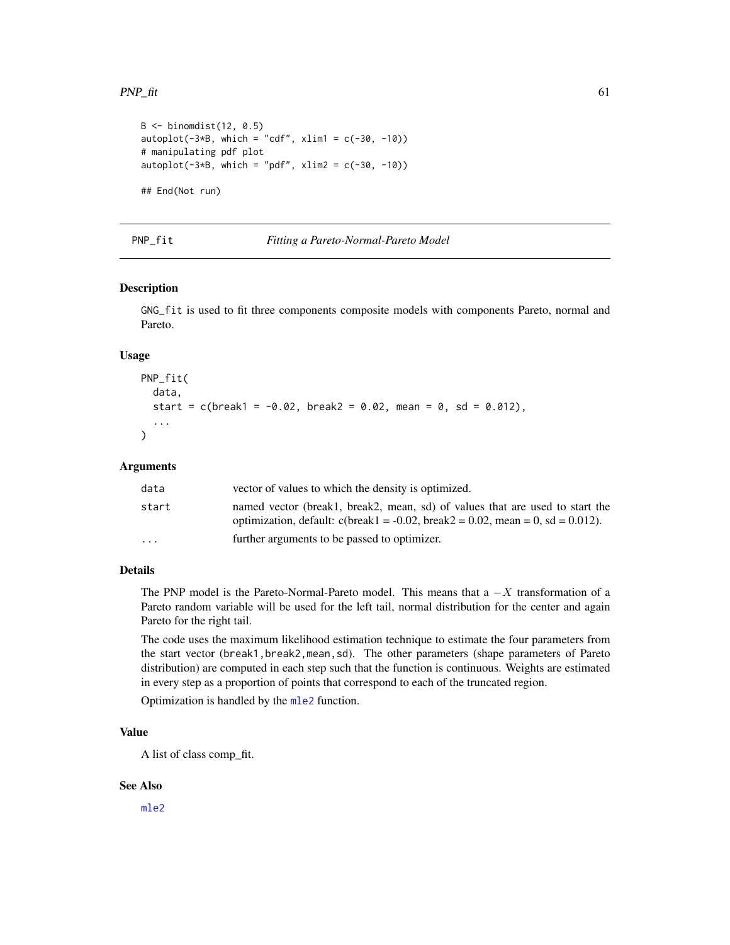#### $PNP_{\text{int}}$  61

```
B \le -\text{binomdist}(12, 0.5)autoplot(-3*B, which = "cdf", xlim1 = c(-30, -10))# manipulating pdf plot
autoplot(-3*B, which = "pdf", xlim2 = c(-30, -10))## End(Not run)
```
#### PNP\_fit *Fitting a Pareto-Normal-Pareto Model*

## Description

GNG\_fit is used to fit three components composite models with components Pareto, normal and Pareto.

#### Usage

```
PNP_fit(
  data,
  start = c(break1 = -0.02, break2 = 0.02, mean = 0, sd = 0.012),
  ...
\lambda
```
# Arguments

| data                    | vector of values to which the density is optimized.                                                                                                               |
|-------------------------|-------------------------------------------------------------------------------------------------------------------------------------------------------------------|
| start                   | named vector (break1, break2, mean, sd) of values that are used to start the<br>optimization, default: $c$ (break1 = -0.02, break2 = 0.02, mean = 0, sd = 0.012). |
| $\cdot$ $\cdot$ $\cdot$ | further arguments to be passed to optimizer.                                                                                                                      |

#### Details

The PNP model is the Pareto-Normal-Pareto model. This means that a  $-X$  transformation of a Pareto random variable will be used for the left tail, normal distribution for the center and again Pareto for the right tail.

The code uses the maximum likelihood estimation technique to estimate the four parameters from the start vector (break1, break2, mean, sd). The other parameters (shape parameters of Pareto distribution) are computed in each step such that the function is continuous. Weights are estimated in every step as a proportion of points that correspond to each of the truncated region.

Optimization is handled by the [mle2](#page-0-0) function.

# Value

A list of class comp\_fit.

#### See Also

[mle2](#page-0-0)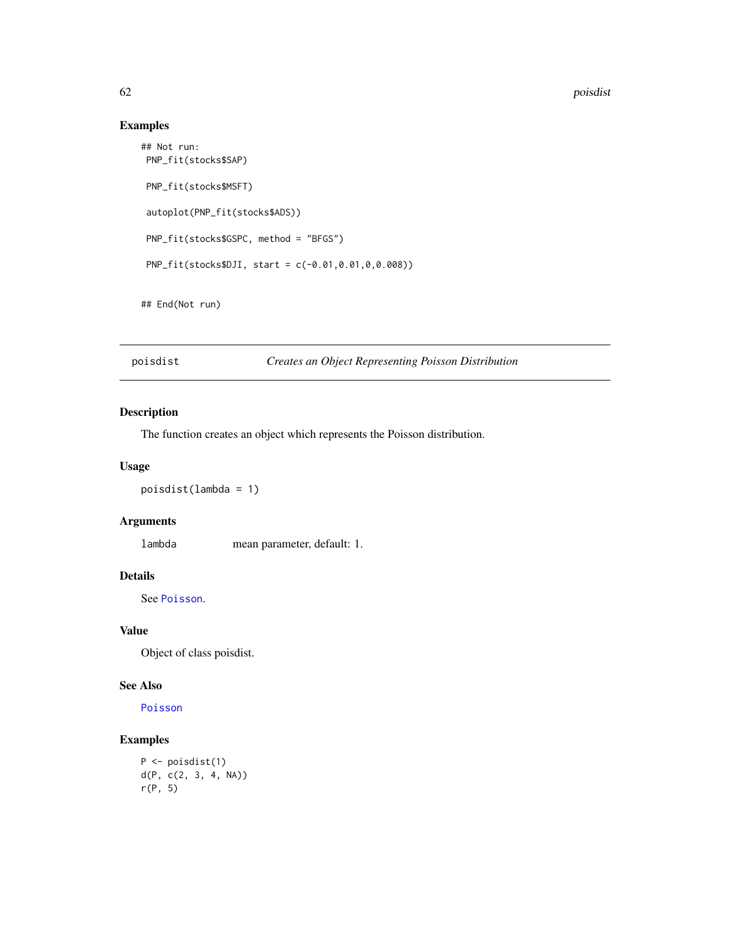# Examples

```
## Not run:
PNP_fit(stocks$SAP)
PNP_fit(stocks$MSFT)
autoplot(PNP_fit(stocks$ADS))
PNP_fit(stocks$GSPC, method = "BFGS")
PNP_fit(stocks$DJI, start = c(-0.01,0.01,0,0.008))
```
## End(Not run)

poisdist *Creates an Object Representing Poisson Distribution*

# Description

The function creates an object which represents the Poisson distribution.

### Usage

```
poisdist(lambda = 1)
```
# Arguments

lambda mean parameter, default: 1.

## Details

See [Poisson](#page-0-0).

### Value

Object of class poisdist.

### See Also

[Poisson](#page-0-0)

## Examples

```
P <- poisdist(1)
d(P, c(2, 3, 4, NA))
r(P, 5)
```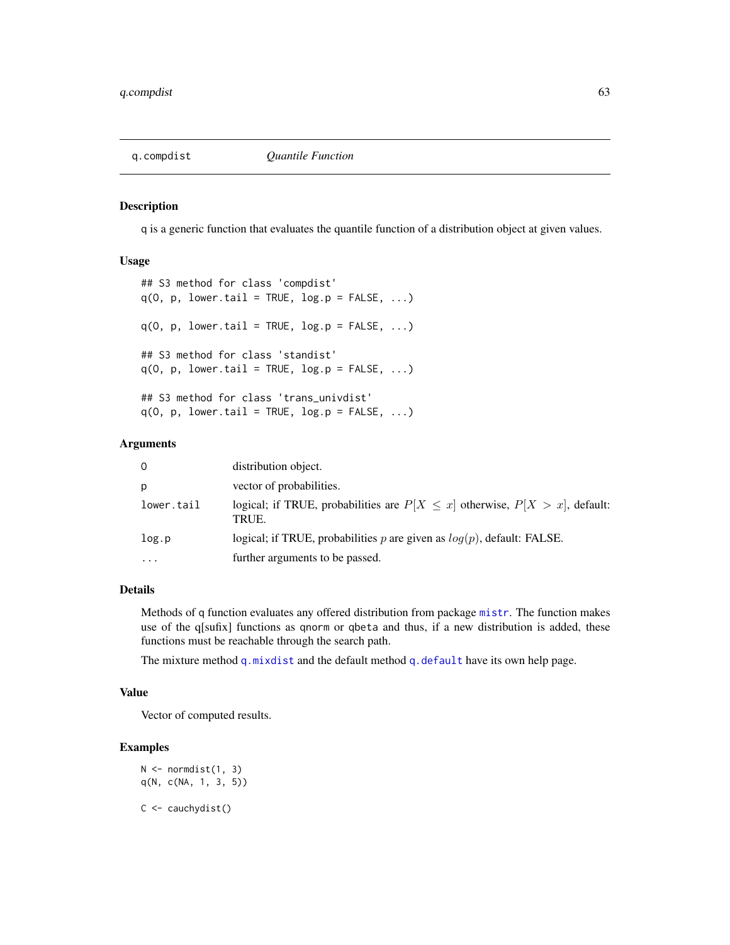<span id="page-62-0"></span>

q is a generic function that evaluates the quantile function of a distribution object at given values.

#### Usage

```
## S3 method for class 'compdist'
q(0, p, lower.tail = TRUE, log.p = FALSE, ...)q(0, p, lower.tail = TRUE, log.p = FALSE, ...)## S3 method for class 'standist'
q(0, p, lower.tail = TRUE, log.p = FALSE, ...)## S3 method for class 'trans_univdist'
q(0, p, lower.tail = TRUE, log.p = FALSE, ...)
```
#### Arguments

| distribution object.<br>0                                                                                 |  |
|-----------------------------------------------------------------------------------------------------------|--|
| vector of probabilities.<br>p                                                                             |  |
| logical; if TRUE, probabilities are $P[X \leq x]$ otherwise, $P[X > x]$ , default:<br>lower.tail<br>TRUE. |  |
| logical; if TRUE, probabilities p are given as $log(p)$ , default: FALSE.<br>log.p                        |  |
| further arguments to be passed.<br>$\cdots$                                                               |  |

# Details

Methods of q function evaluates any offered distribution from package [mistr](#page-2-0). The function makes use of the q[sufix] functions as qnorm or qbeta and thus, if a new distribution is added, these functions must be reachable through the search path.

The mixture method [q.mixdist](#page-64-0) and the default method [q.default](#page-63-0) have its own help page.

### Value

Vector of computed results.

# Examples

```
N \leftarrow normdist(1, 3)q(N, c(NA, 1, 3, 5))
C <- cauchydist()
```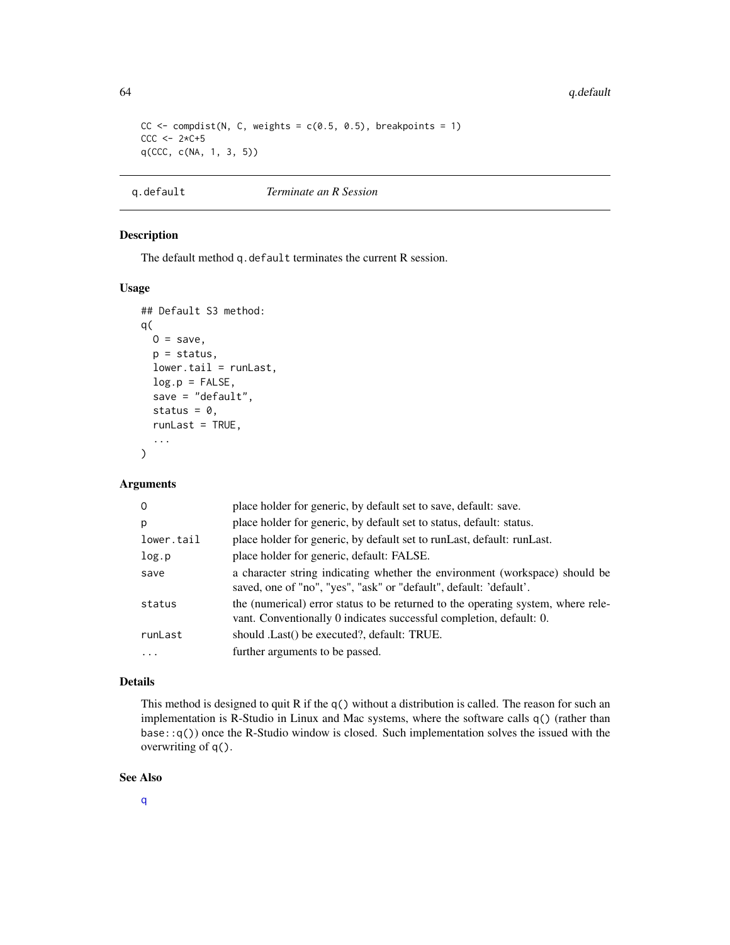```
CC \le compdist(N, C, weights = c(0.5, 0.5), breakpoints = 1)
CCC < - 2*C + 5q(CCC, c(NA, 1, 3, 5))
```
<span id="page-63-0"></span>

| <i>Terminate an R Session</i><br>g.default |
|--------------------------------------------|
|--------------------------------------------|

The default method q.default terminates the current R session.

# Usage

```
## Default S3 method:
q(
 0 =save,
 p = status,
  lower.tail = runLast,log.p = FALSE,save = "default",status = 0,
  runLast = TRUE,
  ...
\mathcal{L}
```
## Arguments

| $\Omega$                | place holder for generic, by default set to save, default: save.                                                                                        |
|-------------------------|---------------------------------------------------------------------------------------------------------------------------------------------------------|
| p                       | place holder for generic, by default set to status, default: status.                                                                                    |
| lower.tail              | place holder for generic, by default set to runLast, default: runLast.                                                                                  |
| log.p                   | place holder for generic, default: FALSE.                                                                                                               |
| save                    | a character string indicating whether the environment (workspace) should be<br>saved, one of "no", "yes", "ask" or "default", default: 'default'.       |
| status                  | the (numerical) error status to be returned to the operating system, where rele-<br>vant. Conventionally 0 indicates successful completion, default: 0. |
| runLast                 | should . Last() be executed?, default: TRUE.                                                                                                            |
| $\cdot$ $\cdot$ $\cdot$ | further arguments to be passed.                                                                                                                         |
|                         |                                                                                                                                                         |

#### Details

This method is designed to quit R if the  $q()$  without a distribution is called. The reason for such an implementation is R-Studio in Linux and Mac systems, where the software calls q() (rather than base::q()) once the R-Studio window is closed. Such implementation solves the issued with the overwriting of q().

#### See Also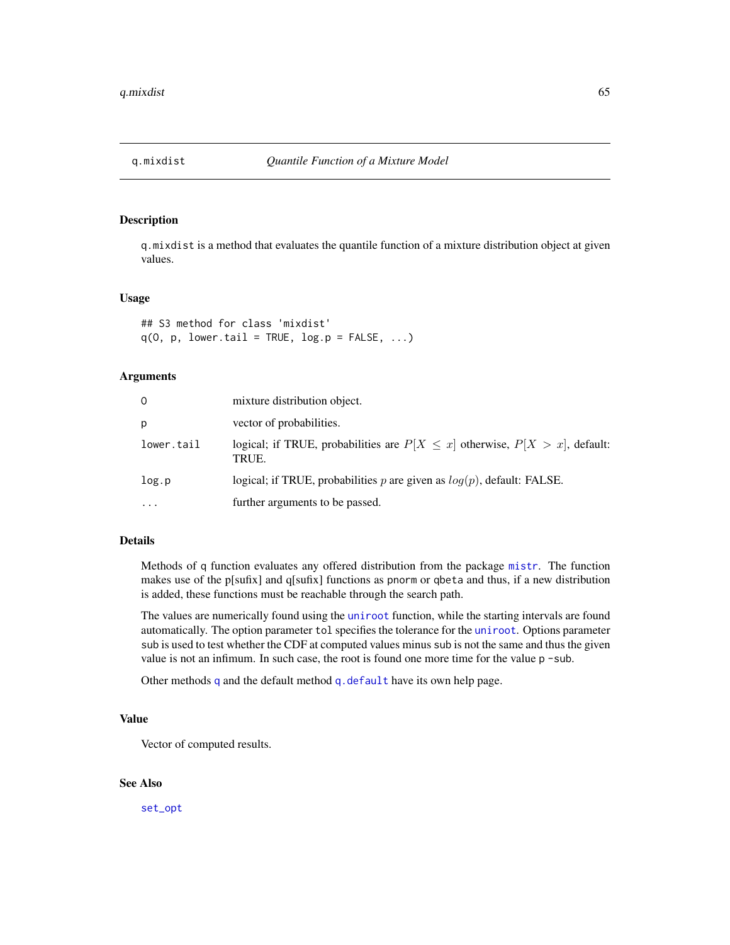<span id="page-64-0"></span>

q.mixdist is a method that evaluates the quantile function of a mixture distribution object at given values.

#### Usage

```
## S3 method for class 'mixdist'
q(0, p, lower.tail = TRUE, log.p = FALSE, ...)
```
#### Arguments

| 0          | mixture distribution object.                                                                |
|------------|---------------------------------------------------------------------------------------------|
| p          | vector of probabilities.                                                                    |
| lower.tail | logical; if TRUE, probabilities are $P[X \leq x]$ otherwise, $P[X > x]$ , default:<br>TRUE. |
| log.p      | logical; if TRUE, probabilities p are given as $log(p)$ , default: FALSE.                   |
| $\cdots$   | further arguments to be passed.                                                             |

# Details

Methods of q function evaluates any offered distribution from the package [mistr](#page-2-0). The function makes use of the p[sufix] and q[sufix] functions as pnorm or qbeta and thus, if a new distribution is added, these functions must be reachable through the search path.

The values are numerically found using the [uniroot](#page-0-0) function, while the starting intervals are found automatically. The option parameter tol specifies the tolerance for the [uniroot](#page-0-0). Options parameter sub is used to test whether the CDF at computed values minus sub is not the same and thus the given value is not an infimum. In such case, the root is found one more time for the value  $p - sub$ .

Other methods [q](#page-62-0) and the default method [q.default](#page-63-0) have its own help page.

#### Value

Vector of computed results.

### See Also

[set\\_opt](#page-76-0)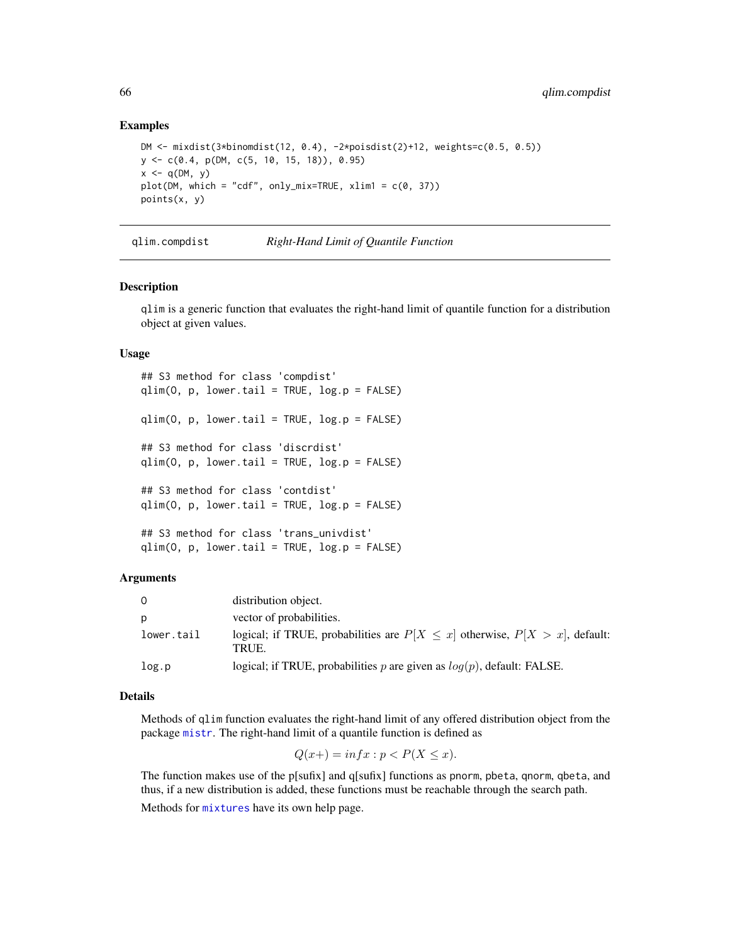#### Examples

```
DM <- mixdist(3*binomdist(12, 0.4), -2*poisdist(2)+12, weights=c(0.5, 0.5))
y <- c(0.4, p(DM, c(5, 10, 15, 18)), 0.95)
x \leq -q(DM, y)plot(DM, which = "cdf", only_mix=TRUE, xlim1 = c(0, 37))
points(x, y)
```
qlim.compdist *Right-Hand Limit of Quantile Function*

#### <span id="page-65-0"></span>Description

qlim is a generic function that evaluates the right-hand limit of quantile function for a distribution object at given values.

#### Usage

```
## S3 method for class 'compdist'
qlim(0, p, lower.tail = TRUE, log.p = FALSE)qlim(O, p, lower.tail = TRUE, log.p = FALSE)
## S3 method for class 'discrdist'
qlim(0, p, lower.tail = TRUE, log.p = FALSE)## S3 method for class 'contdist'
qlim(0, p, lower.tail = TRUE, log.p = FALSE)## S3 method for class 'trans_univdist'
qlim(0, p, lower.tail = TRUE, log.p = FALSE)
```
#### Arguments

| $\Omega$   | distribution object.                                                                       |
|------------|--------------------------------------------------------------------------------------------|
| p          | vector of probabilities.                                                                   |
| lower.tail | logical; if TRUE, probabilities are $P[X \le x]$ otherwise, $P[X > x]$ , default:<br>TRUE. |
| log.p      | logical; if TRUE, probabilities $p$ are given as $log(p)$ , default: FALSE.                |

### Details

Methods of qlim function evaluates the right-hand limit of any offered distribution object from the package [mistr](#page-2-0). The right-hand limit of a quantile function is defined as

$$
Q(x+) = \inf x : p < P(X \le x).
$$

The function makes use of the p[sufix] and q[sufix] functions as pnorm, pbeta, qnorm, qbeta, and thus, if a new distribution is added, these functions must be reachable through the search path. Methods for [mixtures](#page-66-0) have its own help page.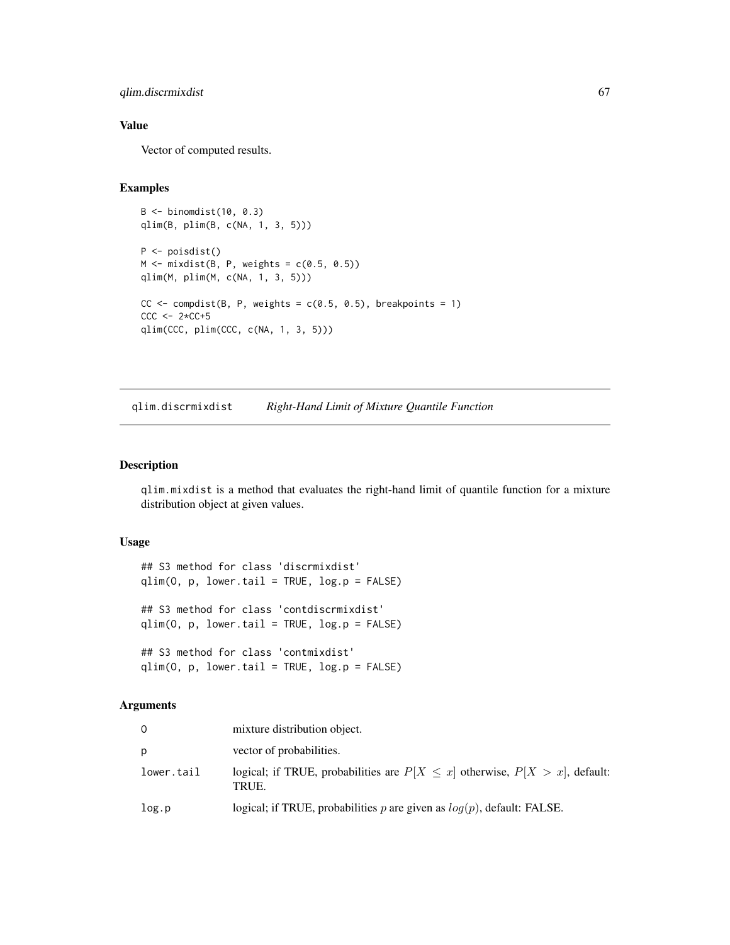# qlim.discrmixdist 67

# Value

Vector of computed results.

#### Examples

```
B <- binomdist(10, 0.3)
qlim(B, plim(B, c(NA, 1, 3, 5)))
P <- poisdist()
M \leftarrow \text{mixdist}(B, P, \text{weights} = c(0.5, 0.5))qlim(M, plim(M, c(NA, 1, 3, 5)))
CC \leftarrow compdist(B, P, weights = c(0.5, 0.5), breakpoints = 1)
CCC < -2*CC+5qlim(CCC, plim(CCC, c(NA, 1, 3, 5)))
```
<span id="page-66-0"></span>qlim.discrmixdist *Right-Hand Limit of Mixture Quantile Function*

### Description

qlim.mixdist is a method that evaluates the right-hand limit of quantile function for a mixture distribution object at given values.

#### Usage

```
## S3 method for class 'discrmixdist'
qlim(0, p, lower.tail = TRUE, log.p = FALSE)## S3 method for class 'contdiscrmixdist'
qlim(0, p, lower.tail = TRUE, log.p = FALSE)## S3 method for class 'contmixdist'
qlim(0, p, lower.tail = TRUE, log.p = FALSE)
```
#### Arguments

|            | mixture distribution object.                                                                |
|------------|---------------------------------------------------------------------------------------------|
| D          | vector of probabilities.                                                                    |
| lower.tail | logical; if TRUE, probabilities are $P[X \leq x]$ otherwise, $P[X > x]$ , default:<br>TRUE. |
| log.p      | logical; if TRUE, probabilities p are given as $log(p)$ , default: FALSE.                   |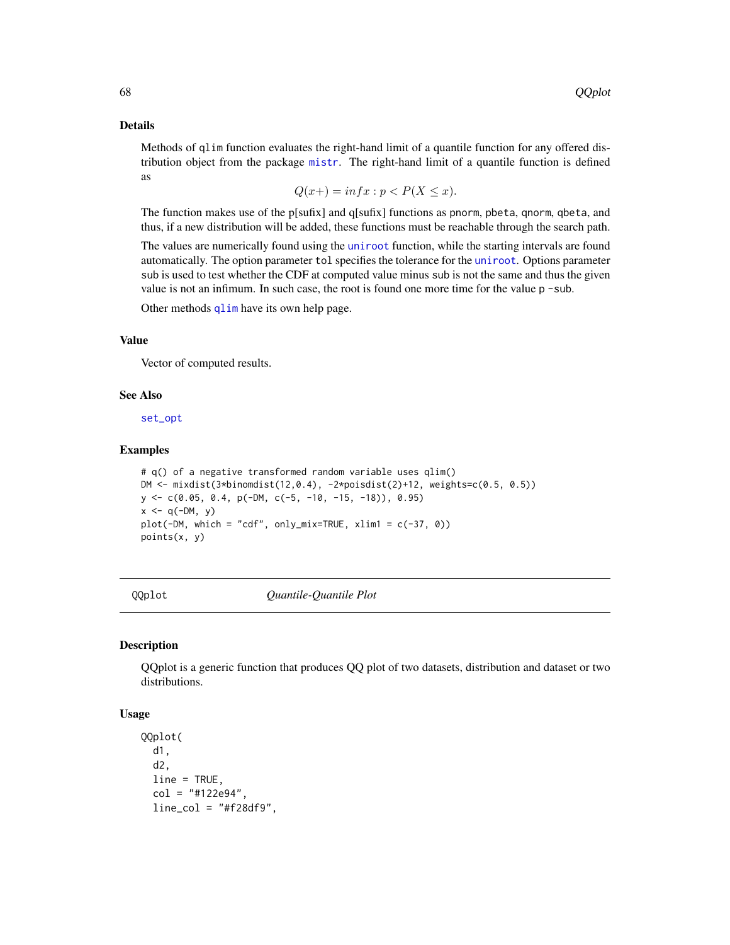#### Details

Methods of qlim function evaluates the right-hand limit of a quantile function for any offered distribution object from the package [mistr](#page-2-0). The right-hand limit of a quantile function is defined as

$$
Q(x+) = \inf x : p < P(X \le x).
$$

The function makes use of the p[sufix] and q[sufix] functions as pnorm, pbeta, qnorm, qbeta, and thus, if a new distribution will be added, these functions must be reachable through the search path.

The values are numerically found using the [uniroot](#page-0-0) function, while the starting intervals are found automatically. The option parameter tol specifies the tolerance for the [uniroot](#page-0-0). Options parameter sub is used to test whether the CDF at computed value minus sub is not the same and thus the given value is not an infimum. In such case, the root is found one more time for the value  $p - sub$ .

Other methods [qlim](#page-65-0) have its own help page.

## Value

Vector of computed results.

#### See Also

[set\\_opt](#page-76-0)

#### Examples

```
# q() of a negative transformed random variable uses qlim()
DM <- mixdist(3*binomdist(12,0.4), -2*poisdist(2)+12, weights=c(0.5, 0.5))
y <- c(0.05, 0.4, p(-DM, c(-5, -10, -15, -18)), 0.95)
x < -q(-DM, y)plot(-DM, which = "cdf", only\_mix=TRUE, xlim1 = c(-37, 0))points(x, y)
```
QQplot *Quantile-Quantile Plot*

#### **Description**

QQplot is a generic function that produces QQ plot of two datasets, distribution and dataset or two distributions.

#### Usage

```
QQplot(
  d1,
  d2,
  line = TRUE,
  col = "#122e94",line\_col = "#f28df9",
```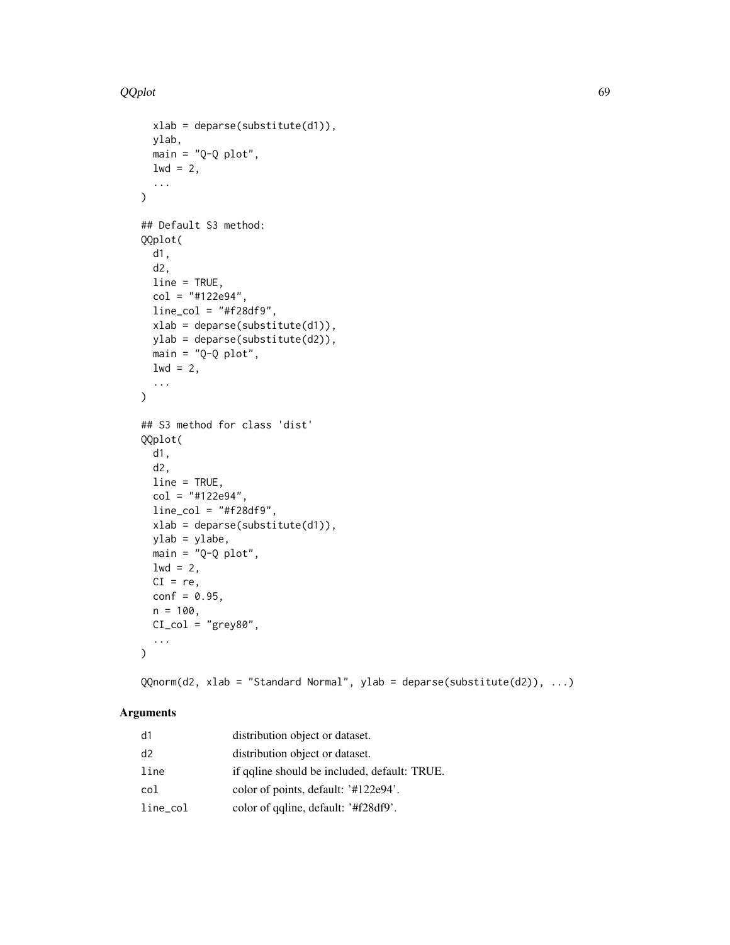```
xlab = deparse(substitute(d1)),ylab,
 main = "Q-Q plot",1wd = 2,
  ...
\mathcal{L}## Default S3 method:
QQplot(
 d1,
 d2,
 line = TRUE,
 col = "#122e94",
 line\_col = "#f28df9",xlab = deparse(substitute(d1)),
 ylab = deparse(substitute(d2)),
 main = "Q-Q plot",
 1wd = 2,
  ...
\lambda## S3 method for class 'dist'
QQplot(
 d1,
  d2,
 line = TRUE,
  col = "#122e94",line\_col = "#f28df9",xlab = deparse(substitute(d1)),
 ylab = ylabe,
 main = "Q-Q plot",1wd = 2,CI = re,conf = 0.95,n = 100,
 CI\_col = "grey80",
  ...
\mathcal{L}
```
QQnorm(d2, xlab = "Standard Normal", ylab = deparse(substitute(d2)), ...)

# Arguments

| d1          | distribution object or dataset.              |
|-------------|----------------------------------------------|
| d2          | distribution object or dataset.              |
| line        | if galine should be included, default: TRUE. |
| col         | color of points, default: '#122e94'.         |
| $line\_col$ | color of qualine, default: '#f28df9'.        |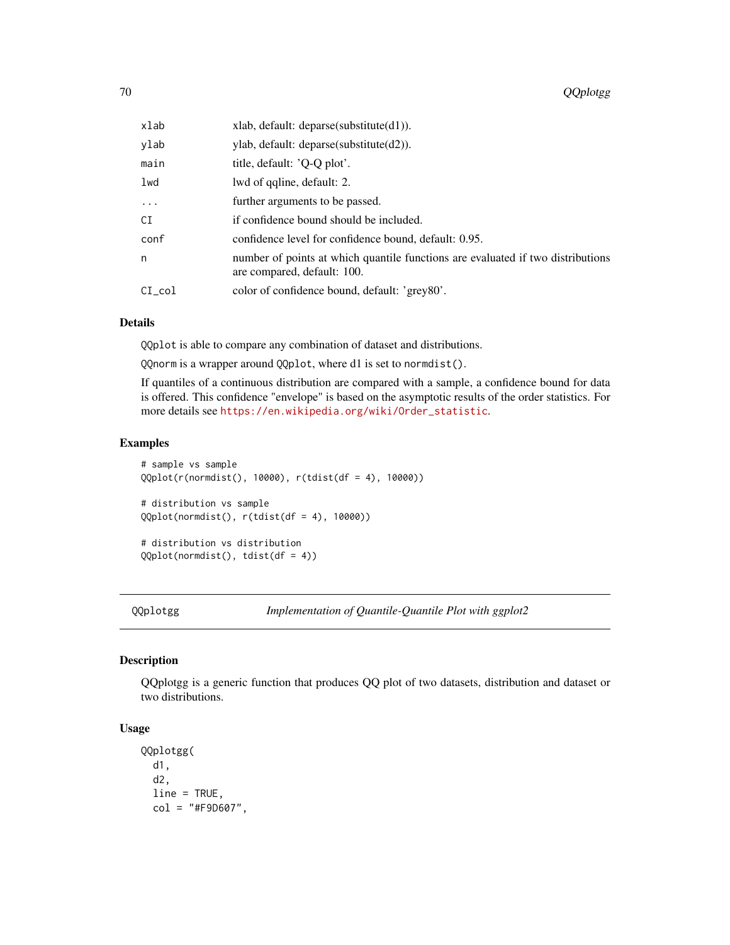| xlab     | xlab, default: deparse(substitute(d1)).                                                                        |
|----------|----------------------------------------------------------------------------------------------------------------|
| ylab     | $v$ lab, default: deparse(substitute(d2)).                                                                     |
| main     | title, default: 'Q-Q plot'.                                                                                    |
| lwd      | lwd of qqline, default: 2.                                                                                     |
| $\ddots$ | further arguments to be passed.                                                                                |
| СI       | if confidence bound should be included.                                                                        |
| conf     | confidence level for confidence bound, default: 0.95.                                                          |
| n        | number of points at which quantile functions are evaluated if two distributions<br>are compared, default: 100. |
| CI col   | color of confidence bound, default: 'grey80'.                                                                  |

## Details

QQplot is able to compare any combination of dataset and distributions.

QQnorm is a wrapper around QQplot, where d1 is set to normdist().

If quantiles of a continuous distribution are compared with a sample, a confidence bound for data is offered. This confidence "envelope" is based on the asymptotic results of the order statistics. For more details see [https://en.wikipedia.org/wiki/Order\\_statistic](https://en.wikipedia.org/wiki/Order_statistic).

### Examples

```
# sample vs sample
QQplot(r(normdist(), 10000), r(tdist(df = 4), 10000))
# distribution vs sample
QQplot(normdist(), r(tdist(df = 4), 10000))
# distribution vs distribution
QQplot(normdist(), tdist(df = 4))
```
QQplotgg *Implementation of Quantile-Quantile Plot with ggplot2*

#### Description

QQplotgg is a generic function that produces QQ plot of two datasets, distribution and dataset or two distributions.

# Usage

```
QQplotgg(
  d1,
  d2,
  line = TRUE,
  col = "#F9D607",
```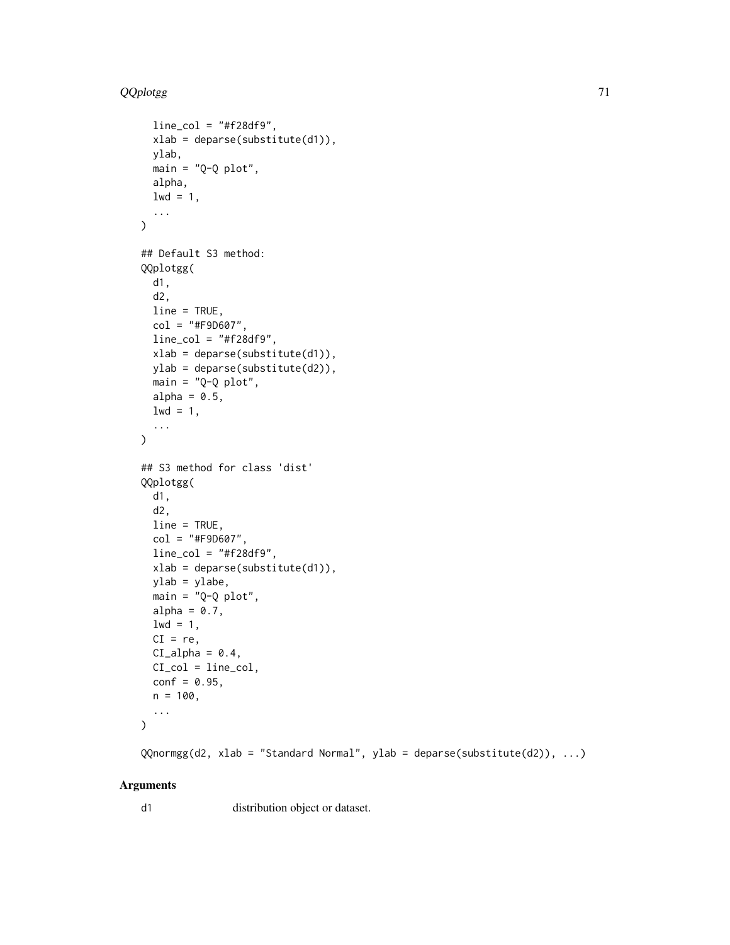```
line\_col = "#f28df9",xlab = deparse(substitute(d1)),
 ylab,
 main = "Q-Q plot",alpha,
 1wd = 1,...
\mathcal{L}## Default S3 method:
QQplotgg(
 d1,
 d2,
 line = TRUE,
 col = "#F9D607",line\_col = "#f28df9",xlab = deparse(substitute(d1)),
 ylab = deparse(substitute(d2)),
 main = "Q-Q plot",alpha = 0.5,
 1wd = 1,
  ...
\mathcal{L}## S3 method for class 'dist'
QQplotgg(
 d1,
 d2,
 line = TRUE,
 col = "#F9D607",line_col = "#f28df9",
 xlab = deparse(substitute(d1)),
 ylab = ylabe,
 main = "Q-Q plot",alpha = 0.7,
 1wd = 1,
 CI = re.
 CI_alpha = 0.4,
 CI_col = line_col,
 conf = 0.95,n = 100,...
\mathcal{L}
```
QQnormgg(d2, xlab = "Standard Normal", ylab = deparse(substitute(d2)), ...)

### Arguments

d1 distribution object or dataset.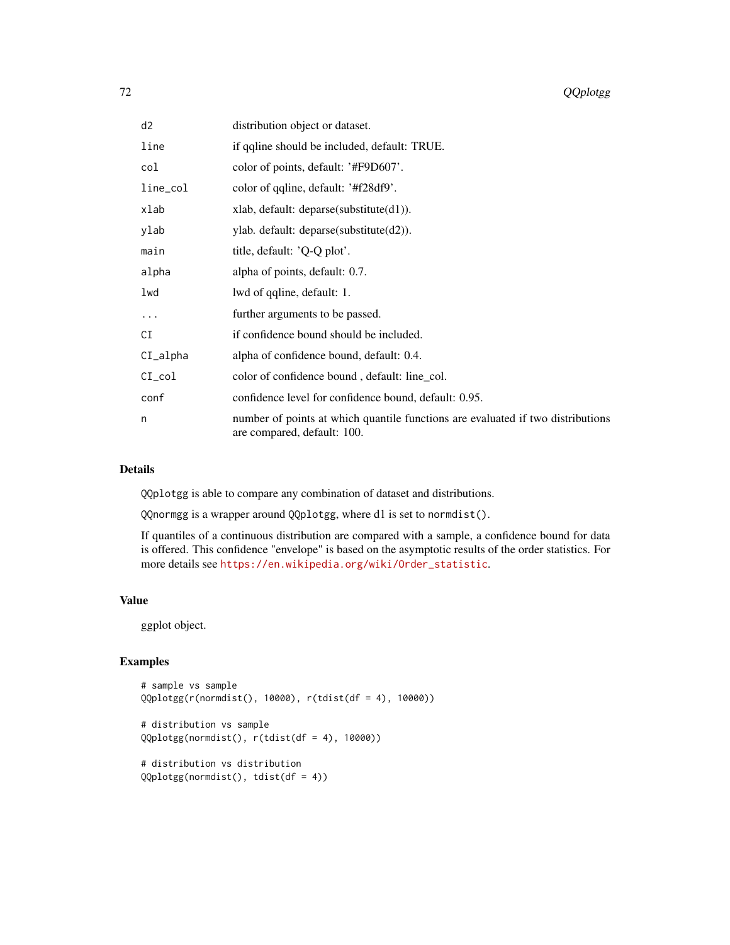| d <sub>2</sub> | distribution object or dataset.                                                                                |
|----------------|----------------------------------------------------------------------------------------------------------------|
| line           | if qualine should be included, default: TRUE.                                                                  |
| col            | color of points, default: '#F9D607'.                                                                           |
| line_col       | color of qqline, default: '#f28df9'.                                                                           |
| xlab           | xlab, default: deparse(substitute(d1)).                                                                        |
| ylab           | ylab. default: deparse(substitute(d2)).                                                                        |
| main           | title, default: $'Q-Q$ plot'.                                                                                  |
| alpha          | alpha of points, default: 0.7.                                                                                 |
| lwd            | lwd of qqline, default: 1.                                                                                     |
|                | further arguments to be passed.                                                                                |
| CI             | if confidence bound should be included.                                                                        |
| $CI_alpha$     | alpha of confidence bound, default: 0.4.                                                                       |
| $CI_{col}$     | color of confidence bound, default: line_col.                                                                  |
| conf           | confidence level for confidence bound, default: 0.95.                                                          |
| n              | number of points at which quantile functions are evaluated if two distributions<br>are compared, default: 100. |

#### Details

QQplotgg is able to compare any combination of dataset and distributions.

QQnormgg is a wrapper around QQplotgg, where d1 is set to normdist().

If quantiles of a continuous distribution are compared with a sample, a confidence bound for data is offered. This confidence "envelope" is based on the asymptotic results of the order statistics. For more details see [https://en.wikipedia.org/wiki/Order\\_statistic](https://en.wikipedia.org/wiki/Order_statistic).

#### Value

ggplot object.

# Examples

```
# sample vs sample
QQplotgg(r(normdist(), 10000), r(tdist(df = 4), 10000))
```

```
# distribution vs sample
QQplotgg(normdist(), r(tdist(df = 4), 10000))
```

```
# distribution vs distribution
QQplotgg(normdist(), tdist(df = 4))
```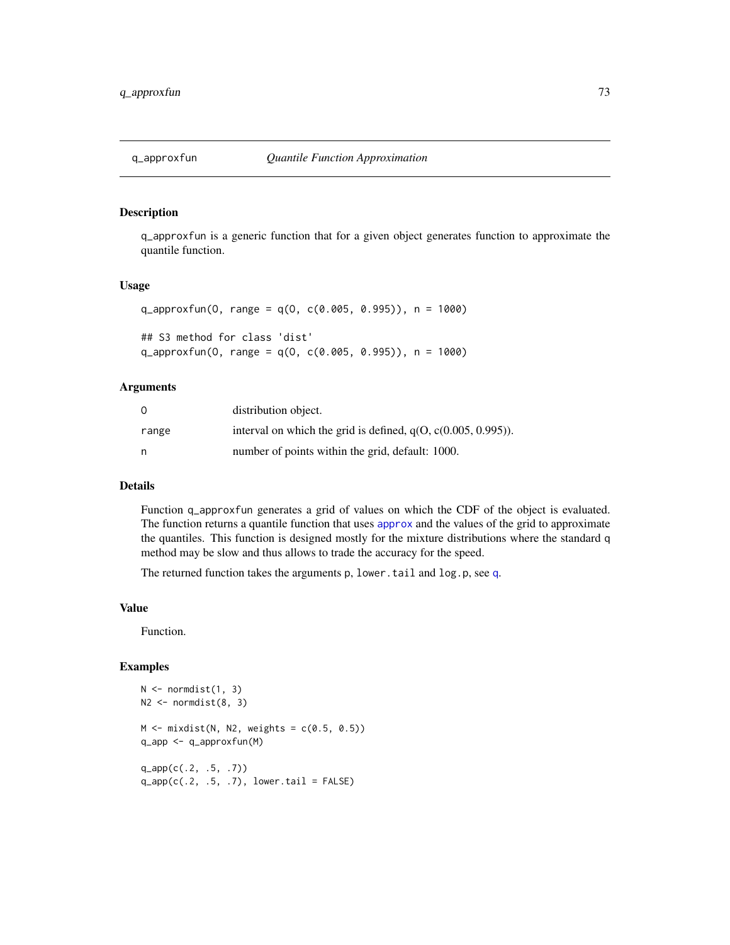<span id="page-72-0"></span>

q\_approxfun is a generic function that for a given object generates function to approximate the quantile function.

#### Usage

```
q_approxfun(O, range = q(O, c(0.005, 0.995)), n = 1000)
## S3 method for class 'dist'
q_approxfun(0, range = q(0, c(0.005, 0.995)), n = 1000)
```
#### Arguments

|       | distribution object.                                             |
|-------|------------------------------------------------------------------|
| range | interval on which the grid is defined, $q(0, c(0.005, 0.995))$ . |
| n     | number of points within the grid, default: 1000.                 |

# Details

Function q\_approxfun generates a grid of values on which the CDF of the object is evaluated. The function returns a quantile function that uses [approx](#page-0-0) and the values of the grid to approximate the quantiles. This function is designed mostly for the mixture distributions where the standard q method may be slow and thus allows to trade the accuracy for the speed.

The returned function takes the arguments p, lower.tail and log.p, see [q](#page-62-0).

#### Value

Function.

#### Examples

```
N \leftarrow normdist(1, 3)N2 \leq normdist(8, 3)M \leftarrow \text{mixdist}(N, N2, \text{ weights} = c(0.5, 0.5))q_app <- q_approxfun(M)
q_app(c(.2, .5, .7))
q<sub>-app</sub>(c(.2, .5, .7), lower.tail = FALSE)
```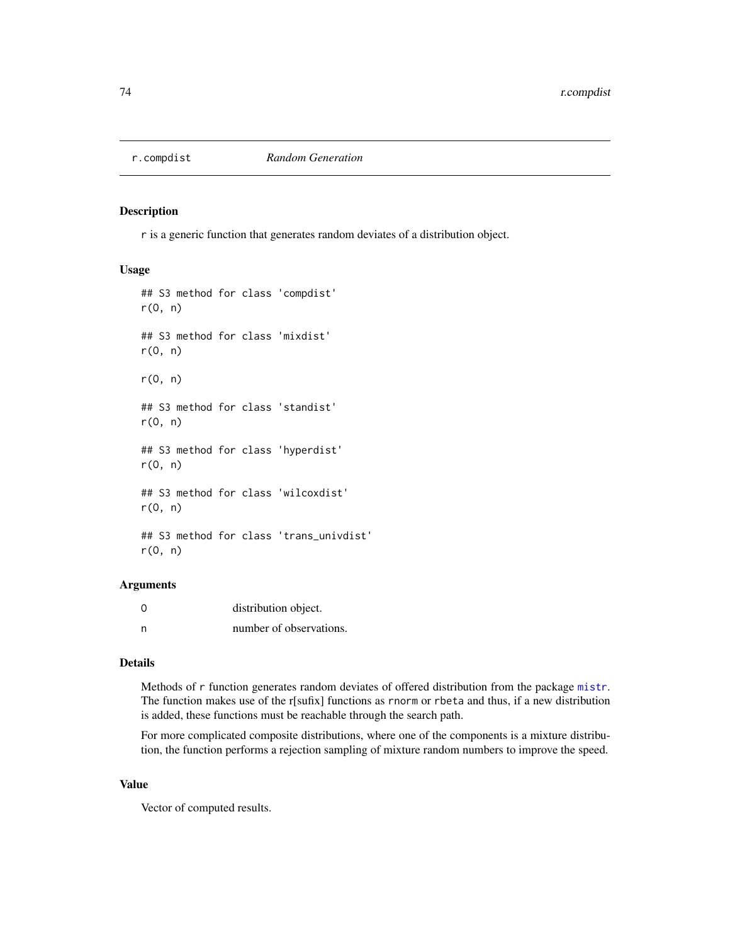<span id="page-73-0"></span>

r is a generic function that generates random deviates of a distribution object.

#### Usage

## S3 method for class 'compdist' r(O, n) ## S3 method for class 'mixdist' r(O, n) r(O, n) ## S3 method for class 'standist'  $r(0, n)$ ## S3 method for class 'hyperdist' r(O, n) ## S3 method for class 'wilcoxdist'  $r(0, n)$ ## S3 method for class 'trans\_univdist' r(O, n)

## Arguments

| 0 | distribution object.    |
|---|-------------------------|
| n | number of observations. |

# Details

Methods of r function generates random deviates of offered distribution from the package [mistr](#page-2-0). The function makes use of the r[sufix] functions as rnorm or rbeta and thus, if a new distribution is added, these functions must be reachable through the search path.

For more complicated composite distributions, where one of the components is a mixture distribution, the function performs a rejection sampling of mixture random numbers to improve the speed.

#### Value

Vector of computed results.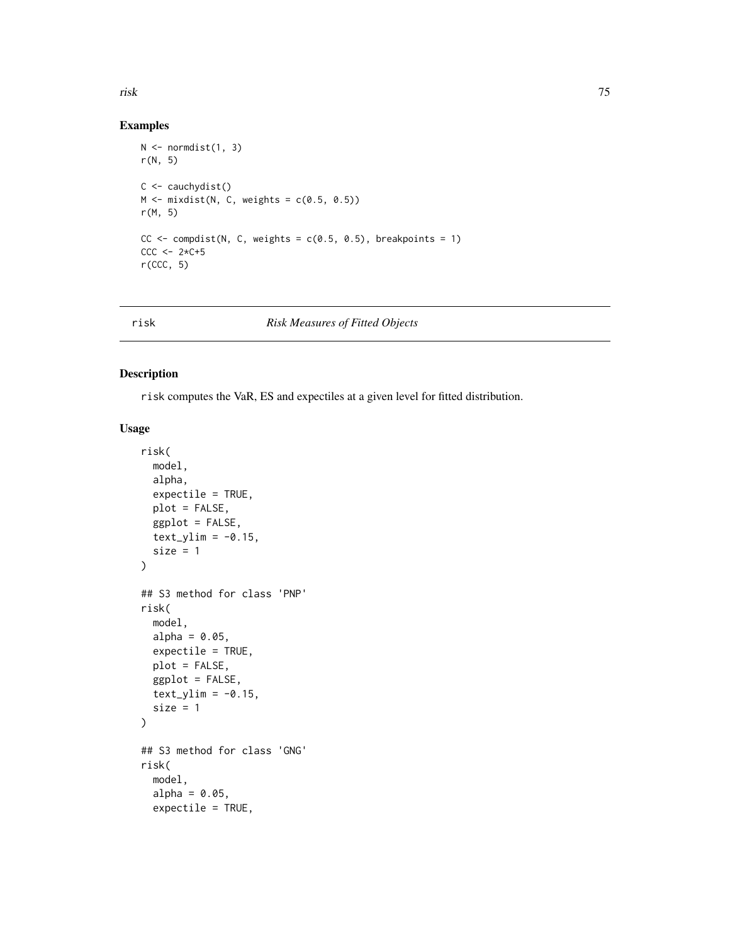#### <span id="page-74-0"></span>risk 75

## Examples

```
N \leq normdist(1, 3)
r(N, 5)
C \leftarrow \text{cauchydist}()M \leftarrow mixdist(N, C, weights = c(0.5, 0.5))r(M, 5)
CC \leftarrow compdist(N, C, weights = c(0.5, 0.5), breakpoints = 1)
CCC < -2*C+5r(CCC, 5)
```
#### risk *Risk Measures of Fitted Objects*

# Description

risk computes the VaR, ES and expectiles at a given level for fitted distribution.

## Usage

```
risk(
  model,
  alpha,
  expectile = TRUE,
 plot = FALSE,
 ggplot = FALSE,
  text\_ylim = -0.15,
  size = 1\mathcal{L}## S3 method for class 'PNP'
risk(
 model,
  alpha = 0.05,
 expectile = TRUE,
 plot = FALSE,
  ggplot = FALSE,
  text_ylim = -0.15,
  size = 1\mathcal{L}## S3 method for class 'GNG'
risk(
 model,
  alpha = 0.05,
  expectile = TRUE,
```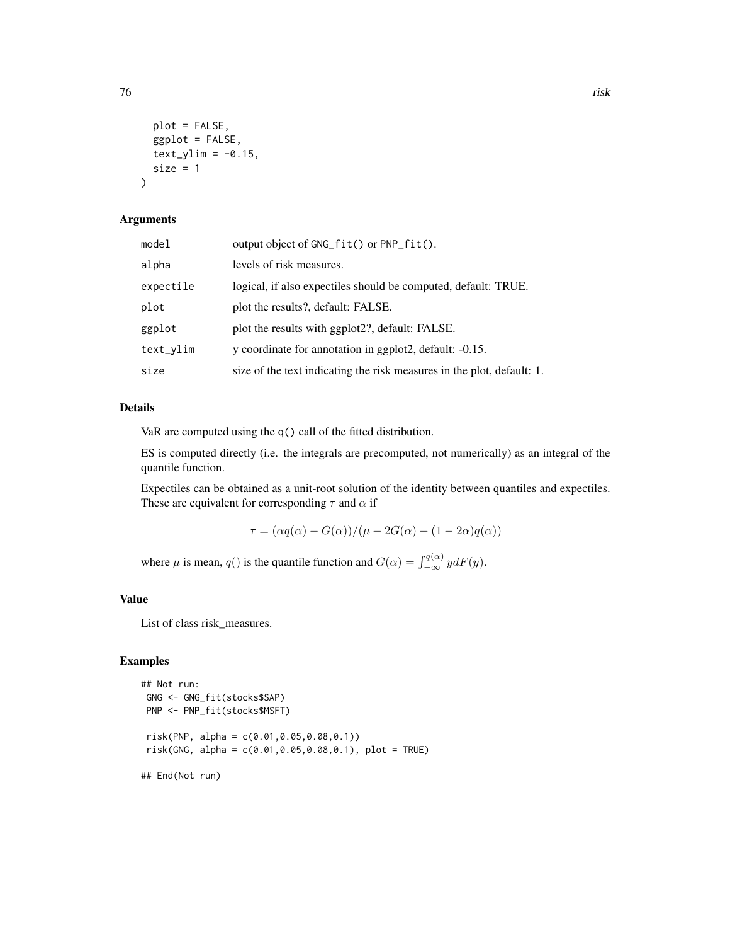plot = FALSE, ggplot = FALSE,  $text_ylim = -0.15$ , size =  $1$ )

## Arguments

| model     | output object of GNG_fit() or PNP_fit().                               |
|-----------|------------------------------------------------------------------------|
| alpha     | levels of risk measures.                                               |
| expectile | logical, if also expectiles should be computed, default: TRUE.         |
| plot      | plot the results?, default: FALSE.                                     |
| ggplot    | plot the results with ggplot 2?, default: FALSE.                       |
| text_ylim | y coordinate for annotation in ggplot2, default: -0.15.                |
| size      | size of the text indicating the risk measures in the plot, default: 1. |

# Details

VaR are computed using the q() call of the fitted distribution.

ES is computed directly (i.e. the integrals are precomputed, not numerically) as an integral of the quantile function.

Expectiles can be obtained as a unit-root solution of the identity between quantiles and expectiles. These are equivalent for corresponding  $\tau$  and  $\alpha$  if

$$
\tau = (\alpha q(\alpha) - G(\alpha))/(\mu - 2G(\alpha) - (1 - 2\alpha)q(\alpha))
$$

where  $\mu$  is mean,  $q()$  is the quantile function and  $G(\alpha) = \int_{-\infty}^{q(\alpha)} y dF(y)$ .

#### Value

List of class risk\_measures.

#### Examples

```
## Not run:
GNG <- GNG_fit(stocks$SAP)
PNP <- PNP_fit(stocks$MSFT)
risk(PNP, alpha = c(0.01,0.05,0.08,0.1))
risk(GNG, alpha = c(0.01,0.05,0.08,0.1), plot = TRUE)
## End(Not run)
```
76 risk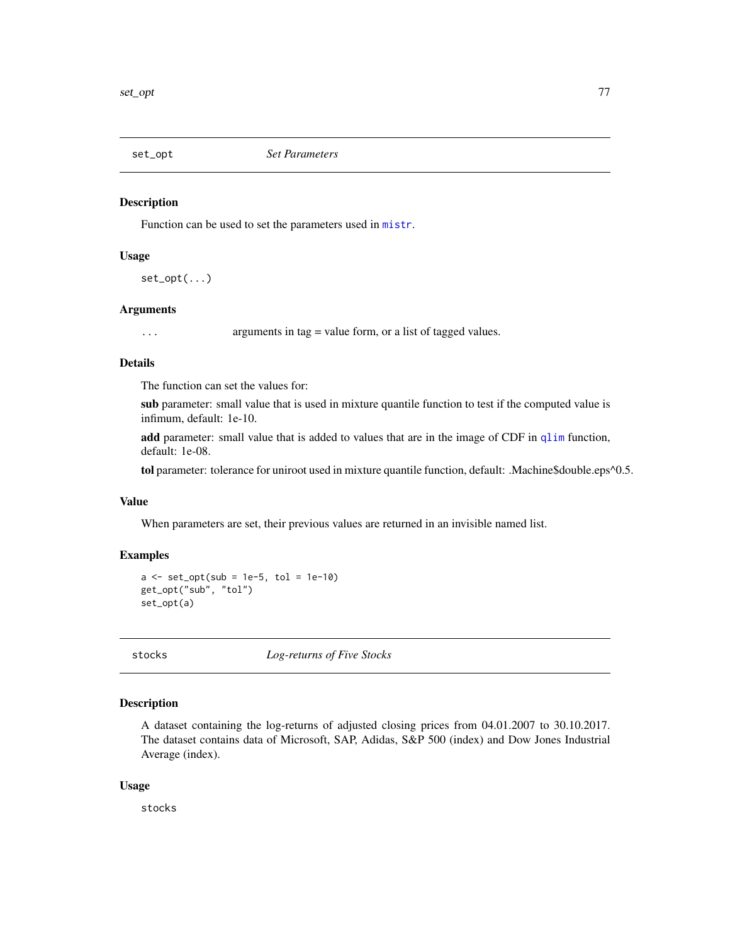<span id="page-76-0"></span>

Function can be used to set the parameters used in [mistr](#page-2-0).

## Usage

 $set\_opt($ ...)

## Arguments

... arguments in tag = value form, or a list of tagged values.

#### Details

The function can set the values for:

sub parameter: small value that is used in mixture quantile function to test if the computed value is infimum, default: 1e-10.

add parameter: small value that is added to values that are in the image of CDF in [qlim](#page-65-0) function, default: 1e-08.

tol parameter: tolerance for uniroot used in mixture quantile function, default: .Machine\$double.eps^0.5.

## Value

When parameters are set, their previous values are returned in an invisible named list.

#### Examples

```
a \leftarrow set\_opt(sub = 1e-5, tol = 1e-10)get_opt("sub", "tol")
set_opt(a)
```
stocks *Log-returns of Five Stocks*

#### Description

A dataset containing the log-returns of adjusted closing prices from 04.01.2007 to 30.10.2017. The dataset contains data of Microsoft, SAP, Adidas, S&P 500 (index) and Dow Jones Industrial Average (index).

#### Usage

stocks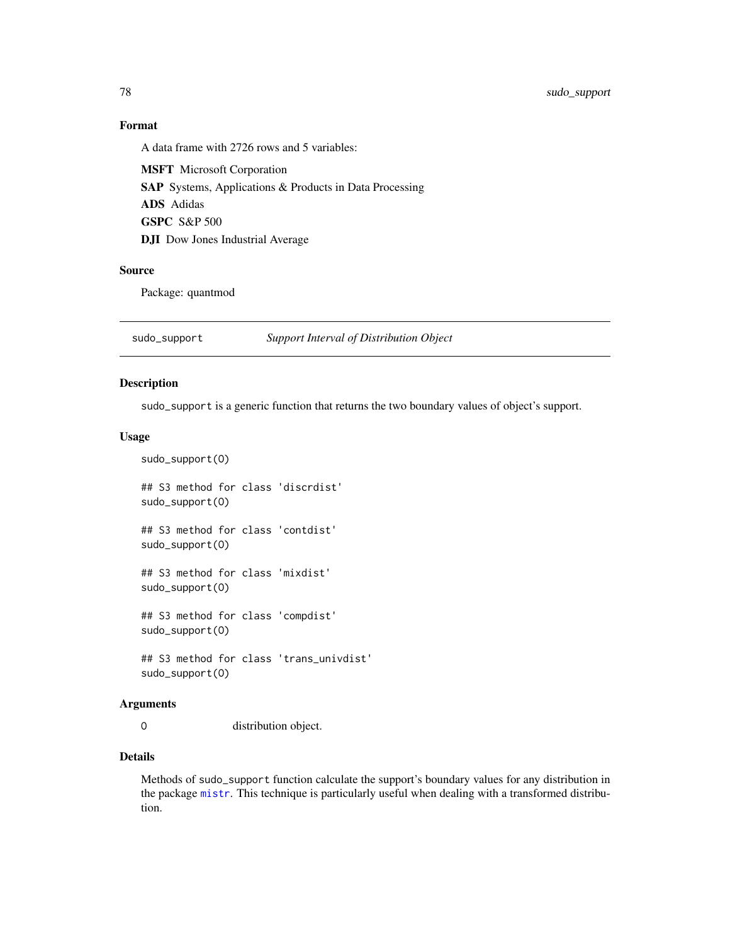<span id="page-77-0"></span>78 sudo\_support

## Format

A data frame with 2726 rows and 5 variables:

MSFT Microsoft Corporation SAP Systems, Applications & Products in Data Processing ADS Adidas GSPC S&P 500 DJI Dow Jones Industrial Average

#### Source

Package: quantmod

sudo\_support *Support Interval of Distribution Object*

#### Description

sudo\_support is a generic function that returns the two boundary values of object's support.

#### Usage

```
sudo_support(O)
## S3 method for class 'discrdist'
sudo_support(O)
## S3 method for class 'contdist'
sudo_support(O)
## S3 method for class 'mixdist'
sudo_support(O)
## S3 method for class 'compdist'
sudo_support(O)
## S3 method for class 'trans_univdist'
sudo_support(O)
```
#### Arguments

O distribution object.

#### Details

Methods of sudo\_support function calculate the support's boundary values for any distribution in the package [mistr](#page-2-0). This technique is particularly useful when dealing with a transformed distribution.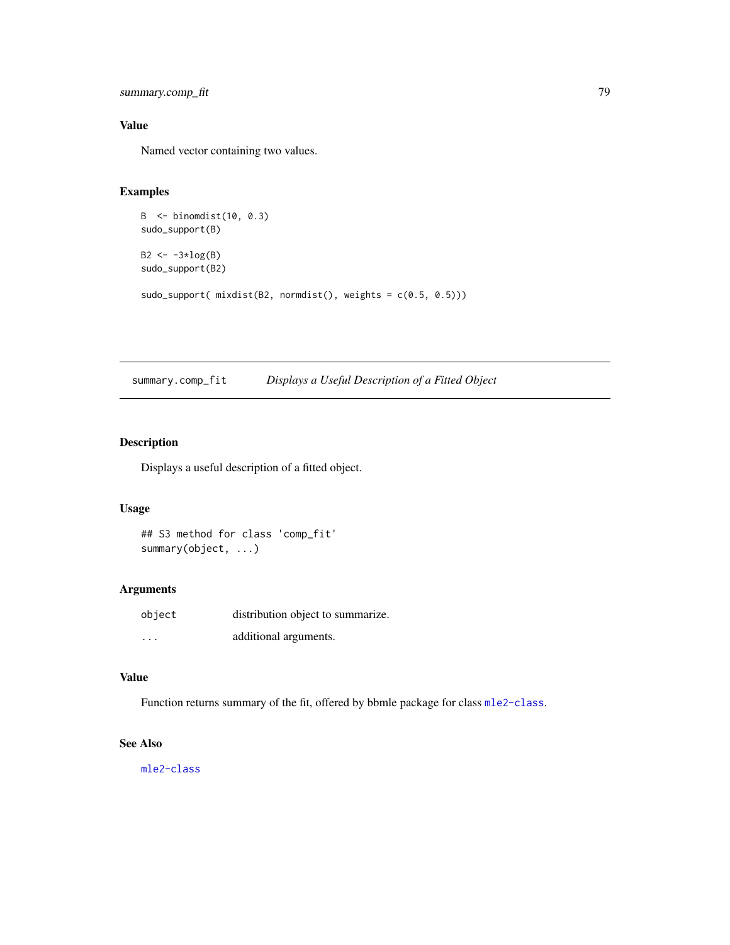```
summary.comp_fit 79
```
# Value

Named vector containing two values.

# Examples

```
B <- binomdist(10, 0.3)
sudo_support(B)
B2 \le -3 \times log(B)sudo_support(B2)
sudo_support( mixdist(B2, normdist(), weights = c(0.5, 0.5)))
```
summary.comp\_fit *Displays a Useful Description of a Fitted Object*

# Description

Displays a useful description of a fitted object.

## Usage

```
## S3 method for class 'comp_fit'
summary(object, ...)
```
## Arguments

| object   | distribution object to summarize. |
|----------|-----------------------------------|
| $\cdots$ | additional arguments.             |

## Value

Function returns summary of the fit, offered by bbmle package for class [mle2-class](#page-0-0).

## See Also

[mle2-class](#page-0-0)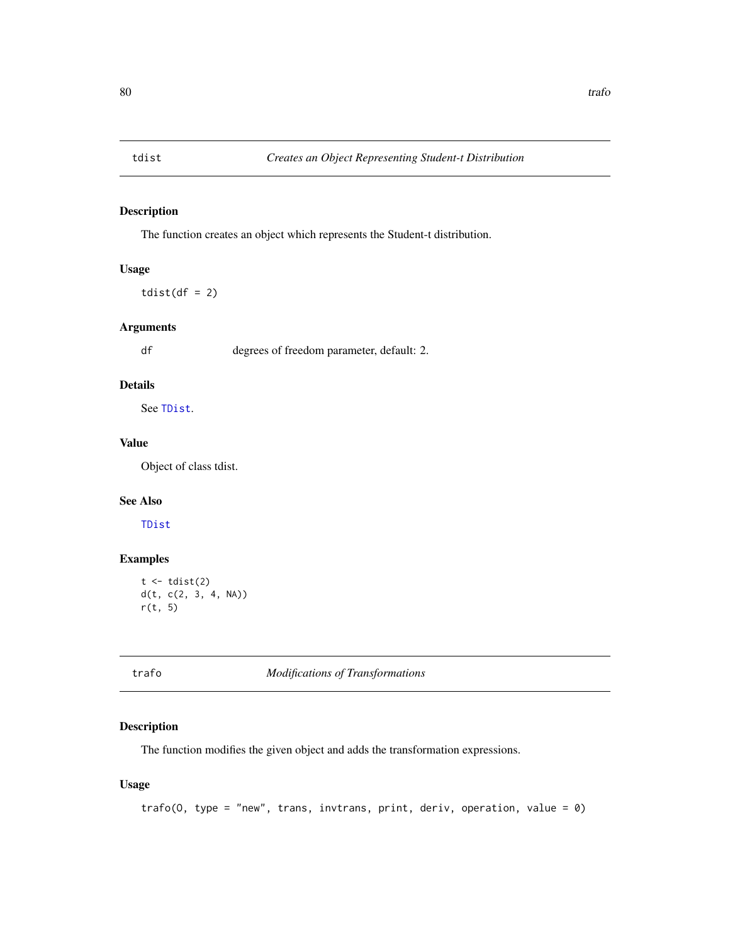<span id="page-79-0"></span>

The function creates an object which represents the Student-t distribution.

## Usage

 $tdist(df = 2)$ 

## Arguments

df degrees of freedom parameter, default: 2.

## Details

See [TDist](#page-0-0).

# Value

Object of class tdist.

## See Also

[TDist](#page-0-0)

# Examples

```
t \leftarrow \text{tdist}(2)d(t, c(2, 3, 4, NA))
r(t, 5)
```
trafo *Modifications of Transformations*

## Description

The function modifies the given object and adds the transformation expressions.

#### Usage

trafo(0, type = "new", trans, invtrans, print, deriv, operation, value =  $\theta$ )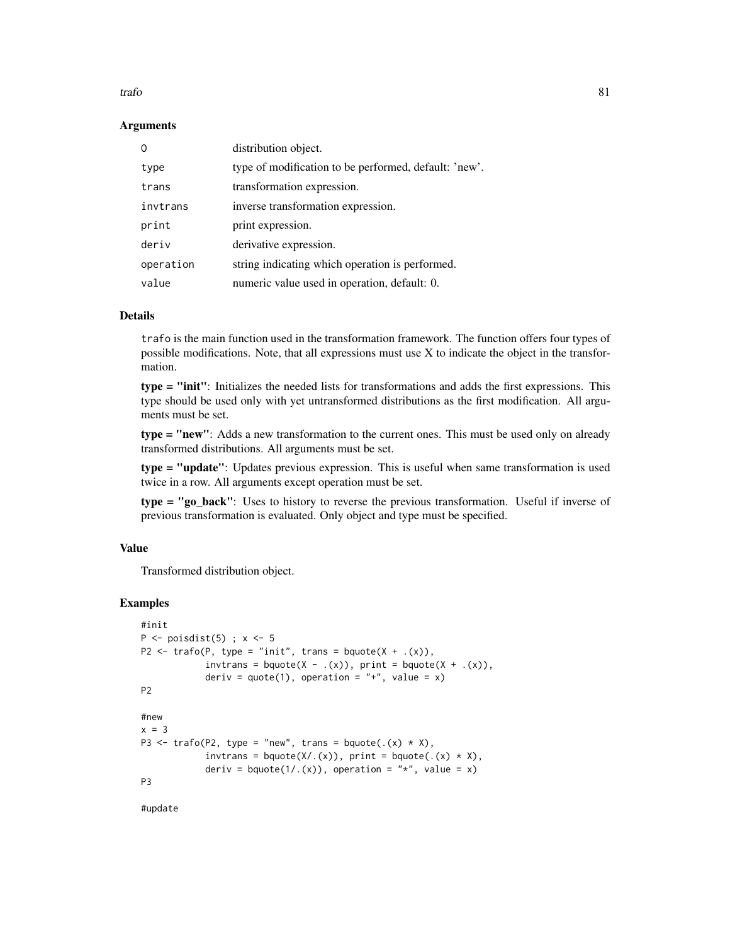#### trafo 81

#### **Arguments**

| $\Omega$  | distribution object.                                  |
|-----------|-------------------------------------------------------|
| type      | type of modification to be performed, default: 'new'. |
| trans     | transformation expression.                            |
| invtrans  | inverse transformation expression.                    |
| print     | print expression.                                     |
| deriv     | derivative expression.                                |
| operation | string indicating which operation is performed.       |
| value     | numeric value used in operation, default: 0.          |

#### Details

trafo is the main function used in the transformation framework. The function offers four types of possible modifications. Note, that all expressions must use X to indicate the object in the transformation.

type = "init": Initializes the needed lists for transformations and adds the first expressions. This type should be used only with yet untransformed distributions as the first modification. All arguments must be set.

type = "new": Adds a new transformation to the current ones. This must be used only on already transformed distributions. All arguments must be set.

type = "update": Updates previous expression. This is useful when same transformation is used twice in a row. All arguments except operation must be set.

type = "go\_back": Uses to history to reverse the previous transformation. Useful if inverse of previous transformation is evaluated. Only object and type must be specified.

#### Value

Transformed distribution object.

#### Examples

```
#init
P \leftarrow \text{poisdist}(5); x <- 5
P2 \le trafo(P, type = "init", trans = bquote(X + .(x)),
            invtrans = bquote(X - .(x)), print = bquote(X + .(x)),deriv = quote(1), operation = "+", value = x)
P2
#new
x = 3P3 \le trafo(P2, type = "new", trans = bquote(.(x) \star X),
            invtrans = bquote(X/(x)), print = bquote(.(x) * X),
            deriv = bquote(1/.(x)), operation = "*", value = x)
P3
```
#update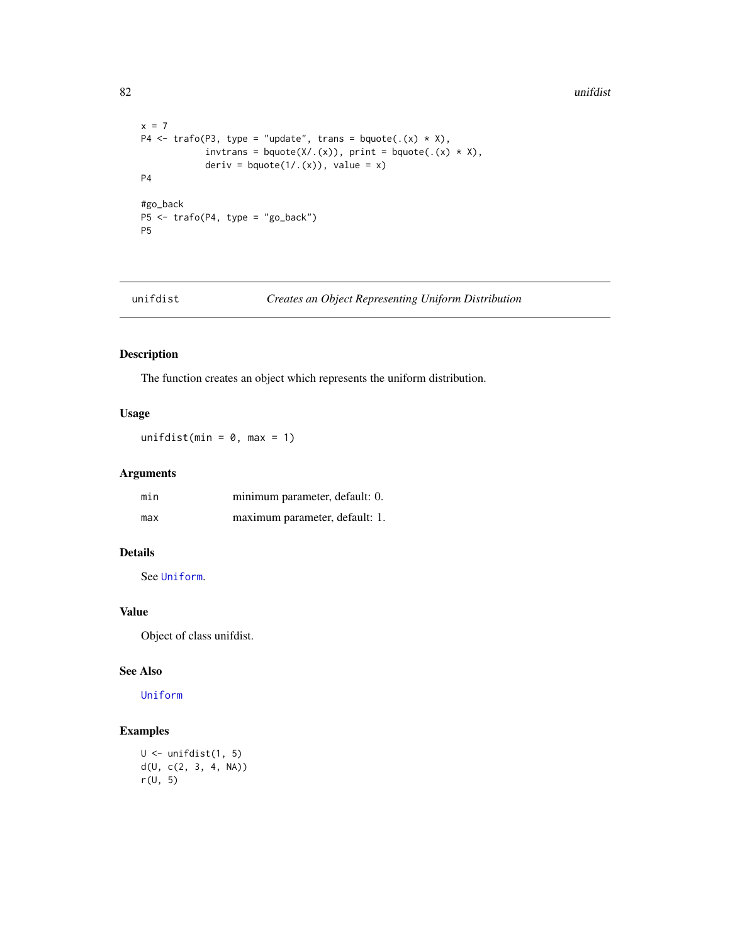```
x = 7P4 \le trafo(P3, type = "update", trans = bquote(.(x) * X),
            invtrans = bquote(X/(x)), print = bquote((x) * X),deriv = bquote(1/.(x)), value = x)
P4
#go_back
P5 <- trafo(P4, type = "go_back")
P5
```
unifdist *Creates an Object Representing Uniform Distribution*

# Description

The function creates an object which represents the uniform distribution.

# Usage

unifdist(min =  $0$ , max = 1)

## Arguments

| min | minimum parameter, default: 0. |
|-----|--------------------------------|
| max | maximum parameter, default: 1. |

## Details

See [Uniform](#page-0-0).

## Value

Object of class unifdist.

#### See Also

[Uniform](#page-0-0)

## Examples

```
U <- unifdist(1, 5)
d(U, c(2, 3, 4, NA))
r(U, 5)
```
<span id="page-81-0"></span>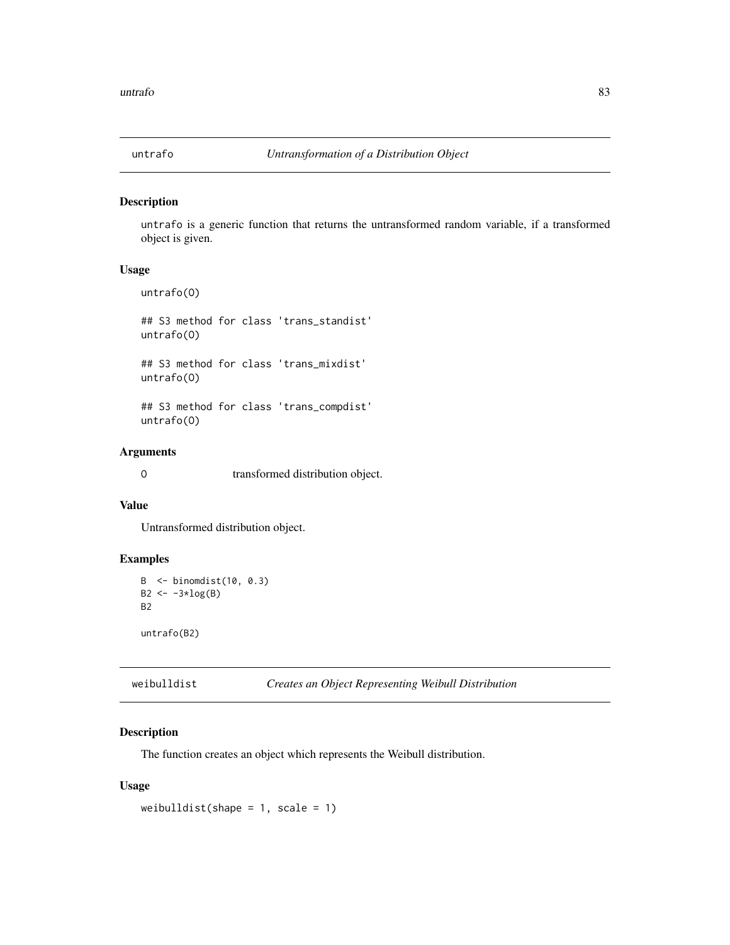<span id="page-82-0"></span>

untrafo is a generic function that returns the untransformed random variable, if a transformed object is given.

## Usage

untrafo(O)

## S3 method for class 'trans\_standist' untrafo(O)

## S3 method for class 'trans\_mixdist' untrafo(O)

## S3 method for class 'trans\_compdist' untrafo(O)

## Arguments

O transformed distribution object.

# Value

Untransformed distribution object.

## Examples

```
B <- binomdist(10, 0.3)
B2 \le -3 \times log(B)B2
untrafo(B2)
```

| weibulldist |  | Creates an Object Representing Weibull Distribution |  |
|-------------|--|-----------------------------------------------------|--|
|-------------|--|-----------------------------------------------------|--|

## Description

The function creates an object which represents the Weibull distribution.

#### Usage

weibulldist(shape =  $1$ , scale =  $1$ )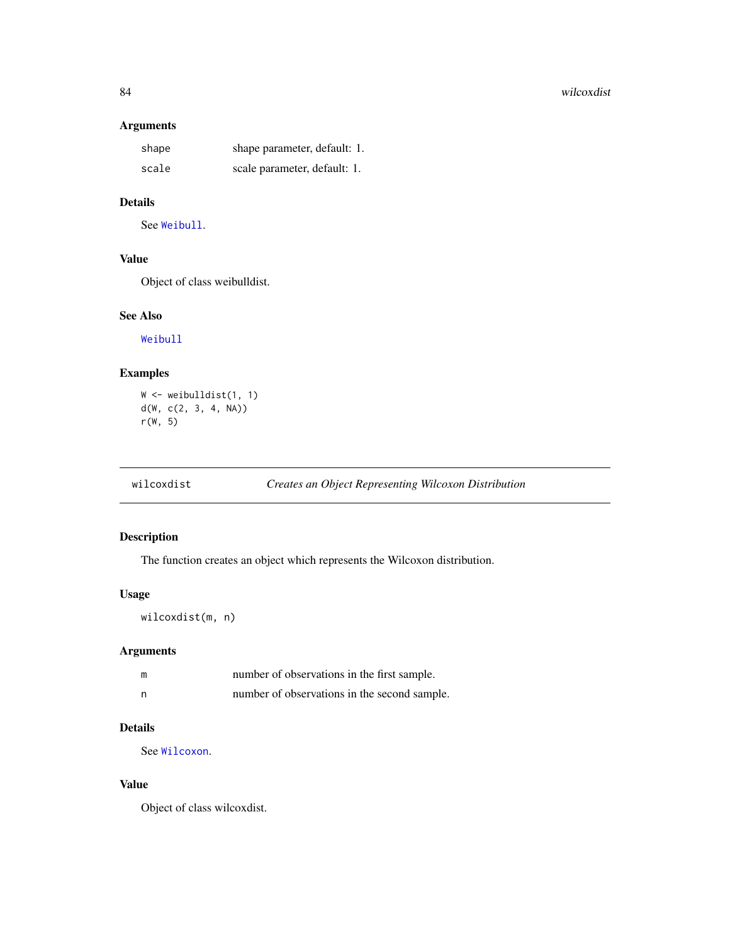#### 84 wilcoxdist

# Arguments

| shape | shape parameter, default: 1. |
|-------|------------------------------|
| scale | scale parameter, default: 1. |

## Details

See [Weibull](#page-0-0).

## Value

Object of class weibulldist.

#### See Also

[Weibull](#page-0-0)

## Examples

```
W <- weibulldist(1, 1)
d(W, c(2, 3, 4, NA))r(W, 5)
```
wilcoxdist *Creates an Object Representing Wilcoxon Distribution*

# Description

The function creates an object which represents the Wilcoxon distribution.

## Usage

```
wilcoxdist(m, n)
```
## Arguments

| m | number of observations in the first sample.  |
|---|----------------------------------------------|
| n | number of observations in the second sample. |

## Details

See [Wilcoxon](#page-0-0).

## Value

Object of class wilcoxdist.

<span id="page-83-0"></span>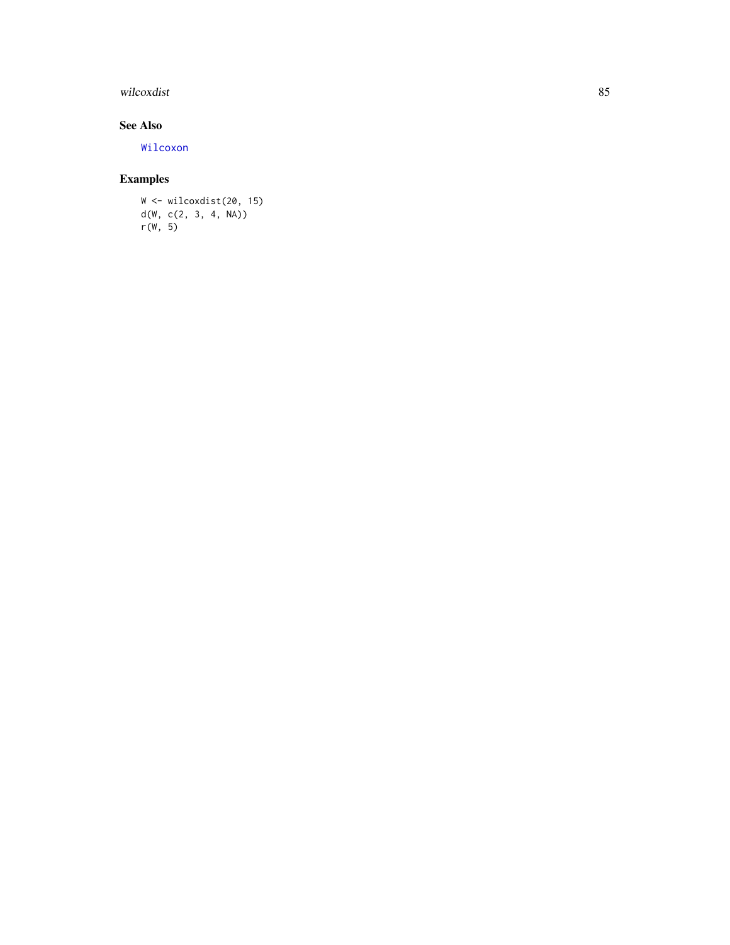# <span id="page-84-0"></span>wilcoxdist 85

# See Also

[Wilcoxon](#page-0-0)

# Examples

```
W <- wilcoxdist(20, 15)
d(W, c(2, 3, 4, NA))r(W, 5)
```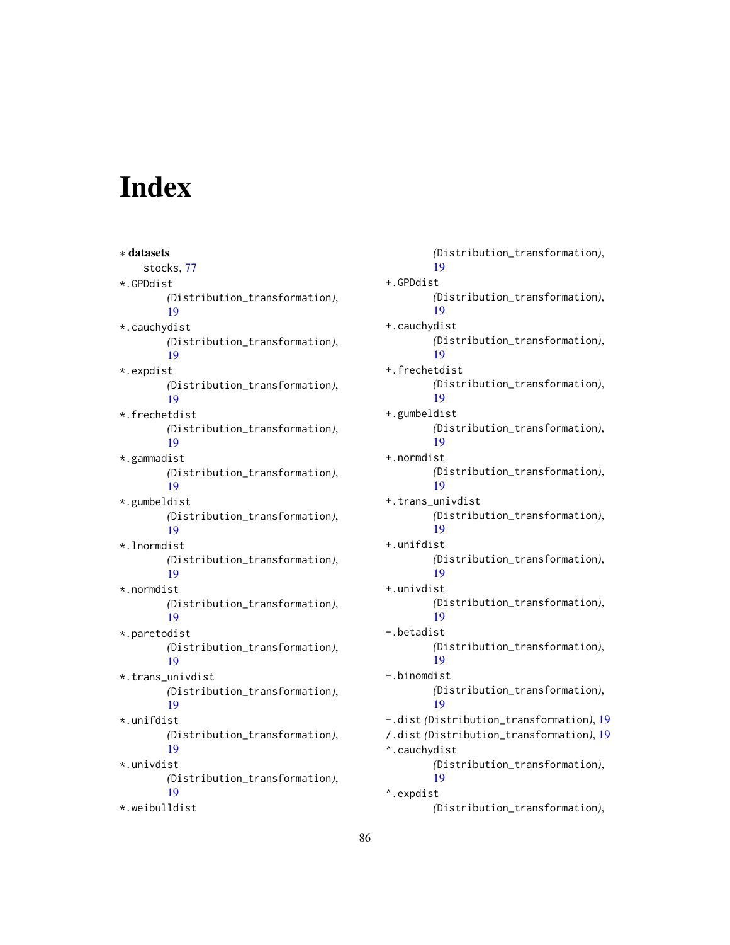# Index

∗ datasets stocks, [77](#page-76-0) \*.GPDdist *(*Distribution\_transformation*)*, [19](#page-18-0) \*.cauchydist *(*Distribution\_transformation*)*, [19](#page-18-0) \*.expdist *(*Distribution\_transformation*)*, [19](#page-18-0) \*.frechetdist *(*Distribution\_transformation*)*, [19](#page-18-0) \*.gammadist *(*Distribution\_transformation*)*, [19](#page-18-0) \*.gumbeldist *(*Distribution\_transformation*)*, [19](#page-18-0) \*.lnormdist *(*Distribution\_transformation*)*, [19](#page-18-0) \*.normdist *(*Distribution\_transformation*)*, [19](#page-18-0) \*.paretodist *(*Distribution\_transformation*)*, [19](#page-18-0) \*.trans\_univdist *(*Distribution\_transformation*)*, [19](#page-18-0) \*.unifdist *(*Distribution\_transformation*)*, [19](#page-18-0) \*.univdist *(*Distribution\_transformation*)*, [19](#page-18-0) \*.weibulldist

*(*Distribution\_transformation*)*, [19](#page-18-0) +.GPDdist *(*Distribution\_transformation*)*, [19](#page-18-0) +.cauchydist *(*Distribution\_transformation*)*, [19](#page-18-0) +.frechetdist *(*Distribution\_transformation*)*, [19](#page-18-0) +.gumbeldist *(*Distribution\_transformation*)*, [19](#page-18-0) +.normdist *(*Distribution\_transformation*)*, [19](#page-18-0) +.trans\_univdist *(*Distribution\_transformation*)*, [19](#page-18-0) +.unifdist *(*Distribution\_transformation*)*, [19](#page-18-0) +.univdist *(*Distribution\_transformation*)*, [19](#page-18-0) -.betadist *(*Distribution\_transformation*)*, [19](#page-18-0) -.binomdist *(*Distribution\_transformation*)*, [19](#page-18-0) -.dist *(*Distribution\_transformation*)*, [19](#page-18-0) /.dist *(*Distribution\_transformation*)*, [19](#page-18-0) ^.cauchydist *(*Distribution\_transformation*)*, [19](#page-18-0) ^.expdist *(*Distribution\_transformation*)*,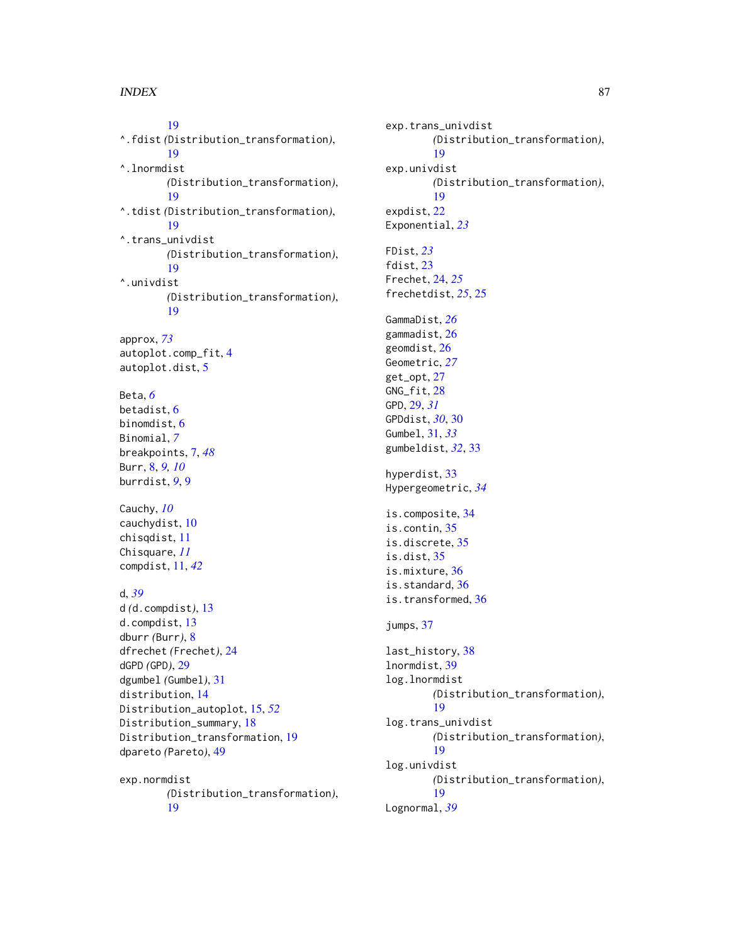[19](#page-18-0) ^.fdist *(*Distribution\_transformation*)*, [19](#page-18-0) ^.lnormdist *(*Distribution\_transformation*)*, [19](#page-18-0) ^.tdist *(*Distribution\_transformation*)*, [19](#page-18-0) ^.trans\_univdist *(*Distribution\_transformation*)*, [19](#page-18-0) ^.univdist *(*Distribution\_transformation*)*, [19](#page-18-0) approx, *[73](#page-72-0)* autoplot.comp\_fit, [4](#page-3-0) autoplot.dist, [5](#page-4-0) Beta, *[6](#page-5-0)* betadist, [6](#page-5-0) binomdist, [6](#page-5-0) Binomial, *[7](#page-6-0)* breakpoints, [7,](#page-6-0) *[48](#page-47-0)* Burr, [8,](#page-7-0) *[9,](#page-8-0) [10](#page-9-0)* burrdist, *[9](#page-8-0)*, [9](#page-8-0) Cauchy, *[10](#page-9-0)* cauchydist, [10](#page-9-0) chisqdist, [11](#page-10-0) Chisquare, *[11](#page-10-0)* compdist, [11,](#page-10-0) *[42](#page-41-0)* d, *[39](#page-38-0)* d *(*d.compdist*)*, [13](#page-12-0) d.compdist, [13](#page-12-0) dburr *(*Burr*)*, [8](#page-7-0) dfrechet *(*Frechet*)*, [24](#page-23-0) dGPD *(*GPD*)*, [29](#page-28-0) dgumbel *(*Gumbel*)*, [31](#page-30-0) distribution, [14](#page-13-0) Distribution\_autoplot, [15,](#page-14-0) *[52](#page-51-0)* Distribution\_summary, [18](#page-17-0) Distribution\_transformation, [19](#page-18-0) dpareto *(*Pareto*)*, [49](#page-48-0) exp.normdist *(*Distribution\_transformation*)*, [19](#page-18-0)

exp.trans\_univdist *(*Distribution\_transformation*)*, [19](#page-18-0) exp.univdist *(*Distribution\_transformation*)*, [19](#page-18-0) expdist, [22](#page-21-0) Exponential, *[23](#page-22-0)* FDist, *[23](#page-22-0)* fdist, [23](#page-22-0) Frechet, [24,](#page-23-0) *[25](#page-24-0)* frechetdist, *[25](#page-24-0)*, [25](#page-24-0) GammaDist, *[26](#page-25-0)* gammadist, [26](#page-25-0) geomdist, [26](#page-25-0) Geometric, *[27](#page-26-0)* get\_opt, [27](#page-26-0) GNG\_fit, [28](#page-27-0) GPD, [29,](#page-28-0) *[31](#page-30-0)* GPDdist, *[30](#page-29-0)*, [30](#page-29-0) Gumbel, [31,](#page-30-0) *[33](#page-32-0)* gumbeldist, *[32](#page-31-0)*, [33](#page-32-0) hyperdist, [33](#page-32-0) Hypergeometric, *[34](#page-33-0)* is.composite, [34](#page-33-0) is.contin, [35](#page-34-0) is.discrete, [35](#page-34-0) is.dist, [35](#page-34-0) is.mixture, [36](#page-35-0) is.standard, [36](#page-35-0) is.transformed, [36](#page-35-0) jumps, [37](#page-36-0) last\_history, [38](#page-37-0) lnormdist, [39](#page-38-0) log.lnormdist *(*Distribution\_transformation*)*, [19](#page-18-0) log.trans\_univdist *(*Distribution\_transformation*)*, [19](#page-18-0) log.univdist *(*Distribution\_transformation*)*, [19](#page-18-0) Lognormal, *[39](#page-38-0)*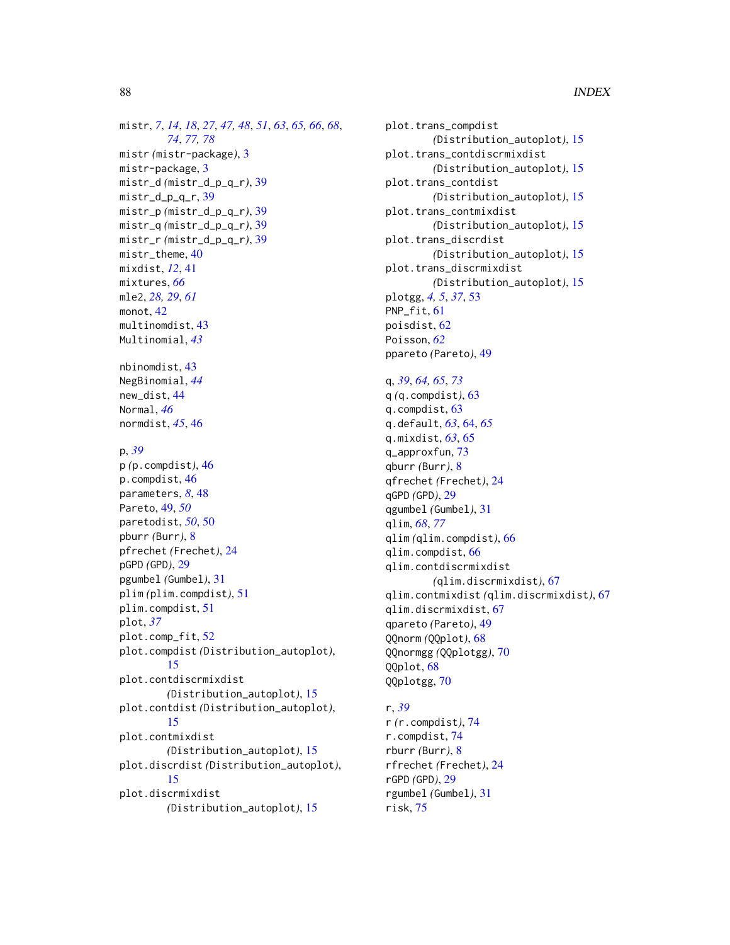```
mistr, 7, 14, 18, 27, 47, 48, 51, 63, 65, 66, 68,
         74, 77, 78
mistr (mistr-package), 3
mistr-package, 3
mistr_d (mistr_d_p_q_r), 39
mistr_d_p_q_r, 39
mistr_p (mistr_d_p_q_r), 39
mistr_q (mistr_d_p_q_r), 39
mistr_r (mistr_d_p_q_r), 39
mistr_theme, 40
mixdist, 12, 41
mixtures, 66
mle2, 28, 29, 61
monot, 42
multinomdist, 43
Multinomial, 43
nbinomdist, 43
NegBinomial, 44
new_dist, 44
Normal, 46
normdist, 45, 46
p, 39
p (p.compdist), 46
p.compdist, 46
parameters, 8, 48
Pareto, 49, 50
paretodist, 50, 50
pburr (Burr), 8
pfrechet (Frechet), 24
pGPD (GPD), 29
pgumbel (Gumbel), 31
plim (plim.compdist), 51
plim.compdist, 51
plot, 37
plot.comp_fit, 52
plot.compdist (Distribution_autoplot),
         15
plot.contdiscrmixdist
        (Distribution_autoplot), 15
plot.contdist (Distribution_autoplot),
         15
plot.contmixdist
        (Distribution_autoplot), 15
plot.discrdist (Distribution_autoplot),
         15
plot.discrmixdist
        (Distribution_autoplot), 15
```
plot.trans\_compdist *(*Distribution\_autoplot*)*, [15](#page-14-0) plot.trans\_contdiscrmixdist *(*Distribution\_autoplot*)*, [15](#page-14-0) plot.trans\_contdist *(*Distribution\_autoplot*)*, [15](#page-14-0) plot.trans\_contmixdist *(*Distribution\_autoplot*)*, [15](#page-14-0) plot.trans\_discrdist *(*Distribution\_autoplot*)*, [15](#page-14-0) plot.trans\_discrmixdist *(*Distribution\_autoplot*)*, [15](#page-14-0) plotgg, *[4,](#page-3-0) [5](#page-4-0)*, *[37](#page-36-0)*, [53](#page-52-0) PNP\_fit, [61](#page-60-0) poisdist, [62](#page-61-0) Poisson, *[62](#page-61-0)* ppareto *(*Pareto*)*, [49](#page-48-0) q, *[39](#page-38-0)*, *[64,](#page-63-0) [65](#page-64-0)*, *[73](#page-72-0)* q *(*q.compdist*)*, [63](#page-62-1) q.compdist, [63](#page-62-1) q.default, *[63](#page-62-1)*, [64,](#page-63-0) *[65](#page-64-0)* q.mixdist, *[63](#page-62-1)*, [65](#page-64-0) q\_approxfun, [73](#page-72-0) qburr *(*Burr*)*, [8](#page-7-0) qfrechet *(*Frechet*)*, [24](#page-23-0) qGPD *(*GPD*)*, [29](#page-28-0) qgumbel *(*Gumbel*)*, [31](#page-30-0) qlim, *[68](#page-67-0)*, *[77](#page-76-0)* qlim *(*qlim.compdist*)*, [66](#page-65-1) qlim.compdist, [66](#page-65-1) qlim.contdiscrmixdist *(*qlim.discrmixdist*)*, [67](#page-66-0) qlim.contmixdist *(*qlim.discrmixdist*)*, [67](#page-66-0) qlim.discrmixdist, [67](#page-66-0) qpareto *(*Pareto*)*, [49](#page-48-0) QQnorm *(*QQplot*)*, [68](#page-67-0) QQnormgg *(*QQplotgg*)*, [70](#page-69-0) QQplot, [68](#page-67-0) QQplotgg, [70](#page-69-0) r, *[39](#page-38-0)*

r *(*r.compdist*)*, [74](#page-73-0) r.compdist, [74](#page-73-0) rburr *(*Burr*)*, [8](#page-7-0) rfrechet *(*Frechet*)*, [24](#page-23-0) rGPD *(*GPD*)*, [29](#page-28-0) rgumbel *(*Gumbel*)*, [31](#page-30-0) risk, [75](#page-74-0)